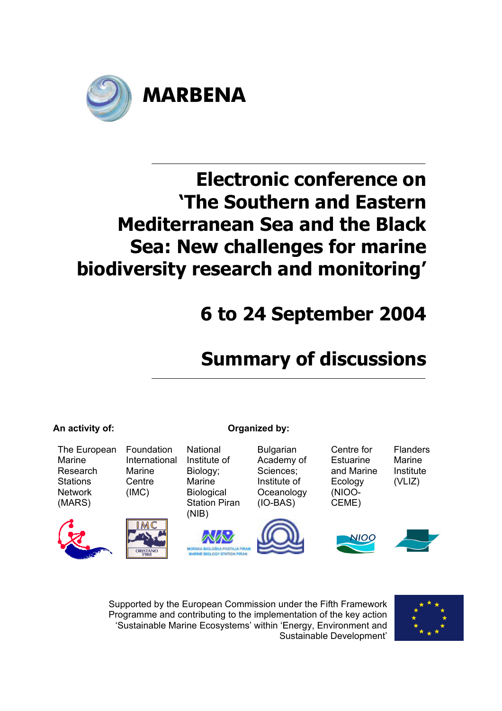

# **Electronic conference on 'The Southern and Eastern Mediterranean Sea and the Black Sea: New challenges for marine biodiversity research and monitoring'**

# **6 to 24 September 2004**

# **Summary of discussions**

# **An activity of: Organized by:**

The European Marine Research **Stations Network** (MARS)



Foundation International Marine **Centre** (IMC)

ORISTANC



**National** Institute of Biology; Marine **Biological** Station Piran

(NIB)

Bulgarian Academy of Sciences; Institute of **Oceanology** (IO-BAS)

Centre for Estuarine and Marine Ecology (NIOO-CEME)

Flanders Marine Institute (VLIZ)





Supported by the European Commission under the Fifth Framework Programme and contributing to the implementation of the key action 'Sustainable Marine Ecosystems' within 'Energy, Environment and Sustainable Development'

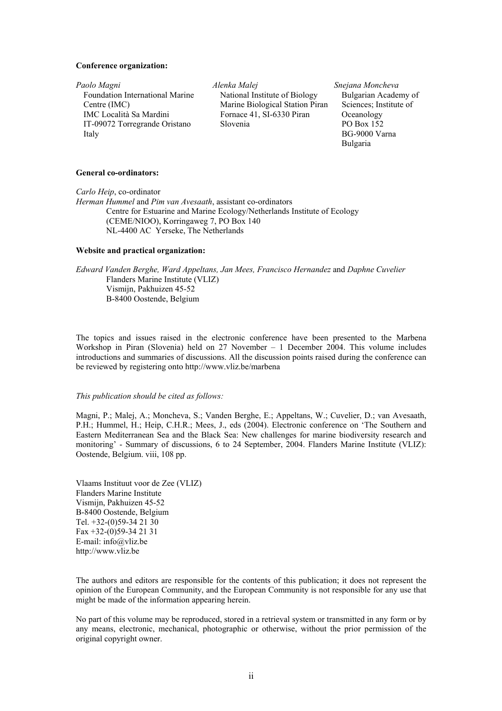#### **Conference organization:**

*Paolo Magni Alenka Malej Snejana Moncheva* Foundation International Marine National Institute of Biology Bulgarian Academy of Centre (IMC)<br>
Marine Biological Station Piran Sciences; Institute of<br>
Fornace 41, SI-6330 Piran Oceanology IT-09072 Torregrande Oristano Slovenia PO Box 152 Italy BG-9000 Varna

Fornace 41, SI-6330 Piran Oceanology

Bulgaria

#### **General co-ordinators:**

*Carlo Heip*, co-ordinator *Herman Hummel* and *Pim van Avesaath*, assistant co-ordinators Centre for Estuarine and Marine Ecology/Netherlands Institute of Ecology (CEME/NIOO), Korringaweg 7, PO Box 140 NL-4400 AC Yerseke, The Netherlands

#### **Website and practical organization:**

*Edward Vanden Berghe, Ward Appeltans, Jan Mees, Francisco Hernandez* and *Daphne Cuvelier*  Flanders Marine Institute (VLIZ) Vismijn, Pakhuizen 45-52 B-8400 Oostende, Belgium

The topics and issues raised in the electronic conference have been presented to the Marbena Workshop in Piran (Slovenia) held on 27 November – 1 December 2004. This volume includes introductions and summaries of discussions. All the discussion points raised during the conference can be reviewed by registering onto http://www.vliz.be/marbena

#### *This publication should be cited as follows:*

Magni, P.; Malej, A.; Moncheva, S.; Vanden Berghe, E.; Appeltans, W.; Cuvelier, D.; van Avesaath, P.H.; Hummel, H.; Heip, C.H.R.; Mees, J., eds (2004). Electronic conference on 'The Southern and Eastern Mediterranean Sea and the Black Sea: New challenges for marine biodiversity research and monitoring' - Summary of discussions, 6 to 24 September, 2004. Flanders Marine Institute (VLIZ): Oostende, Belgium. viii, 108 pp.

Vlaams Instituut voor de Zee (VLIZ) Flanders Marine Institute Vismijn, Pakhuizen 45-52 B-8400 Oostende, Belgium Tel. +32-(0)59-34 21 30 Fax +32-(0)59-34 21 31 E-mail: info@vliz.be http://www.vliz.be

The authors and editors are responsible for the contents of this publication; it does not represent the opinion of the European Community, and the European Community is not responsible for any use that might be made of the information appearing herein.

No part of this volume may be reproduced, stored in a retrieval system or transmitted in any form or by any means, electronic, mechanical, photographic or otherwise, without the prior permission of the original copyright owner.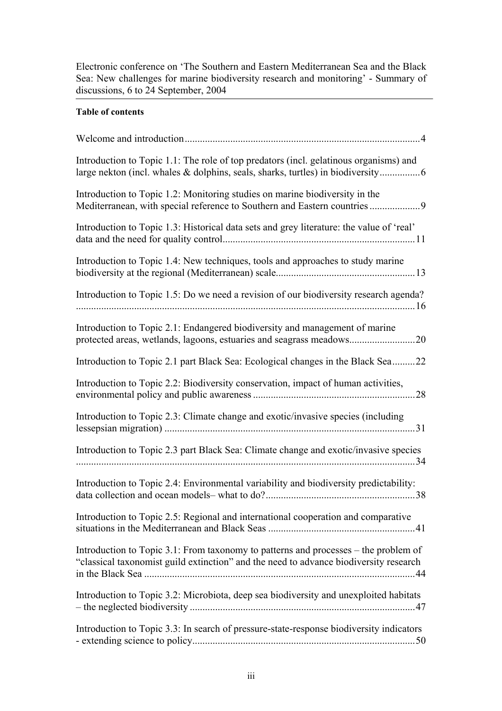Electronic conference on 'The Southern and Eastern Mediterranean Sea and the Black Sea: New challenges for marine biodiversity research and monitoring' - Summary of discussions, 6 to 24 September, 2004

# **Table of contents**

| Introduction to Topic 1.1: The role of top predators (incl. gelatinous organisms) and                                                                                        |
|------------------------------------------------------------------------------------------------------------------------------------------------------------------------------|
| Introduction to Topic 1.2: Monitoring studies on marine biodiversity in the<br>Mediterranean, with special reference to Southern and Eastern countries 9                     |
| Introduction to Topic 1.3: Historical data sets and grey literature: the value of 'real'                                                                                     |
| Introduction to Topic 1.4: New techniques, tools and approaches to study marine                                                                                              |
| Introduction to Topic 1.5: Do we need a revision of our biodiversity research agenda?                                                                                        |
| Introduction to Topic 2.1: Endangered biodiversity and management of marine<br>protected areas, wetlands, lagoons, estuaries and seagrass meadows20                          |
| Introduction to Topic 2.1 part Black Sea: Ecological changes in the Black Sea22                                                                                              |
| Introduction to Topic 2.2: Biodiversity conservation, impact of human activities,                                                                                            |
| Introduction to Topic 2.3: Climate change and exotic/invasive species (including                                                                                             |
| Introduction to Topic 2.3 part Black Sea: Climate change and exotic/invasive species                                                                                         |
| Introduction to Topic 2.4: Environmental variability and biodiversity predictability:                                                                                        |
| Introduction to Topic 2.5: Regional and international cooperation and comparative                                                                                            |
| Introduction to Topic 3.1: From taxonomy to patterns and processes – the problem of<br>"classical taxonomist guild extinction" and the need to advance biodiversity research |
| Introduction to Topic 3.2: Microbiota, deep sea biodiversity and unexploited habitats                                                                                        |
| Introduction to Topic 3.3: In search of pressure-state-response biodiversity indicators                                                                                      |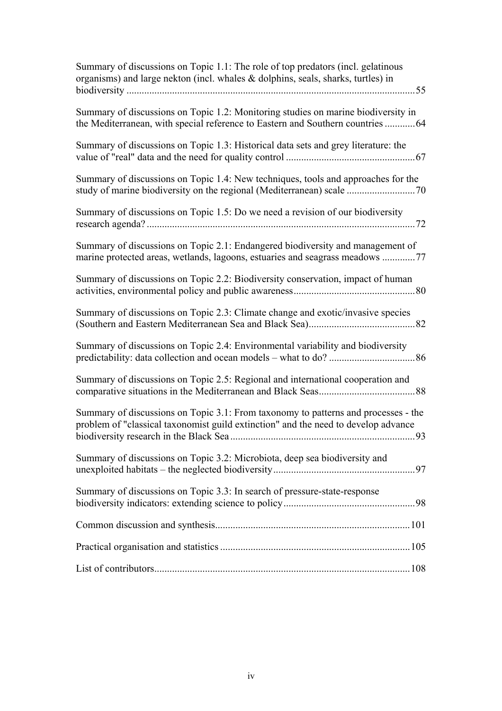| Summary of discussions on Topic 1.1: The role of top predators (incl. gelatinous<br>organisms) and large nekton (incl. whales & dolphins, seals, sharks, turtles) in     |
|--------------------------------------------------------------------------------------------------------------------------------------------------------------------------|
| Summary of discussions on Topic 1.2: Monitoring studies on marine biodiversity in<br>the Mediterranean, with special reference to Eastern and Southern countries  64     |
| Summary of discussions on Topic 1.3: Historical data sets and grey literature: the                                                                                       |
| Summary of discussions on Topic 1.4: New techniques, tools and approaches for the                                                                                        |
| Summary of discussions on Topic 1.5: Do we need a revision of our biodiversity                                                                                           |
| Summary of discussions on Topic 2.1: Endangered biodiversity and management of<br>marine protected areas, wetlands, lagoons, estuaries and seagrass meadows 77           |
| Summary of discussions on Topic 2.2: Biodiversity conservation, impact of human                                                                                          |
| Summary of discussions on Topic 2.3: Climate change and exotic/invasive species                                                                                          |
| Summary of discussions on Topic 2.4: Environmental variability and biodiversity                                                                                          |
| Summary of discussions on Topic 2.5: Regional and international cooperation and                                                                                          |
| Summary of discussions on Topic 3.1: From taxonomy to patterns and processes - the<br>problem of "classical taxonomist guild extinction" and the need to develop advance |
| Summary of discussions on Topic 3.2: Microbiota, deep sea biodiversity and                                                                                               |
| Summary of discussions on Topic 3.3: In search of pressure-state-response                                                                                                |
|                                                                                                                                                                          |
|                                                                                                                                                                          |
|                                                                                                                                                                          |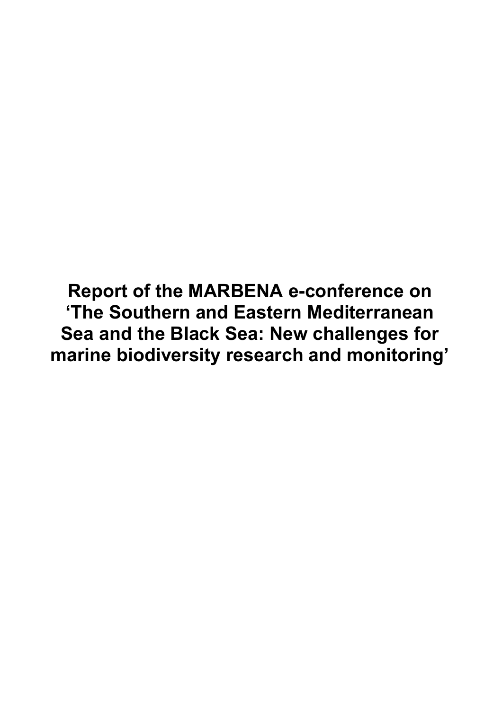**Report of the MARBENA e-conference on 'The Southern and Eastern Mediterranean Sea and the Black Sea: New challenges for marine biodiversity research and monitoring'**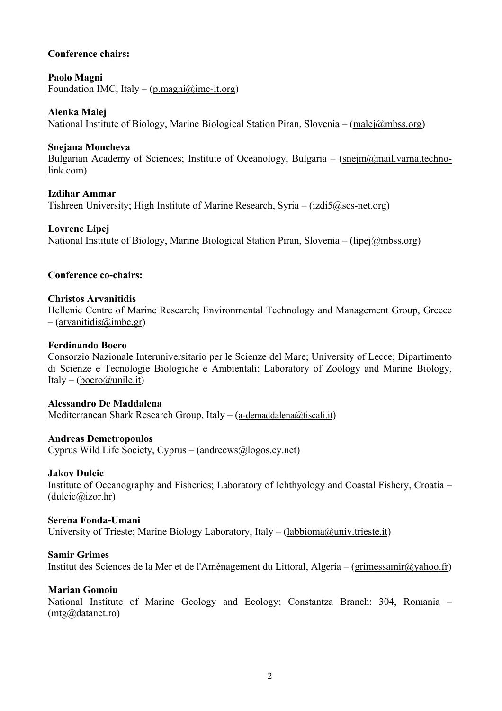# **Conference chairs:**

**Paolo Magni**  Foundation IMC, Italy – (p.magni@imc-it.org)

**Alenka Malej**  National Institute of Biology, Marine Biological Station Piran, Slovenia – (malej@mbss.org)

# **Snejana Moncheva**

Bulgarian Academy of Sciences; Institute of Oceanology, Bulgaria – (snejm@mail.varna.technolink.com)

**Izdihar Ammar**  Tishreen University; High Institute of Marine Research, Syria – (izdi5@scs-net.org)

**Lovrenc Lipej**  National Institute of Biology, Marine Biological Station Piran, Slovenia – (lipej@mbss.org)

## **Conference co-chairs:**

### **Christos Arvanitidis**

Hellenic Centre of Marine Research; Environmental Technology and Management Group, Greece  $-(arvanitalis@imbc.gr)$ 

### **Ferdinando Boero**

Consorzio Nazionale Interuniversitario per le Scienze del Mare; University of Lecce; Dipartimento di Scienze e Tecnologie Biologiche e Ambientali; Laboratory of Zoology and Marine Biology, Italy – (boero@unile.it)

### **Alessandro De Maddalena**

Mediterranean Shark Research Group, Italy – (a-demaddalena@tiscali.it)

#### **Andreas Demetropoulos**

Cyprus Wild Life Society, Cyprus – (andrecws@logos.cy.net)

#### **Jakov Dulcic**

Institute of Oceanography and Fisheries; Laboratory of Ichthyology and Coastal Fishery, Croatia – (dulcic@izor.hr)

#### **Serena Fonda-Umani**

University of Trieste; Marine Biology Laboratory, Italy – (labbioma@univ.trieste.it)

#### **Samir Grimes**

Institut des Sciences de la Mer et de l'Aménagement du Littoral, Algeria – (grimessamir@yahoo.fr)

#### **Marian Gomoiu**

National Institute of Marine Geology and Ecology; Constantza Branch: 304, Romania – (mtg@datanet.ro)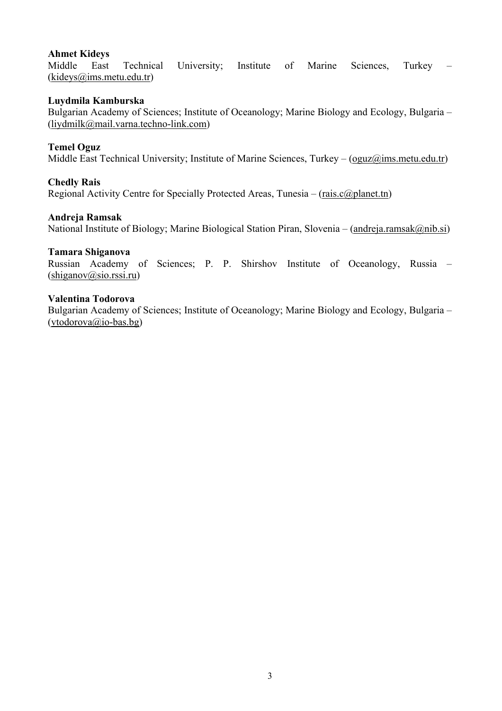## **Ahmet Kideys**

Middle East Technical University; Institute of Marine Sciences, Turkey – (kideys@ims.metu.edu.tr)

# **Luydmila Kamburska**

Bulgarian Academy of Sciences; Institute of Oceanology; Marine Biology and Ecology, Bulgaria – (liydmilk@mail.varna.techno-link.com)

# **Temel Oguz**

Middle East Technical University; Institute of Marine Sciences, Turkey – (oguz@ims.metu.edu.tr)

# **Chedly Rais**

Regional Activity Centre for Specially Protected Areas, Tunesia – (rais.c@planet.tn)

## **Andreja Ramsak**

National Institute of Biology; Marine Biological Station Piran, Slovenia – (andreja.ramsak@nib.si)

# **Tamara Shiganova**

Russian Academy of Sciences; P. P. Shirshov Institute of Oceanology, Russia –  $(\text{shiganov}(\hat{\omega})\text{sio.rssi.ru})$ 

# **Valentina Todorova**

Bulgarian Academy of Sciences; Institute of Oceanology; Marine Biology and Ecology, Bulgaria –  $(vtodorova@io-bas.bg)$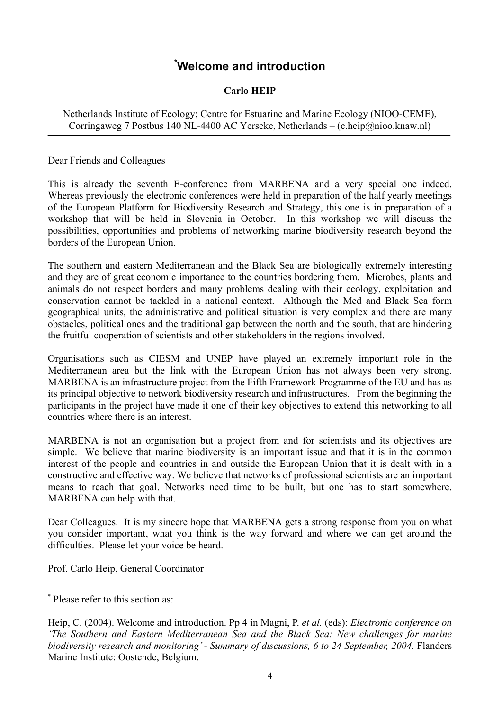# **[\\*](#page-7-0) Welcome and introduction**

# **Carlo HEIP**

Netherlands Institute of Ecology; Centre for Estuarine and Marine Ecology (NIOO-CEME), Corringaweg 7 Postbus 140 NL-4400 AC Yerseke, Netherlands – (c.heip@nioo.knaw.nl)

Dear Friends and Colleagues

This is already the seventh E-conference from MARBENA and a very special one indeed. Whereas previously the electronic conferences were held in preparation of the half yearly meetings of the European Platform for Biodiversity Research and Strategy, this one is in preparation of a workshop that will be held in Slovenia in October. In this workshop we will discuss the possibilities, opportunities and problems of networking marine biodiversity research beyond the borders of the European Union.

The southern and eastern Mediterranean and the Black Sea are biologically extremely interesting and they are of great economic importance to the countries bordering them. Microbes, plants and animals do not respect borders and many problems dealing with their ecology, exploitation and conservation cannot be tackled in a national context. Although the Med and Black Sea form geographical units, the administrative and political situation is very complex and there are many obstacles, political ones and the traditional gap between the north and the south, that are hindering the fruitful cooperation of scientists and other stakeholders in the regions involved.

Organisations such as CIESM and UNEP have played an extremely important role in the Mediterranean area but the link with the European Union has not always been very strong. MARBENA is an infrastructure project from the Fifth Framework Programme of the EU and has as its principal objective to network biodiversity research and infrastructures. From the beginning the participants in the project have made it one of their key objectives to extend this networking to all countries where there is an interest.

MARBENA is not an organisation but a project from and for scientists and its objectives are simple. We believe that marine biodiversity is an important issue and that it is in the common interest of the people and countries in and outside the European Union that it is dealt with in a constructive and effective way. We believe that networks of professional scientists are an important means to reach that goal. Networks need time to be built, but one has to start somewhere. MARBENA can help with that.

Dear Colleagues. It is my sincere hope that MARBENA gets a strong response from you on what you consider important, what you think is the way forward and where we can get around the difficulties. Please let your voice be heard.

Prof. Carlo Heip, General Coordinator

<span id="page-7-0"></span><sup>\*</sup> Please refer to this section as:

Heip, C. (2004). Welcome and introduction. Pp 4 in Magni, P. *et al.* (eds): *Electronic conference on 'The Southern and Eastern Mediterranean Sea and the Black Sea: New challenges for marine biodiversity research and monitoring' - Summary of discussions, 6 to 24 September, 2004.* Flanders Marine Institute: Oostende, Belgium.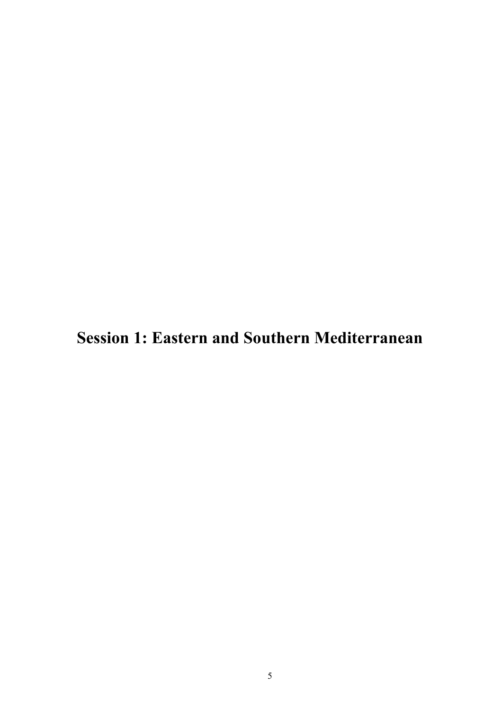**Session 1: Eastern and Southern Mediterranean**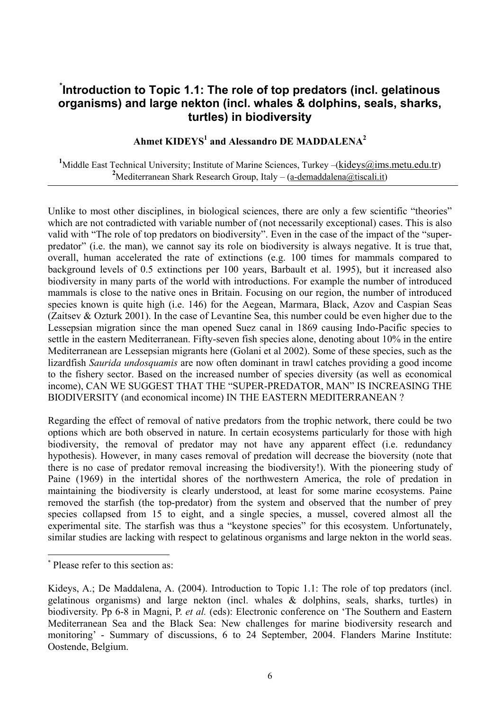# **[\\*](#page-9-0) Introduction to Topic 1.1: The role of top predators (incl. gelatinous organisms) and large nekton (incl. whales & dolphins, seals, sharks, turtles) in biodiversity**

# **Ahmet KIDEYS1 and Alessandro DE MADDALENA2**

<sup>1</sup>Middle East Technical University; Institute of Marine Sciences, Turkey –(kideys@ims.metu.edu.tr) <sup>2</sup> Mediterranean Shark Research Group, Italy – (a-demaddalena@tiscali.it)

Unlike to most other disciplines, in biological sciences, there are only a few scientific "theories" which are not contradicted with variable number of (not necessarily exceptional) cases. This is also valid with "The role of top predators on biodiversity". Even in the case of the impact of the "superpredator" (i.e. the man), we cannot say its role on biodiversity is always negative. It is true that, overall, human accelerated the rate of extinctions (e.g. 100 times for mammals compared to background levels of 0.5 extinctions per 100 years, Barbault et al. 1995), but it increased also biodiversity in many parts of the world with introductions. For example the number of introduced mammals is close to the native ones in Britain. Focusing on our region, the number of introduced species known is quite high (i.e. 146) for the Aegean, Marmara, Black, Azov and Caspian Seas (Zaitsev & Ozturk 2001). In the case of Levantine Sea, this number could be even higher due to the Lessepsian migration since the man opened Suez canal in 1869 causing Indo-Pacific species to settle in the eastern Mediterranean. Fifty-seven fish species alone, denoting about 10% in the entire Mediterranean are Lessepsian migrants here (Golani et al 2002). Some of these species, such as the lizardfish *Saurida undosquamis* are now often dominant in trawl catches providing a good income to the fishery sector. Based on the increased number of species diversity (as well as economical income), CAN WE SUGGEST THAT THE "SUPER-PREDATOR, MAN" IS INCREASING THE BIODIVERSITY (and economical income) IN THE EASTERN MEDITERRANEAN ?

Regarding the effect of removal of native predators from the trophic network, there could be two options which are both observed in nature. In certain ecosystems particularly for those with high biodiversity, the removal of predator may not have any apparent effect (i.e. redundancy hypothesis). However, in many cases removal of predation will decrease the bioversity (note that there is no case of predator removal increasing the biodiversity!). With the pioneering study of Paine (1969) in the intertidal shores of the northwestern America, the role of predation in maintaining the biodiversity is clearly understood, at least for some marine ecosystems. Paine removed the starfish (the top-predator) from the system and observed that the number of prey species collapsed from 15 to eight, and a single species, a mussel, covered almost all the experimental site. The starfish was thus a "keystone species" for this ecosystem. Unfortunately, similar studies are lacking with respect to gelatinous organisms and large nekton in the world seas.

<span id="page-9-0"></span><sup>\*</sup> Please refer to this section as:

Kideys, A.; De Maddalena, A. (2004). Introduction to Topic 1.1: The role of top predators (incl. gelatinous organisms) and large nekton (incl. whales & dolphins, seals, sharks, turtles) in biodiversity. Pp 6-8 in Magni, P. *et al.* (eds): Electronic conference on 'The Southern and Eastern Mediterranean Sea and the Black Sea: New challenges for marine biodiversity research and monitoring' - Summary of discussions, 6 to 24 September, 2004. Flanders Marine Institute: Oostende, Belgium.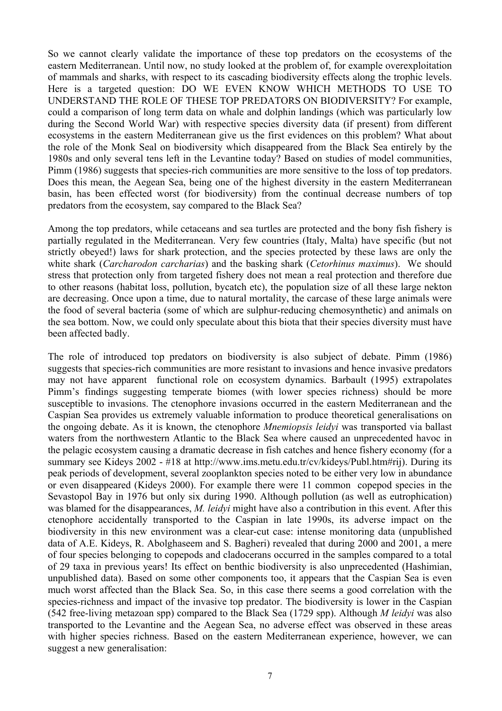So we cannot clearly validate the importance of these top predators on the ecosystems of the eastern Mediterranean. Until now, no study looked at the problem of, for example overexploitation of mammals and sharks, with respect to its cascading biodiversity effects along the trophic levels. Here is a targeted question: DO WE EVEN KNOW WHICH METHODS TO USE TO UNDERSTAND THE ROLE OF THESE TOP PREDATORS ON BIODIVERSITY? For example, could a comparison of long term data on whale and dolphin landings (which was particularly low during the Second World War) with respective species diversity data (if present) from different ecosystems in the eastern Mediterranean give us the first evidences on this problem? What about the role of the Monk Seal on biodiversity which disappeared from the Black Sea entirely by the 1980s and only several tens left in the Levantine today? Based on studies of model communities, Pimm (1986) suggests that species-rich communities are more sensitive to the loss of top predators. Does this mean, the Aegean Sea, being one of the highest diversity in the eastern Mediterranean basin, has been effected worst (for biodiversity) from the continual decrease numbers of top predators from the ecosystem, say compared to the Black Sea?

Among the top predators, while cetaceans and sea turtles are protected and the bony fish fishery is partially regulated in the Mediterranean. Very few countries (Italy, Malta) have specific (but not strictly obeyed!) laws for shark protection, and the species protected by these laws are only the white shark (*Carcharodon carcharias*) and the basking shark (*Cetorhinus maximus*). We should stress that protection only from targeted fishery does not mean a real protection and therefore due to other reasons (habitat loss, pollution, bycatch etc), the population size of all these large nekton are decreasing. Once upon a time, due to natural mortality, the carcase of these large animals were the food of several bacteria (some of which are sulphur-reducing chemosynthetic) and animals on the sea bottom. Now, we could only speculate about this biota that their species diversity must have been affected badly.

The role of introduced top predators on biodiversity is also subject of debate. Pimm (1986) suggests that species-rich communities are more resistant to invasions and hence invasive predators may not have apparent functional role on ecosystem dynamics. Barbault (1995) extrapolates Pimm's findings suggesting temperate biomes (with lower species richness) should be more susceptible to invasions. The ctenophore invasions occurred in the eastern Mediterranean and the Caspian Sea provides us extremely valuable information to produce theoretical generalisations on the ongoing debate. As it is known, the ctenophore *Mnemiopsis leidyi* was transported via ballast waters from the northwestern Atlantic to the Black Sea where caused an unprecedented havoc in the pelagic ecosystem causing a dramatic decrease in fish catches and hence fishery economy (for a summary see Kideys 2002 - #18 at http://www.ims.metu.edu.tr/cv/kideys/Publ.htm#rij). During its peak periods of development, several zooplankton species noted to be either very low in abundance or even disappeared (Kideys 2000). For example there were 11 common copepod species in the Sevastopol Bay in 1976 but only six during 1990. Although pollution (as well as eutrophication) was blamed for the disappearances, *M. leidyi* might have also a contribution in this event. After this ctenophore accidentally transported to the Caspian in late 1990s, its adverse impact on the biodiversity in this new environment was a clear-cut case: intense monitoring data (unpublished data of A.E. Kideys, R. Abolghaseem and S. Bagheri) revealed that during 2000 and 2001, a mere of four species belonging to copepods and cladocerans occurred in the samples compared to a total of 29 taxa in previous years! Its effect on benthic biodiversity is also unprecedented (Hashimian, unpublished data). Based on some other components too, it appears that the Caspian Sea is even much worst affected than the Black Sea. So, in this case there seems a good correlation with the species-richness and impact of the invasive top predator. The biodiversity is lower in the Caspian (542 free-living metazoan spp) compared to the Black Sea (1729 spp). Although *M leidyi* was also transported to the Levantine and the Aegean Sea, no adverse effect was observed in these areas with higher species richness. Based on the eastern Mediterranean experience, however, we can suggest a new generalisation: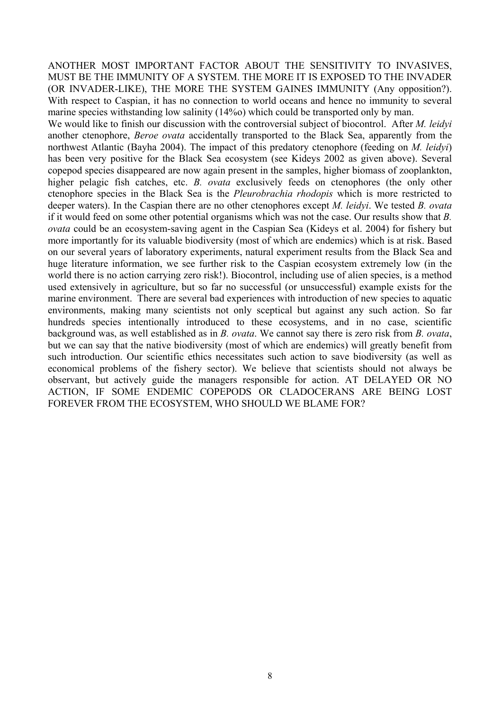ANOTHER MOST IMPORTANT FACTOR ABOUT THE SENSITIVITY TO INVASIVES, MUST BE THE IMMUNITY OF A SYSTEM. THE MORE IT IS EXPOSED TO THE INVADER (OR INVADER-LIKE), THE MORE THE SYSTEM GAINES IMMUNITY (Any opposition?). With respect to Caspian, it has no connection to world oceans and hence no immunity to several marine species withstanding low salinity (14%o) which could be transported only by man.

We would like to finish our discussion with the controversial subject of biocontrol. After *M. leidyi* another ctenophore, *Beroe ovata* accidentally transported to the Black Sea, apparently from the northwest Atlantic (Bayha 2004). The impact of this predatory ctenophore (feeding on *M. leidyi*) has been very positive for the Black Sea ecosystem (see Kideys 2002 as given above). Several copepod species disappeared are now again present in the samples, higher biomass of zooplankton, higher pelagic fish catches, etc. *B. ovata* exclusively feeds on ctenophores (the only other ctenophore species in the Black Sea is the *Pleurobrachia rhodopis* which is more restricted to deeper waters). In the Caspian there are no other ctenophores except *M. leidyi*. We tested *B. ovata* if it would feed on some other potential organisms which was not the case. Our results show that *B. ovata* could be an ecosystem-saving agent in the Caspian Sea (Kideys et al. 2004) for fishery but more importantly for its valuable biodiversity (most of which are endemics) which is at risk. Based on our several years of laboratory experiments, natural experiment results from the Black Sea and huge literature information, we see further risk to the Caspian ecosystem extremely low (in the world there is no action carrying zero risk!). Biocontrol, including use of alien species, is a method used extensively in agriculture, but so far no successful (or unsuccessful) example exists for the marine environment. There are several bad experiences with introduction of new species to aquatic environments, making many scientists not only sceptical but against any such action. So far hundreds species intentionally introduced to these ecosystems, and in no case, scientific background was, as well established as in *B. ovata*. We cannot say there is zero risk from *B. ovata*, but we can say that the native biodiversity (most of which are endemics) will greatly benefit from such introduction. Our scientific ethics necessitates such action to save biodiversity (as well as economical problems of the fishery sector). We believe that scientists should not always be observant, but actively guide the managers responsible for action. AT DELAYED OR NO ACTION, IF SOME ENDEMIC COPEPODS OR CLADOCERANS ARE BEING LOST FOREVER FROM THE ECOSYSTEM, WHO SHOULD WE BLAME FOR?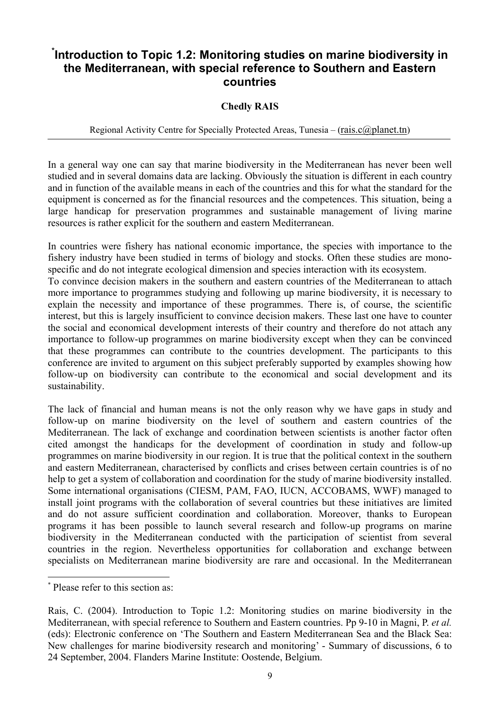# **[\\*](#page-12-0) Introduction to Topic 1.2: Monitoring studies on marine biodiversity in the Mediterranean, with special reference to Southern and Eastern countries**

# **Chedly RAIS**

# Regional Activity Centre for Specially Protected Areas, Tunesia – (rais.c@planet.tn)

In a general way one can say that marine biodiversity in the Mediterranean has never been well studied and in several domains data are lacking. Obviously the situation is different in each country and in function of the available means in each of the countries and this for what the standard for the equipment is concerned as for the financial resources and the competences. This situation, being a large handicap for preservation programmes and sustainable management of living marine resources is rather explicit for the southern and eastern Mediterranean.

In countries were fishery has national economic importance, the species with importance to the fishery industry have been studied in terms of biology and stocks. Often these studies are monospecific and do not integrate ecological dimension and species interaction with its ecosystem. To convince decision makers in the southern and eastern countries of the Mediterranean to attach more importance to programmes studying and following up marine biodiversity, it is necessary to explain the necessity and importance of these programmes. There is, of course, the scientific interest, but this is largely insufficient to convince decision makers. These last one have to counter the social and economical development interests of their country and therefore do not attach any importance to follow-up programmes on marine biodiversity except when they can be convinced that these programmes can contribute to the countries development. The participants to this conference are invited to argument on this subject preferably supported by examples showing how follow-up on biodiversity can contribute to the economical and social development and its sustainability.

The lack of financial and human means is not the only reason why we have gaps in study and follow-up on marine biodiversity on the level of southern and eastern countries of the Mediterranean. The lack of exchange and coordination between scientists is another factor often cited amongst the handicaps for the development of coordination in study and follow-up programmes on marine biodiversity in our region. It is true that the political context in the southern and eastern Mediterranean, characterised by conflicts and crises between certain countries is of no help to get a system of collaboration and coordination for the study of marine biodiversity installed. Some international organisations (CIESM, PAM, FAO, IUCN, ACCOBAMS, WWF) managed to install joint programs with the collaboration of several countries but these initiatives are limited and do not assure sufficient coordination and collaboration. Moreover, thanks to European programs it has been possible to launch several research and follow-up programs on marine biodiversity in the Mediterranean conducted with the participation of scientist from several countries in the region. Nevertheless opportunities for collaboration and exchange between specialists on Mediterranean marine biodiversity are rare and occasional. In the Mediterranean

<span id="page-12-0"></span><sup>\*</sup> Please refer to this section as:

Rais, C. (2004). Introduction to Topic 1.2: Monitoring studies on marine biodiversity in the Mediterranean, with special reference to Southern and Eastern countries. Pp 9-10 in Magni, P. *et al.* (eds): Electronic conference on 'The Southern and Eastern Mediterranean Sea and the Black Sea: New challenges for marine biodiversity research and monitoring' - Summary of discussions, 6 to 24 September, 2004. Flanders Marine Institute: Oostende, Belgium.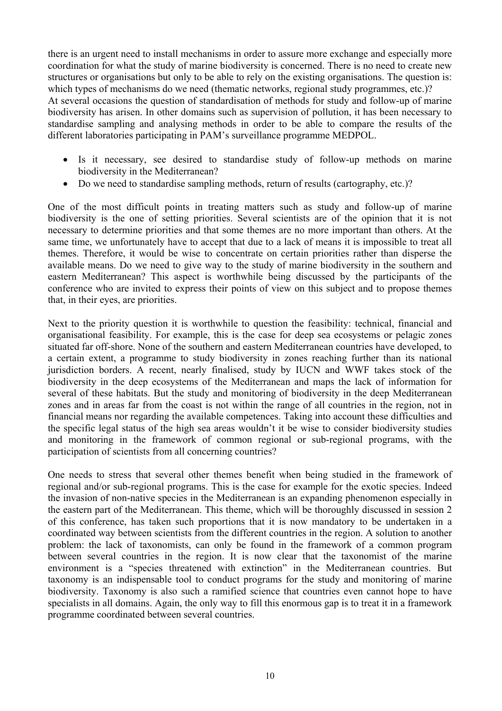there is an urgent need to install mechanisms in order to assure more exchange and especially more coordination for what the study of marine biodiversity is concerned. There is no need to create new structures or organisations but only to be able to rely on the existing organisations. The question is: which types of mechanisms do we need (thematic networks, regional study programmes, etc.)? At several occasions the question of standardisation of methods for study and follow-up of marine biodiversity has arisen. In other domains such as supervision of pollution, it has been necessary to standardise sampling and analysing methods in order to be able to compare the results of the different laboratories participating in PAM's surveillance programme MEDPOL.

- Is it necessary, see desired to standardise study of follow-up methods on marine biodiversity in the Mediterranean?
- Do we need to standardise sampling methods, return of results (cartography, etc.)?

One of the most difficult points in treating matters such as study and follow-up of marine biodiversity is the one of setting priorities. Several scientists are of the opinion that it is not necessary to determine priorities and that some themes are no more important than others. At the same time, we unfortunately have to accept that due to a lack of means it is impossible to treat all themes. Therefore, it would be wise to concentrate on certain priorities rather than disperse the available means. Do we need to give way to the study of marine biodiversity in the southern and eastern Mediterranean? This aspect is worthwhile being discussed by the participants of the conference who are invited to express their points of view on this subject and to propose themes that, in their eyes, are priorities.

Next to the priority question it is worthwhile to question the feasibility: technical, financial and organisational feasibility. For example, this is the case for deep sea ecosystems or pelagic zones situated far off-shore. None of the southern and eastern Mediterranean countries have developed, to a certain extent, a programme to study biodiversity in zones reaching further than its national jurisdiction borders. A recent, nearly finalised, study by IUCN and WWF takes stock of the biodiversity in the deep ecosystems of the Mediterranean and maps the lack of information for several of these habitats. But the study and monitoring of biodiversity in the deep Mediterranean zones and in areas far from the coast is not within the range of all countries in the region, not in financial means nor regarding the available competences. Taking into account these difficulties and the specific legal status of the high sea areas wouldn't it be wise to consider biodiversity studies and monitoring in the framework of common regional or sub-regional programs, with the participation of scientists from all concerning countries?

One needs to stress that several other themes benefit when being studied in the framework of regional and/or sub-regional programs. This is the case for example for the exotic species. Indeed the invasion of non-native species in the Mediterranean is an expanding phenomenon especially in the eastern part of the Mediterranean. This theme, which will be thoroughly discussed in session 2 of this conference, has taken such proportions that it is now mandatory to be undertaken in a coordinated way between scientists from the different countries in the region. A solution to another problem: the lack of taxonomists, can only be found in the framework of a common program between several countries in the region. It is now clear that the taxonomist of the marine environment is a "species threatened with extinction" in the Mediterranean countries. But taxonomy is an indispensable tool to conduct programs for the study and monitoring of marine biodiversity. Taxonomy is also such a ramified science that countries even cannot hope to have specialists in all domains. Again, the only way to fill this enormous gap is to treat it in a framework programme coordinated between several countries.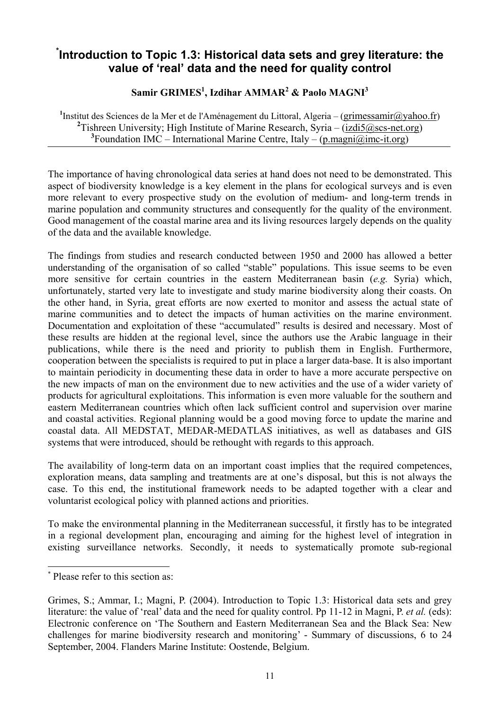# **[\\*](#page-14-0) Introduction to Topic 1.3: Historical data sets and grey literature: the value of 'real' data and the need for quality control**

**Samir GRIMES<sup>1</sup> , Izdihar AMMAR2 & Paolo MAGNI3**

<sup>1</sup>Institut des Sciences de la Mer et de l'Aménagement du Littoral, Algeria – (grimessamir@yahoo.fr) <sup>2</sup>Tishreen University; High Institute of Marine Research, Syria – (izdi5@scs-net.org) <sup>3</sup> Foundation IMC – International Marine Centre, Italy –  $(p \cdot \text{magni@ime-it.org})$ 

The importance of having chronological data series at hand does not need to be demonstrated. This aspect of biodiversity knowledge is a key element in the plans for ecological surveys and is even more relevant to every prospective study on the evolution of medium- and long-term trends in marine population and community structures and consequently for the quality of the environment. Good management of the coastal marine area and its living resources largely depends on the quality of the data and the available knowledge.

The findings from studies and research conducted between 1950 and 2000 has allowed a better understanding of the organisation of so called "stable" populations. This issue seems to be even more sensitive for certain countries in the eastern Mediterranean basin (*e.g.* Syria) which, unfortunately, started very late to investigate and study marine biodiversity along their coasts. On the other hand, in Syria, great efforts are now exerted to monitor and assess the actual state of marine communities and to detect the impacts of human activities on the marine environment. Documentation and exploitation of these "accumulated" results is desired and necessary. Most of these results are hidden at the regional level, since the authors use the Arabic language in their publications, while there is the need and priority to publish them in English. Furthermore, cooperation between the specialists is required to put in place a larger data-base. It is also important to maintain periodicity in documenting these data in order to have a more accurate perspective on the new impacts of man on the environment due to new activities and the use of a wider variety of products for agricultural exploitations. This information is even more valuable for the southern and eastern Mediterranean countries which often lack sufficient control and supervision over marine and coastal activities. Regional planning would be a good moving force to update the marine and coastal data. All MEDSTAT, MEDAR-MEDATLAS initiatives, as well as databases and GIS systems that were introduced, should be rethought with regards to this approach.

The availability of long-term data on an important coast implies that the required competences, exploration means, data sampling and treatments are at one's disposal, but this is not always the case. To this end, the institutional framework needs to be adapted together with a clear and voluntarist ecological policy with planned actions and priorities.

To make the environmental planning in the Mediterranean successful, it firstly has to be integrated in a regional development plan, encouraging and aiming for the highest level of integration in existing surveillance networks. Secondly, it needs to systematically promote sub-regional

<span id="page-14-0"></span><sup>\*</sup> Please refer to this section as:

Grimes, S.; Ammar, I.; Magni, P. (2004). Introduction to Topic 1.3: Historical data sets and grey literature: the value of 'real' data and the need for quality control. Pp 11-12 in Magni, P. *et al.* (eds): Electronic conference on 'The Southern and Eastern Mediterranean Sea and the Black Sea: New challenges for marine biodiversity research and monitoring' - Summary of discussions, 6 to 24 September, 2004. Flanders Marine Institute: Oostende, Belgium.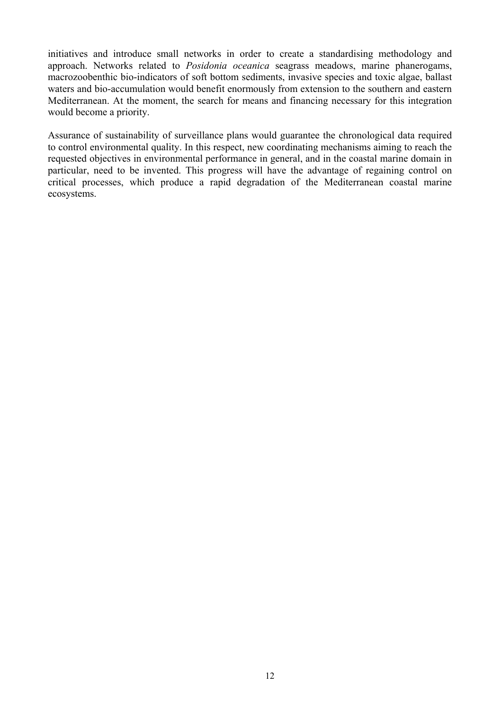initiatives and introduce small networks in order to create a standardising methodology and approach. Networks related to *Posidonia oceanica* seagrass meadows, marine phanerogams, macrozoobenthic bio-indicators of soft bottom sediments, invasive species and toxic algae, ballast waters and bio-accumulation would benefit enormously from extension to the southern and eastern Mediterranean. At the moment, the search for means and financing necessary for this integration would become a priority.

Assurance of sustainability of surveillance plans would guarantee the chronological data required to control environmental quality. In this respect, new coordinating mechanisms aiming to reach the requested objectives in environmental performance in general, and in the coastal marine domain in particular, need to be invented. This progress will have the advantage of regaining control on critical processes, which produce a rapid degradation of the Mediterranean coastal marine ecosystems.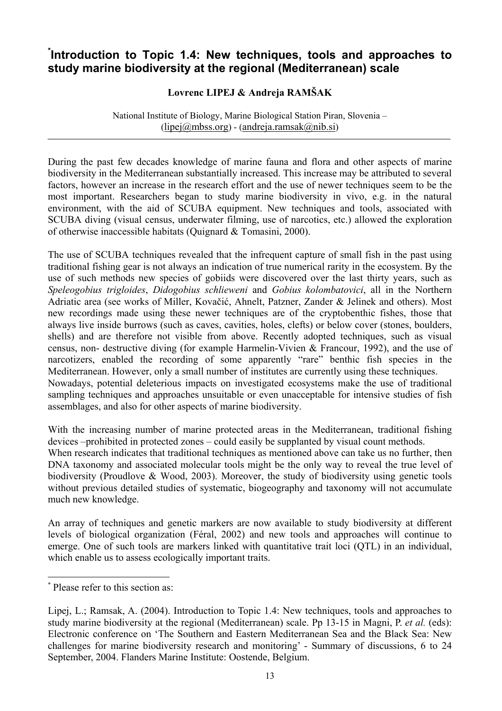# **\* [I](#page-16-0)ntroduction to Topic 1.4: New techniques, tools and approaches to study marine biodiversity at the regional (Mediterranean) scale**

**Lovrenc LIPEJ & Andreja RAMŠAK** 

National Institute of Biology, Marine Biological Station Piran, Slovenia – (lipej@mbss.org) - (andreja.ramsak@nib.si)

During the past few decades knowledge of marine fauna and flora and other aspects of marine biodiversity in the Mediterranean substantially increased. This increase may be attributed to several factors, however an increase in the research effort and the use of newer techniques seem to be the most important. Researchers began to study marine biodiversity in vivo, e.g. in the natural environment, with the aid of SCUBA equipment. New techniques and tools, associated with SCUBA diving (visual census, underwater filming, use of narcotics, etc.) allowed the exploration of otherwise inaccessible habitats (Quignard & Tomasini, 2000).

The use of SCUBA techniques revealed that the infrequent capture of small fish in the past using traditional fishing gear is not always an indication of true numerical rarity in the ecosystem. By the use of such methods new species of gobiids were discovered over the last thirty years, such as *Speleogobius trigloides*, *Didogobius schlieweni* and *Gobius kolombatovici*, all in the Northern Adriatic area (see works of Miller, Kovačić, Ahnelt, Patzner, Zander & Jelinek and others). Most new recordings made using these newer techniques are of the cryptobenthic fishes, those that always live inside burrows (such as caves, cavities, holes, clefts) or below cover (stones, boulders, shells) and are therefore not visible from above. Recently adopted techniques, such as visual census, non- destructive diving (for example Harmelin-Vivien & Francour, 1992), and the use of narcotizers, enabled the recording of some apparently "rare" benthic fish species in the Mediterranean. However, only a small number of institutes are currently using these techniques. Nowadays, potential deleterious impacts on investigated ecosystems make the use of traditional sampling techniques and approaches unsuitable or even unacceptable for intensive studies of fish assemblages, and also for other aspects of marine biodiversity.

With the increasing number of marine protected areas in the Mediterranean, traditional fishing devices –prohibited in protected zones – could easily be supplanted by visual count methods. When research indicates that traditional techniques as mentioned above can take us no further, then DNA taxonomy and associated molecular tools might be the only way to reveal the true level of biodiversity (Proudlove & Wood, 2003). Moreover, the study of biodiversity using genetic tools without previous detailed studies of systematic, biogeography and taxonomy will not accumulate much new knowledge.

An array of techniques and genetic markers are now available to study biodiversity at different levels of biological organization (Féral, 2002) and new tools and approaches will continue to emerge. One of such tools are markers linked with quantitative trait loci (QTL) in an individual, which enable us to assess ecologically important traits.

<span id="page-16-0"></span><sup>\*</sup> Please refer to this section as:

Lipej, L.; Ramsak, A. (2004). Introduction to Topic 1.4: New techniques, tools and approaches to study marine biodiversity at the regional (Mediterranean) scale. Pp 13-15 in Magni, P. *et al.* (eds): Electronic conference on 'The Southern and Eastern Mediterranean Sea and the Black Sea: New challenges for marine biodiversity research and monitoring' - Summary of discussions, 6 to 24 September, 2004. Flanders Marine Institute: Oostende, Belgium.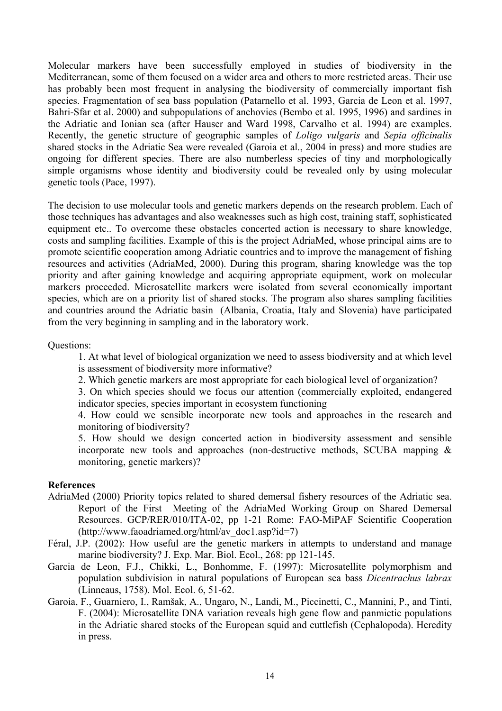Molecular markers have been successfully employed in studies of biodiversity in the Mediterranean, some of them focused on a wider area and others to more restricted areas. Their use has probably been most frequent in analysing the biodiversity of commercially important fish species. Fragmentation of sea bass population (Patarnello et al. 1993, Garcia de Leon et al. 1997, Bahri-Sfar et al. 2000) and subpopulations of anchovies (Bembo et al. 1995, 1996) and sardines in the Adriatic and Ionian sea (after Hauser and Ward 1998, Carvalho et al. 1994) are examples. Recently, the genetic structure of geographic samples of *Loligo vulgaris* and *Sepia officinalis* shared stocks in the Adriatic Sea were revealed (Garoia et al., 2004 in press) and more studies are ongoing for different species. There are also numberless species of tiny and morphologically simple organisms whose identity and biodiversity could be revealed only by using molecular genetic tools (Pace, 1997).

The decision to use molecular tools and genetic markers depends on the research problem. Each of those techniques has advantages and also weaknesses such as high cost, training staff, sophisticated equipment etc.. To overcome these obstacles concerted action is necessary to share knowledge, costs and sampling facilities. Example of this is the project AdriaMed, whose principal aims are to promote scientific cooperation among Adriatic countries and to improve the management of fishing resources and activities (AdriaMed, 2000). During this program, sharing knowledge was the top priority and after gaining knowledge and acquiring appropriate equipment, work on molecular markers proceeded. Microsatellite markers were isolated from several economically important species, which are on a priority list of shared stocks. The program also shares sampling facilities and countries around the Adriatic basin (Albania, Croatia, Italy and Slovenia) have participated from the very beginning in sampling and in the laboratory work.

## Questions:

1. At what level of biological organization we need to assess biodiversity and at which level is assessment of biodiversity more informative?

2. Which genetic markers are most appropriate for each biological level of organization?

3. On which species should we focus our attention (commercially exploited, endangered indicator species, species important in ecosystem functioning

4. How could we sensible incorporate new tools and approaches in the research and monitoring of biodiversity?

5. How should we design concerted action in biodiversity assessment and sensible incorporate new tools and approaches (non-destructive methods, SCUBA mapping  $\&$ monitoring, genetic markers)?

#### **References**

- AdriaMed (2000) Priority topics related to shared demersal fishery resources of the Adriatic sea. Report of the First Meeting of the AdriaMed Working Group on Shared Demersal Resources. GCP/RER/010/ITA-02, pp 1-21 Rome: FAO-MiPAF Scientific Cooperation  $(http://www.faoadriamed.org/http://www.faoadriamed.org/http://www.faoadriamed.org/http://www.faoadriamed.org/http://www.faoadriamed.org/http://www.faoadriamed.org/http://www.faoadriamed.org/http://www.faoadriamed.org/http://www.faoadriamed.org/http://www.faoadriamed.org/http://www.faoadriamed.org/http://www.faoadriamed.org/http://www.faoadriamed.org/http://www.faoadriamed.org/http://www.faoadriamed.org/http://www.faoadriamed.org/http://www.faoadriamed.org/http://www.faoadriamed.org/http://www.faoadriamed.org/http://www.faoadriamed.org/http://www.faoadriamed.org/http://www.faoadriamed.org/http://www.faoadriamed.org/http://www.faoadriamed.org/http://www$
- Féral, J.P. (2002): How useful are the genetic markers in attempts to understand and manage marine biodiversity? J. Exp. Mar. Biol. Ecol., 268: pp 121-145.
- Garcia de Leon, F.J., Chikki, L., Bonhomme, F. (1997): Microsatellite polymorphism and population subdivision in natural populations of European sea bass *Dicentrachus labrax* (Linneaus, 1758). Mol. Ecol. 6, 51-62.
- Garoia, F., Guarniero, I., Ramšak, A., Ungaro, N., Landi, M., Piccinetti, C., Mannini, P., and Tinti, F. (2004): Microsatellite DNA variation reveals high gene flow and panmictic populations in the Adriatic shared stocks of the European squid and cuttlefish (Cephalopoda). Heredity in press.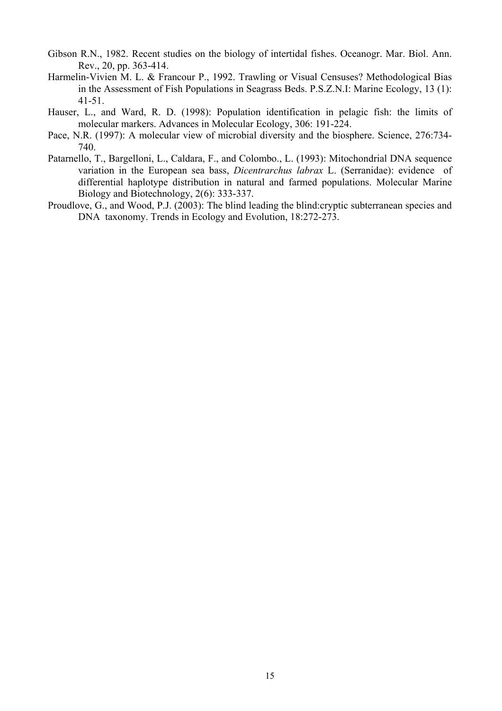- Gibson R.N., 1982. Recent studies on the biology of intertidal fishes. Oceanogr. Mar. Biol. Ann. Rev., 20, pp. 363-414.
- Harmelin-Vivien M. L. & Francour P., 1992. Trawling or Visual Censuses? Methodological Bias in the Assessment of Fish Populations in Seagrass Beds. P.S.Z.N.I: Marine Ecology, 13 (1): 41-51.
- Hauser, L., and Ward, R. D. (1998): Population identification in pelagic fish: the limits of molecular markers. Advances in Molecular Ecology, 306: 191-224.
- Pace, N.R. (1997): A molecular view of microbial diversity and the biosphere. Science, 276:734- 740.
- Patarnello, T., Bargelloni, L., Caldara, F., and Colombo., L. (1993): Mitochondrial DNA sequence variation in the European sea bass, *Dicentrarchus labrax* L. (Serranidae): evidence of differential haplotype distribution in natural and farmed populations. Molecular Marine Biology and Biotechnology, 2(6): 333-337.
- Proudlove, G., and Wood, P.J. (2003): The blind leading the blind:cryptic subterranean species and DNA taxonomy. Trends in Ecology and Evolution, 18:272-273.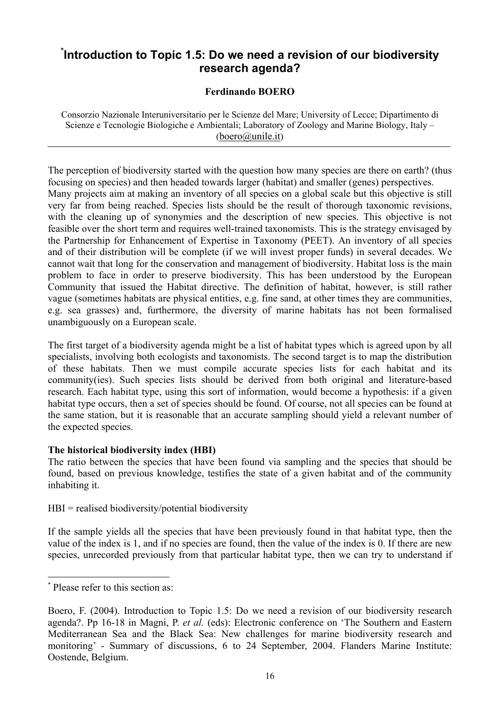# **[\\*](#page-19-0) Introduction to Topic 1.5: Do we need a revision of our biodiversity research agenda?**

# **Ferdinando BOERO**

Consorzio Nazionale Interuniversitario per le Scienze del Mare; University of Lecce; Dipartimento di Scienze e Tecnologie Biologiche e Ambientali; Laboratory of Zoology and Marine Biology, Italy – (boero@unile.it)

The perception of biodiversity started with the question how many species are there on earth? (thus focusing on species) and then headed towards larger (habitat) and smaller (genes) perspectives. Many projects aim at making an inventory of all species on a global scale but this objective is still very far from being reached. Species lists should be the result of thorough taxonomic revisions, with the cleaning up of synonymies and the description of new species. This objective is not feasible over the short term and requires well-trained taxonomists. This is the strategy envisaged by the Partnership for Enhancement of Expertise in Taxonomy (PEET). An inventory of all species and of their distribution will be complete (if we will invest proper funds) in several decades. We cannot wait that long for the conservation and management of biodiversity. Habitat loss is the main problem to face in order to preserve biodiversity. This has been understood by the European Community that issued the Habitat directive. The definition of habitat, however, is still rather vague (sometimes habitats are physical entities, e.g. fine sand, at other times they are communities, e.g. sea grasses) and, furthermore, the diversity of marine habitats has not been formalised unambiguously on a European scale.

The first target of a biodiversity agenda might be a list of habitat types which is agreed upon by all specialists, involving both ecologists and taxonomists. The second target is to map the distribution of these habitats. Then we must compile accurate species lists for each habitat and its community(ies). Such species lists should be derived from both original and literature-based research. Each habitat type, using this sort of information, would become a hypothesis: if a given habitat type occurs, then a set of species should be found. Of course, not all species can be found at the same station, but it is reasonable that an accurate sampling should yield a relevant number of the expected species.

# **The historical biodiversity index (HBI)**

The ratio between the species that have been found via sampling and the species that should be found, based on previous knowledge, testifies the state of a given habitat and of the community inhabiting it.

# HBI = realised biodiversity/potential biodiversity

If the sample yields all the species that have been previously found in that habitat type, then the value of the index is 1, and if no species are found, then the value of the index is 0. If there are new species, unrecorded previously from that particular habitat type, then we can try to understand if

<span id="page-19-0"></span><sup>\*</sup> Please refer to this section as:

Boero, F. (2004). Introduction to Topic 1.5: Do we need a revision of our biodiversity research agenda?. Pp 16-18 in Magni, P. *et al.* (eds): Electronic conference on 'The Southern and Eastern Mediterranean Sea and the Black Sea: New challenges for marine biodiversity research and monitoring' - Summary of discussions, 6 to 24 September, 2004. Flanders Marine Institute: Oostende, Belgium.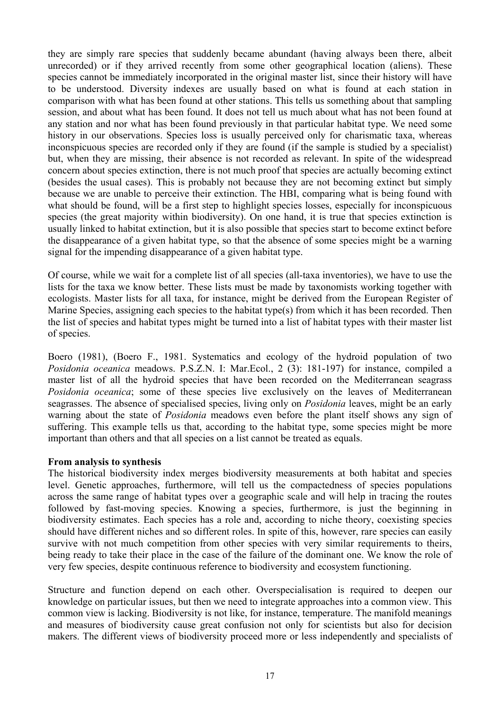they are simply rare species that suddenly became abundant (having always been there, albeit unrecorded) or if they arrived recently from some other geographical location (aliens). These species cannot be immediately incorporated in the original master list, since their history will have to be understood. Diversity indexes are usually based on what is found at each station in comparison with what has been found at other stations. This tells us something about that sampling session, and about what has been found. It does not tell us much about what has not been found at any station and nor what has been found previously in that particular habitat type. We need some history in our observations. Species loss is usually perceived only for charismatic taxa, whereas inconspicuous species are recorded only if they are found (if the sample is studied by a specialist) but, when they are missing, their absence is not recorded as relevant. In spite of the widespread concern about species extinction, there is not much proof that species are actually becoming extinct (besides the usual cases). This is probably not because they are not becoming extinct but simply because we are unable to perceive their extinction. The HBI, comparing what is being found with what should be found, will be a first step to highlight species losses, especially for inconspicuous species (the great majority within biodiversity). On one hand, it is true that species extinction is usually linked to habitat extinction, but it is also possible that species start to become extinct before the disappearance of a given habitat type, so that the absence of some species might be a warning signal for the impending disappearance of a given habitat type.

Of course, while we wait for a complete list of all species (all-taxa inventories), we have to use the lists for the taxa we know better. These lists must be made by taxonomists working together with ecologists. Master lists for all taxa, for instance, might be derived from the European Register of Marine Species, assigning each species to the habitat type(s) from which it has been recorded. Then the list of species and habitat types might be turned into a list of habitat types with their master list of species.

Boero (1981), (Boero F., 1981. Systematics and ecology of the hydroid population of two *Posidonia oceanica* meadows. P.S.Z.N. I: Mar.Ecol., 2 (3): 181-197) for instance, compiled a master list of all the hydroid species that have been recorded on the Mediterranean seagrass *Posidonia oceanica*; some of these species live exclusively on the leaves of Mediterranean seagrasses. The absence of specialised species, living only on *Posidonia* leaves, might be an early warning about the state of *Posidonia* meadows even before the plant itself shows any sign of suffering. This example tells us that, according to the habitat type, some species might be more important than others and that all species on a list cannot be treated as equals.

## **From analysis to synthesis**

The historical biodiversity index merges biodiversity measurements at both habitat and species level. Genetic approaches, furthermore, will tell us the compactedness of species populations across the same range of habitat types over a geographic scale and will help in tracing the routes followed by fast-moving species. Knowing a species, furthermore, is just the beginning in biodiversity estimates. Each species has a role and, according to niche theory, coexisting species should have different niches and so different roles. In spite of this, however, rare species can easily survive with not much competition from other species with very similar requirements to theirs, being ready to take their place in the case of the failure of the dominant one. We know the role of very few species, despite continuous reference to biodiversity and ecosystem functioning.

Structure and function depend on each other. Overspecialisation is required to deepen our knowledge on particular issues, but then we need to integrate approaches into a common view. This common view is lacking. Biodiversity is not like, for instance, temperature. The manifold meanings and measures of biodiversity cause great confusion not only for scientists but also for decision makers. The different views of biodiversity proceed more or less independently and specialists of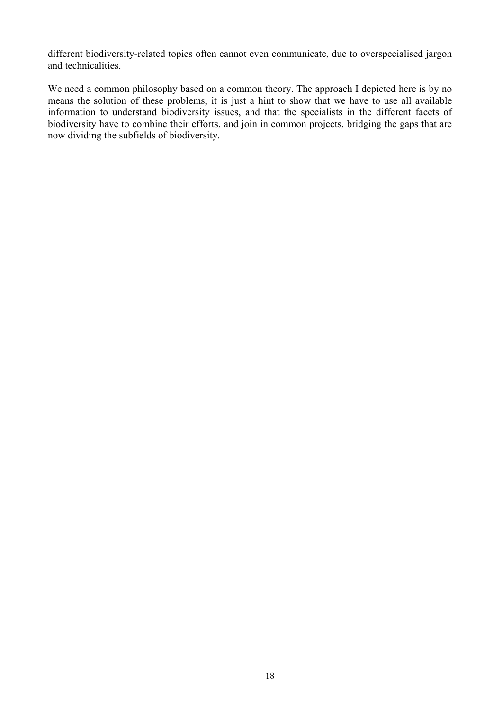different biodiversity-related topics often cannot even communicate, due to overspecialised jargon and technicalities.

We need a common philosophy based on a common theory. The approach I depicted here is by no means the solution of these problems, it is just a hint to show that we have to use all available information to understand biodiversity issues, and that the specialists in the different facets of biodiversity have to combine their efforts, and join in common projects, bridging the gaps that are now dividing the subfields of biodiversity.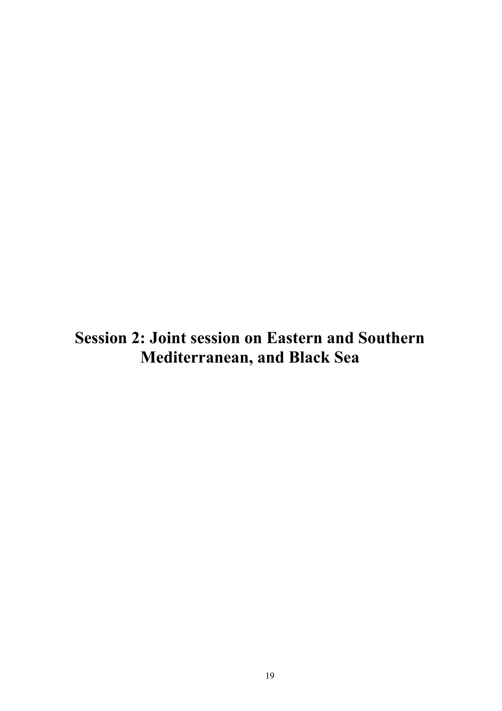# **Session 2: Joint session on Eastern and Southern Mediterranean, and Black Sea**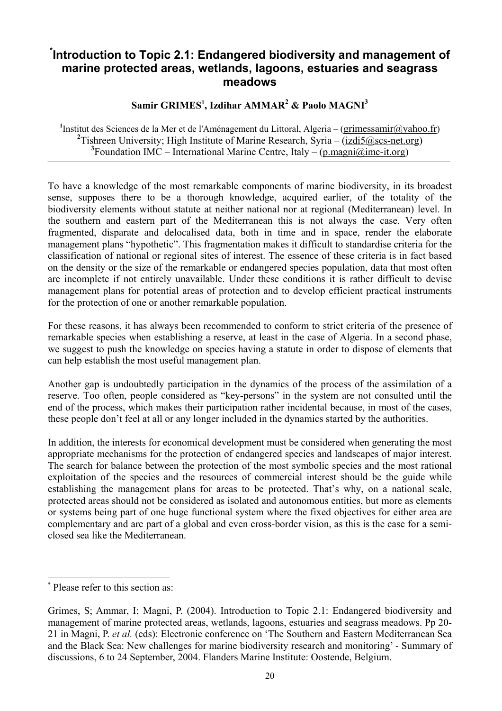# **[\\*](#page-23-0) Introduction to Topic 2.1: Endangered biodiversity and management of marine protected areas, wetlands, lagoons, estuaries and seagrass meadows**

# **Samir GRIMES1 , Izdihar AMMAR2 & Paolo MAGNI3**

<sup>1</sup>Institut des Sciences de la Mer et de l'Aménagement du Littoral, Algeria – (grimessamir@yahoo.fr) <sup>2</sup>Tishreen University; High Institute of Marine Research, Syria –  $(izdi5@scs-net.org)$ <sup>3</sup> Foundation IMC – International Marine Centre, Italy –  $(p \cdot \text{magni@ime-it.org})$ 

To have a knowledge of the most remarkable components of marine biodiversity, in its broadest sense, supposes there to be a thorough knowledge, acquired earlier, of the totality of the biodiversity elements without statute at neither national nor at regional (Mediterranean) level. In the southern and eastern part of the Mediterranean this is not always the case. Very often fragmented, disparate and delocalised data, both in time and in space, render the elaborate management plans "hypothetic". This fragmentation makes it difficult to standardise criteria for the classification of national or regional sites of interest. The essence of these criteria is in fact based on the density or the size of the remarkable or endangered species population, data that most often are incomplete if not entirely unavailable. Under these conditions it is rather difficult to devise management plans for potential areas of protection and to develop efficient practical instruments for the protection of one or another remarkable population.

For these reasons, it has always been recommended to conform to strict criteria of the presence of remarkable species when establishing a reserve, at least in the case of Algeria. In a second phase, we suggest to push the knowledge on species having a statute in order to dispose of elements that can help establish the most useful management plan.

Another gap is undoubtedly participation in the dynamics of the process of the assimilation of a reserve. Too often, people considered as "key-persons" in the system are not consulted until the end of the process, which makes their participation rather incidental because, in most of the cases, these people don't feel at all or any longer included in the dynamics started by the authorities.

In addition, the interests for economical development must be considered when generating the most appropriate mechanisms for the protection of endangered species and landscapes of major interest. The search for balance between the protection of the most symbolic species and the most rational exploitation of the species and the resources of commercial interest should be the guide while establishing the management plans for areas to be protected. That's why, on a national scale, protected areas should not be considered as isolated and autonomous entities, but more as elements or systems being part of one huge functional system where the fixed objectives for either area are complementary and are part of a global and even cross-border vision, as this is the case for a semiclosed sea like the Mediterranean.

<span id="page-23-0"></span><sup>\*</sup> Please refer to this section as:

Grimes, S; Ammar, I; Magni, P. (2004). Introduction to Topic 2.1: Endangered biodiversity and management of marine protected areas, wetlands, lagoons, estuaries and seagrass meadows. Pp 20- 21 in Magni, P. *et al.* (eds): Electronic conference on 'The Southern and Eastern Mediterranean Sea and the Black Sea: New challenges for marine biodiversity research and monitoring' - Summary of discussions, 6 to 24 September, 2004. Flanders Marine Institute: Oostende, Belgium.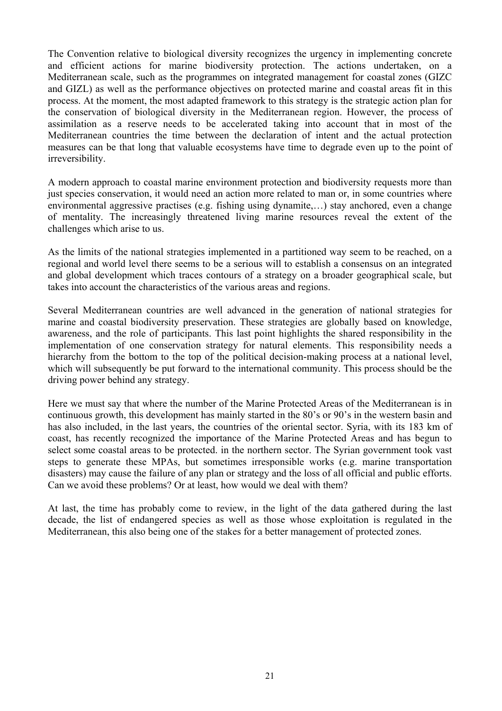The Convention relative to biological diversity recognizes the urgency in implementing concrete and efficient actions for marine biodiversity protection. The actions undertaken, on a Mediterranean scale, such as the programmes on integrated management for coastal zones (GIZC and GIZL) as well as the performance objectives on protected marine and coastal areas fit in this process. At the moment, the most adapted framework to this strategy is the strategic action plan for the conservation of biological diversity in the Mediterranean region. However, the process of assimilation as a reserve needs to be accelerated taking into account that in most of the Mediterranean countries the time between the declaration of intent and the actual protection measures can be that long that valuable ecosystems have time to degrade even up to the point of irreversibility.

A modern approach to coastal marine environment protection and biodiversity requests more than just species conservation, it would need an action more related to man or, in some countries where environmental aggressive practises (e.g. fishing using dynamite,…) stay anchored, even a change of mentality. The increasingly threatened living marine resources reveal the extent of the challenges which arise to us.

As the limits of the national strategies implemented in a partitioned way seem to be reached, on a regional and world level there seems to be a serious will to establish a consensus on an integrated and global development which traces contours of a strategy on a broader geographical scale, but takes into account the characteristics of the various areas and regions.

Several Mediterranean countries are well advanced in the generation of national strategies for marine and coastal biodiversity preservation. These strategies are globally based on knowledge, awareness, and the role of participants. This last point highlights the shared responsibility in the implementation of one conservation strategy for natural elements. This responsibility needs a hierarchy from the bottom to the top of the political decision-making process at a national level, which will subsequently be put forward to the international community. This process should be the driving power behind any strategy.

Here we must say that where the number of the Marine Protected Areas of the Mediterranean is in continuous growth, this development has mainly started in the 80's or 90's in the western basin and has also included, in the last years, the countries of the oriental sector. Syria, with its 183 km of coast, has recently recognized the importance of the Marine Protected Areas and has begun to select some coastal areas to be protected. in the northern sector. The Syrian government took vast steps to generate these MPAs, but sometimes irresponsible works (e.g. marine transportation disasters) may cause the failure of any plan or strategy and the loss of all official and public efforts. Can we avoid these problems? Or at least, how would we deal with them?

At last, the time has probably come to review, in the light of the data gathered during the last decade, the list of endangered species as well as those whose exploitation is regulated in the Mediterranean, this also being one of the stakes for a better management of protected zones.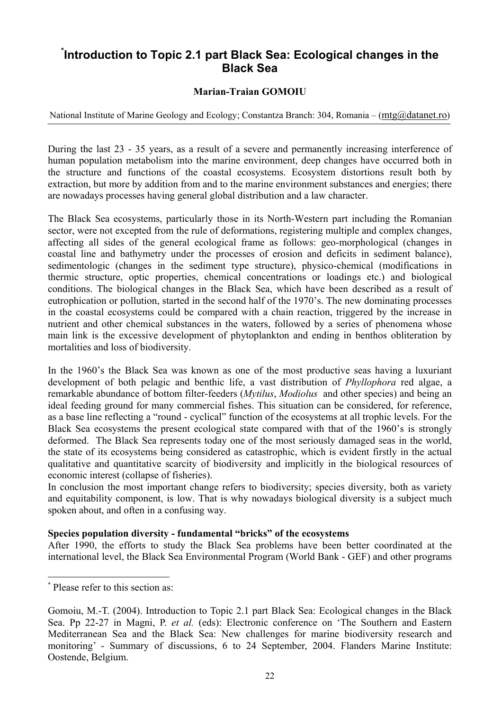# **[\\*](#page-25-0) Introduction to Topic 2.1 part Black Sea: Ecological changes in the Black Sea**

# **Marian-Traian GOMOIU**

National Institute of Marine Geology and Ecology; Constantza Branch: 304, Romania – (mtg@datanet.ro)

During the last 23 - 35 years, as a result of a severe and permanently increasing interference of human population metabolism into the marine environment, deep changes have occurred both in the structure and functions of the coastal ecosystems. Ecosystem distortions result both by extraction, but more by addition from and to the marine environment substances and energies; there are nowadays processes having general global distribution and a law character.

The Black Sea ecosystems, particularly those in its North-Western part including the Romanian sector, were not excepted from the rule of deformations, registering multiple and complex changes, affecting all sides of the general ecological frame as follows: geo-morphological (changes in coastal line and bathymetry under the processes of erosion and deficits in sediment balance), sedimentologic (changes in the sediment type structure), physico-chemical (modifications in thermic structure, optic properties, chemical concentrations or loadings etc.) and biological conditions. The biological changes in the Black Sea, which have been described as a result of eutrophication or pollution, started in the second half of the 1970's. The new dominating processes in the coastal ecosystems could be compared with a chain reaction, triggered by the increase in nutrient and other chemical substances in the waters, followed by a series of phenomena whose main link is the excessive development of phytoplankton and ending in benthos obliteration by mortalities and loss of biodiversity.

In the 1960's the Black Sea was known as one of the most productive seas having a luxuriant development of both pelagic and benthic life, a vast distribution of *Phyllophora* red algae, a remarkable abundance of bottom filter-feeders (*Mytilus*, *Modiolus* and other species) and being an ideal feeding ground for many commercial fishes. This situation can be considered, for reference, as a base line reflecting a "round - cyclical" function of the ecosystems at all trophic levels. For the Black Sea ecosystems the present ecological state compared with that of the 1960's is strongly deformed. The Black Sea represents today one of the most seriously damaged seas in the world, the state of its ecosystems being considered as catastrophic, which is evident firstly in the actual qualitative and quantitative scarcity of biodiversity and implicitly in the biological resources of economic interest (collapse of fisheries).

In conclusion the most important change refers to biodiversity; species diversity, both as variety and equitability component, is low. That is why nowadays biological diversity is a subject much spoken about, and often in a confusing way.

## **Species population diversity - fundamental "bricks" of the ecosystems**

After 1990, the efforts to study the Black Sea problems have been better coordinated at the international level, the Black Sea Environmental Program (World Bank - GEF) and other programs

<span id="page-25-0"></span><sup>\*</sup> Please refer to this section as:

Gomoiu, M.-T. (2004). Introduction to Topic 2.1 part Black Sea: Ecological changes in the Black Sea. Pp 22-27 in Magni, P. *et al.* (eds): Electronic conference on 'The Southern and Eastern Mediterranean Sea and the Black Sea: New challenges for marine biodiversity research and monitoring' - Summary of discussions, 6 to 24 September, 2004. Flanders Marine Institute: Oostende, Belgium.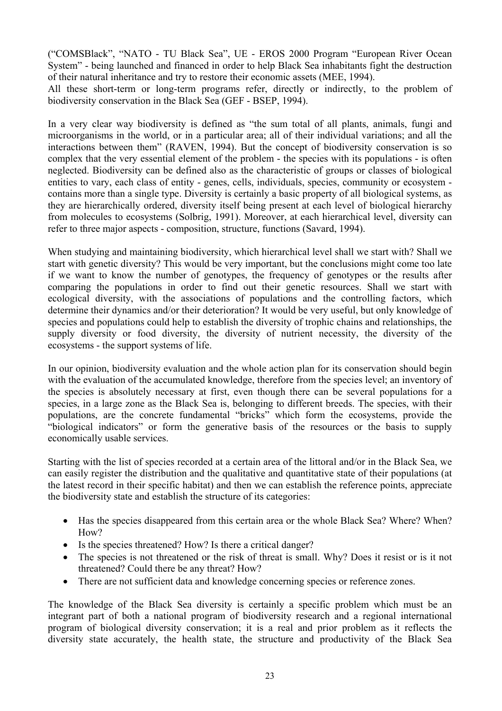("COMSBlack", "NATO - TU Black Sea", UE - EROS 2000 Program "European River Ocean System" - being launched and financed in order to help Black Sea inhabitants fight the destruction of their natural inheritance and try to restore their economic assets (MEE, 1994).

All these short-term or long-term programs refer, directly or indirectly, to the problem of biodiversity conservation in the Black Sea (GEF - BSEP, 1994).

In a very clear way biodiversity is defined as "the sum total of all plants, animals, fungi and microorganisms in the world, or in a particular area; all of their individual variations; and all the interactions between them" (RAVEN, 1994). But the concept of biodiversity conservation is so complex that the very essential element of the problem - the species with its populations - is often neglected. Biodiversity can be defined also as the characteristic of groups or classes of biological entities to vary, each class of entity - genes, cells, individuals, species, community or ecosystem contains more than a single type. Diversity is certainly a basic property of all biological systems, as they are hierarchically ordered, diversity itself being present at each level of biological hierarchy from molecules to ecosystems (Solbrig, 1991). Moreover, at each hierarchical level, diversity can refer to three major aspects - composition, structure, functions (Savard, 1994).

When studying and maintaining biodiversity, which hierarchical level shall we start with? Shall we start with genetic diversity? This would be very important, but the conclusions might come too late if we want to know the number of genotypes, the frequency of genotypes or the results after comparing the populations in order to find out their genetic resources. Shall we start with ecological diversity, with the associations of populations and the controlling factors, which determine their dynamics and/or their deterioration? It would be very useful, but only knowledge of species and populations could help to establish the diversity of trophic chains and relationships, the supply diversity or food diversity, the diversity of nutrient necessity, the diversity of the ecosystems - the support systems of life.

In our opinion, biodiversity evaluation and the whole action plan for its conservation should begin with the evaluation of the accumulated knowledge, therefore from the species level; an inventory of the species is absolutely necessary at first, even though there can be several populations for a species, in a large zone as the Black Sea is, belonging to different breeds. The species, with their populations, are the concrete fundamental "bricks" which form the ecosystems, provide the "biological indicators" or form the generative basis of the resources or the basis to supply economically usable services.

Starting with the list of species recorded at a certain area of the littoral and/or in the Black Sea, we can easily register the distribution and the qualitative and quantitative state of their populations (at the latest record in their specific habitat) and then we can establish the reference points, appreciate the biodiversity state and establish the structure of its categories:

- Has the species disappeared from this certain area or the whole Black Sea? Where? When? How?
- Is the species threatened? How? Is there a critical danger?
- The species is not threatened or the risk of threat is small. Why? Does it resist or is it not threatened? Could there be any threat? How?
- There are not sufficient data and knowledge concerning species or reference zones.

The knowledge of the Black Sea diversity is certainly a specific problem which must be an integrant part of both a national program of biodiversity research and a regional international program of biological diversity conservation; it is a real and prior problem as it reflects the diversity state accurately, the health state, the structure and productivity of the Black Sea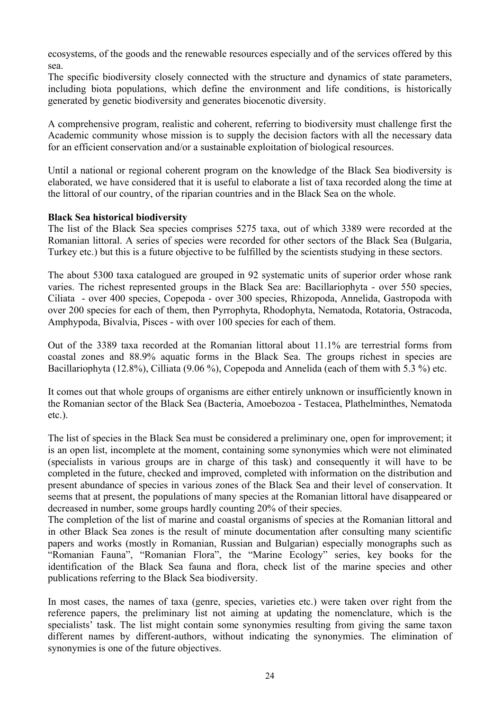ecosystems, of the goods and the renewable resources especially and of the services offered by this sea.

The specific biodiversity closely connected with the structure and dynamics of state parameters, including biota populations, which define the environment and life conditions, is historically generated by genetic biodiversity and generates biocenotic diversity.

A comprehensive program, realistic and coherent, referring to biodiversity must challenge first the Academic community whose mission is to supply the decision factors with all the necessary data for an efficient conservation and/or a sustainable exploitation of biological resources.

Until a national or regional coherent program on the knowledge of the Black Sea biodiversity is elaborated, we have considered that it is useful to elaborate a list of taxa recorded along the time at the littoral of our country, of the riparian countries and in the Black Sea on the whole.

## **Black Sea historical biodiversity**

The list of the Black Sea species comprises 5275 taxa, out of which 3389 were recorded at the Romanian littoral. A series of species were recorded for other sectors of the Black Sea (Bulgaria, Turkey etc.) but this is a future objective to be fulfilled by the scientists studying in these sectors.

The about 5300 taxa catalogued are grouped in 92 systematic units of superior order whose rank varies. The richest represented groups in the Black Sea are: Bacillariophyta - over 550 species, Ciliata - over 400 species, Copepoda - over 300 species, Rhizopoda, Annelida, Gastropoda with over 200 species for each of them, then Pyrrophyta, Rhodophyta, Nematoda, Rotatoria, Ostracoda, Amphypoda, Bivalvia, Pisces - with over 100 species for each of them.

Out of the 3389 taxa recorded at the Romanian littoral about 11.1% are terrestrial forms from coastal zones and 88.9% aquatic forms in the Black Sea. The groups richest in species are Bacillariophyta (12.8%), Cilliata (9.06 %), Copepoda and Annelida (each of them with 5.3 %) etc.

It comes out that whole groups of organisms are either entirely unknown or insufficiently known in the Romanian sector of the Black Sea (Bacteria, Amoebozoa - Testacea, Plathelminthes, Nematoda etc.).

The list of species in the Black Sea must be considered a preliminary one, open for improvement; it is an open list, incomplete at the moment, containing some synonymies which were not eliminated (specialists in various groups are in charge of this task) and consequently it will have to be completed in the future, checked and improved, completed with information on the distribution and present abundance of species in various zones of the Black Sea and their level of conservation. It seems that at present, the populations of many species at the Romanian littoral have disappeared or decreased in number, some groups hardly counting 20% of their species.

The completion of the list of marine and coastal organisms of species at the Romanian littoral and in other Black Sea zones is the result of minute documentation after consulting many scientific papers and works (mostly in Romanian, Russian and Bulgarian) especially monographs such as "Romanian Fauna", "Romanian Flora", the "Marine Ecology" series, key books for the identification of the Black Sea fauna and flora, check list of the marine species and other publications referring to the Black Sea biodiversity.

In most cases, the names of taxa (genre, species, varieties etc.) were taken over right from the reference papers, the preliminary list not aiming at updating the nomenclature, which is the specialists' task. The list might contain some synonymies resulting from giving the same taxon different names by different-authors, without indicating the synonymies. The elimination of synonymies is one of the future objectives.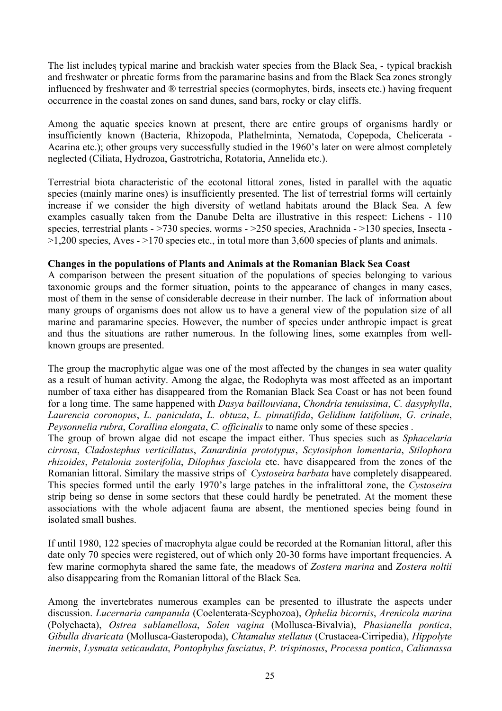The list includes typical marine and brackish water species from the Black Sea, - typical brackish and freshwater or phreatic forms from the paramarine basins and from the Black Sea zones strongly influenced by freshwater and ® terrestrial species (cormophytes, birds, insects etc.) having frequent occurrence in the coastal zones on sand dunes, sand bars, rocky or clay cliffs.

Among the aquatic species known at present, there are entire groups of organisms hardly or insufficiently known (Bacteria, Rhizopoda, Plathelminta, Nematoda, Copepoda, Chelicerata - Acarina etc.); other groups very successfully studied in the 1960's later on were almost completely neglected (Ciliata, Hydrozoa, Gastrotricha, Rotatoria, Annelida etc.).

Terrestrial biota characteristic of the ecotonal littoral zones, listed in parallel with the aquatic species (mainly marine ones) is insufficiently presented. The list of terrestrial forms will certainly increase if we consider the high diversity of wetland habitats around the Black Sea. A few examples casually taken from the Danube Delta are illustrative in this respect: Lichens - 110 species, terrestrial plants - >730 species, worms - >250 species, Arachnida - >130 species, Insecta -  $>1,200$  species, Aves  $\sim$  170 species etc., in total more than 3,600 species of plants and animals.

## **Changes in the populations of Plants and Animals at the Romanian Black Sea Coast**

A comparison between the present situation of the populations of species belonging to various taxonomic groups and the former situation, points to the appearance of changes in many cases, most of them in the sense of considerable decrease in their number. The lack of information about many groups of organisms does not allow us to have a general view of the population size of all marine and paramarine species. However, the number of species under anthropic impact is great and thus the situations are rather numerous. In the following lines, some examples from wellknown groups are presented.

The group the macrophytic algae was one of the most affected by the changes in sea water quality as a result of human activity. Among the algae, the Rodophyta was most affected as an important number of taxa either has disappeared from the Romanian Black Sea Coast or has not been found for a long time. The same happened with *Dasya baillouviana*, *Chondria tenuissima*, *C. dasyphylla*, *Laurencia coronopus*, *L. paniculata*, *L. obtuza*, *L. pinnatifida*, *Gelidium latifolium*, *G. crinale*, *Peysonnelia rubra*, *Corallina elongata*, *C. officinalis* to name only some of these species .

The group of brown algae did not escape the impact either. Thus species such as *Sphacelaria cirrosa*, *Cladostephus verticillatus*, *Zanardinia prototypus*, *Scytosiphon lomentaria*, *Stilophora rhizoides*, *Petalonia zosterifolia*, *Dilophus fasciola* etc. have disappeared from the zones of the Romanian littoral. Similary the massive strips of *Cystoseira barbata* have completely disappeared. This species formed until the early 1970's large patches in the infralittoral zone, the *Cystoseira* strip being so dense in some sectors that these could hardly be penetrated. At the moment these associations with the whole adjacent fauna are absent, the mentioned species being found in isolated small bushes.

If until 1980, 122 species of macrophyta algae could be recorded at the Romanian littoral, after this date only 70 species were registered, out of which only 20-30 forms have important frequencies. A few marine cormophyta shared the same fate, the meadows of *Zostera marina* and *Zostera noltii* also disappearing from the Romanian littoral of the Black Sea.

Among the invertebrates numerous examples can be presented to illustrate the aspects under discussion. *Lucernaria campanula* (Coelenterata-Scyphozoa), *Ophelia bicornis*, *Arenicola marina* (Polychaeta), *Ostrea sublamellosa*, *Solen vagina* (Mollusca-Bivalvia), *Phasianella pontica*, *Gibulla divaricata* (Mollusca-Gasteropoda), *Chtamalus stellatus* (Crustacea-Cirripedia), *Hippolyte inermis*, *Lysmata seticaudata*, *Pontophylus fasciatus*, *P. trispinosus*, *Processa pontica*, *Calianassa*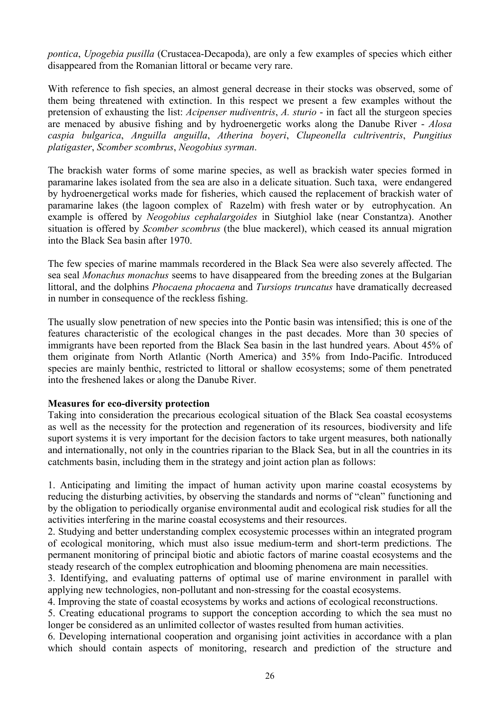*pontica*, *Upogebia pusilla* (Crustacea-Decapoda), are only a few examples of species which either disappeared from the Romanian littoral or became very rare.

With reference to fish species, an almost general decrease in their stocks was observed, some of them being threatened with extinction. In this respect we present a few examples without the pretension of exhausting the list: *Acipenser nudiventris*, *A. sturio* - in fact all the sturgeon species are menaced by abusive fishing and by hydroenergetic works along the Danube River - *Alosa caspia bulgarica*, *Anguilla anguilla*, *Atherina boyeri*, *Clupeonella cultriventris*, *Pungitius platigaster*, *Scomber scombrus*, *Neogobius syrman*.

The brackish water forms of some marine species, as well as brackish water species formed in paramarine lakes isolated from the sea are also in a delicate situation. Such taxa, were endangered by hydroenergetical works made for fisheries, which caused the replacement of brackish water of paramarine lakes (the lagoon complex of Razelm) with fresh water or by eutrophycation. An example is offered by *Neogobius cephalargoides* in Siutghiol lake (near Constantza). Another situation is offered by *Scomber scombrus* (the blue mackerel), which ceased its annual migration into the Black Sea basin after 1970.

The few species of marine mammals recordered in the Black Sea were also severely affected. The sea seal *Monachus monachus* seems to have disappeared from the breeding zones at the Bulgarian littoral, and the dolphins *Phocaena phocaena* and *Tursiops truncatus* have dramatically decreased in number in consequence of the reckless fishing.

The usually slow penetration of new species into the Pontic basin was intensified; this is one of the features characteristic of the ecological changes in the past decades. More than 30 species of immigrants have been reported from the Black Sea basin in the last hundred years. About 45% of them originate from North Atlantic (North America) and 35% from Indo-Pacific. Introduced species are mainly benthic, restricted to littoral or shallow ecosystems; some of them penetrated into the freshened lakes or along the Danube River.

## **Measures for eco-diversity protection**

Taking into consideration the precarious ecological situation of the Black Sea coastal ecosystems as well as the necessity for the protection and regeneration of its resources, biodiversity and life suport systems it is very important for the decision factors to take urgent measures, both nationally and internationally, not only in the countries riparian to the Black Sea, but in all the countries in its catchments basin, including them in the strategy and joint action plan as follows:

1. Anticipating and limiting the impact of human activity upon marine coastal ecosystems by reducing the disturbing activities, by observing the standards and norms of "clean" functioning and by the obligation to periodically organise environmental audit and ecological risk studies for all the activities interfering in the marine coastal ecosystems and their resources.

2. Studying and better understanding complex ecosystemic processes within an integrated program of ecological monitoring, which must also issue medium-term and short-term predictions. The permanent monitoring of principal biotic and abiotic factors of marine coastal ecosystems and the steady research of the complex eutrophication and blooming phenomena are main necessities.

3. Identifying, and evaluating patterns of optimal use of marine environment in parallel with applying new technologies, non-pollutant and non-stressing for the coastal ecosystems.

4. Improving the state of coastal ecosystems by works and actions of ecological reconstructions.

5. Creating educational programs to support the conception according to which the sea must no longer be considered as an unlimited collector of wastes resulted from human activities.

6. Developing international cooperation and organising joint activities in accordance with a plan which should contain aspects of monitoring, research and prediction of the structure and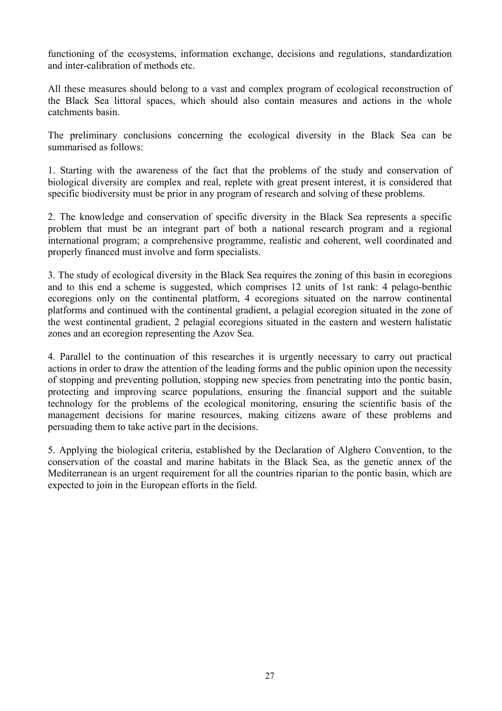functioning of the ecosystems, information exchange, decisions and regulations, standardization and inter-calibration of methods etc.

All these measures should belong to a vast and complex program of ecological reconstruction of the Black Sea littoral spaces, which should also contain measures and actions in the whole catchments basin.

The preliminary conclusions concerning the ecological diversity in the Black Sea can be summarised as follows:

1. Starting with the awareness of the fact that the problems of the study and conservation of biological diversity are complex and real, replete with great present interest, it is considered that specific biodiversity must be prior in any program of research and solving of these problems.

2. The knowledge and conservation of specific diversity in the Black Sea represents a specific problem that must be an integrant part of both a national research program and a regional international program; a comprehensive programme, realistic and coherent, well coordinated and properly financed must involve and form specialists.

3. The study of ecological diversity in the Black Sea requires the zoning of this basin in ecoregions and to this end a scheme is suggested, which comprises 12 units of 1st rank: 4 pelago-benthic ecoregions only on the continental platform, 4 ecoregions situated on the narrow continental platforms and continued with the continental gradient, a pelagial ecoregion situated in the zone of the west continental gradient, 2 pelagial ecoregions situated in the eastern and western halistatic zones and an ecoregion representing the Azov Sea.

4. Parallel to the continuation of this researches it is urgently necessary to carry out practical actions in order to draw the attention of the leading forms and the public opinion upon the necessity of stopping and preventing pollution, stopping new species from penetrating into the pontic basin, protecting and improving scarce populations, ensuring the financial support and the suitable technology for the problems of the ecological monitoring, ensuring the scientific basis of the management decisions for marine resources, making citizens aware of these problems and persuading them to take active part in the decisions.

5. Applying the biological criteria, established by the Declaration of Alghero Convention, to the conservation of the coastal and marine habitats in the Black Sea, as the genetic annex of the Mediterranean is an urgent requirement for all the countries riparian to the pontic basin, which are expected to join in the European efforts in the field.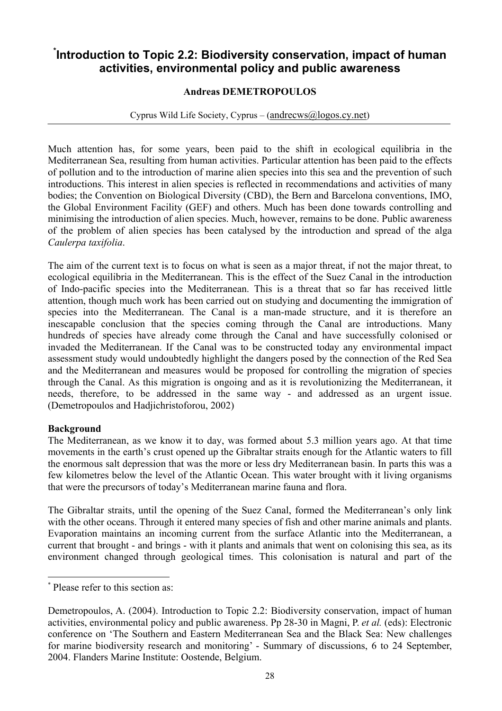# **[\\*](#page-31-0) Introduction to Topic 2.2: Biodiversity conservation, impact of human activities, environmental policy and public awareness**

# **Andreas DEMETROPOULOS**

## Cyprus Wild Life Society, Cyprus – (andrecws@logos.cy.net)

Much attention has, for some years, been paid to the shift in ecological equilibria in the Mediterranean Sea, resulting from human activities. Particular attention has been paid to the effects of pollution and to the introduction of marine alien species into this sea and the prevention of such introductions. This interest in alien species is reflected in recommendations and activities of many bodies; the Convention on Biological Diversity (CBD), the Bern and Barcelona conventions, IMO, the Global Environment Facility (GEF) and others. Much has been done towards controlling and minimising the introduction of alien species. Much, however, remains to be done. Public awareness of the problem of alien species has been catalysed by the introduction and spread of the alga *Caulerpa taxifolia*.

The aim of the current text is to focus on what is seen as a major threat, if not the major threat, to ecological equilibria in the Mediterranean. This is the effect of the Suez Canal in the introduction of Indo-pacific species into the Mediterranean. This is a threat that so far has received little attention, though much work has been carried out on studying and documenting the immigration of species into the Mediterranean. The Canal is a man-made structure, and it is therefore an inescapable conclusion that the species coming through the Canal are introductions. Many hundreds of species have already come through the Canal and have successfully colonised or invaded the Mediterranean. If the Canal was to be constructed today any environmental impact assessment study would undoubtedly highlight the dangers posed by the connection of the Red Sea and the Mediterranean and measures would be proposed for controlling the migration of species through the Canal. As this migration is ongoing and as it is revolutionizing the Mediterranean, it needs, therefore, to be addressed in the same way - and addressed as an urgent issue. (Demetropoulos and Hadjichristoforou, 2002)

## **Background**

l

The Mediterranean, as we know it to day, was formed about 5.3 million years ago. At that time movements in the earth's crust opened up the Gibraltar straits enough for the Atlantic waters to fill the enormous salt depression that was the more or less dry Mediterranean basin. In parts this was a few kilometres below the level of the Atlantic Ocean. This water brought with it living organisms that were the precursors of today's Mediterranean marine fauna and flora.

The Gibraltar straits, until the opening of the Suez Canal, formed the Mediterranean's only link with the other oceans. Through it entered many species of fish and other marine animals and plants. Evaporation maintains an incoming current from the surface Atlantic into the Mediterranean, a current that brought - and brings - with it plants and animals that went on colonising this sea, as its environment changed through geological times. This colonisation is natural and part of the

<span id="page-31-0"></span><sup>\*</sup> Please refer to this section as:

Demetropoulos, A. (2004). Introduction to Topic 2.2: Biodiversity conservation, impact of human activities, environmental policy and public awareness. Pp 28-30 in Magni, P. *et al.* (eds): Electronic conference on 'The Southern and Eastern Mediterranean Sea and the Black Sea: New challenges for marine biodiversity research and monitoring' - Summary of discussions, 6 to 24 September, 2004. Flanders Marine Institute: Oostende, Belgium.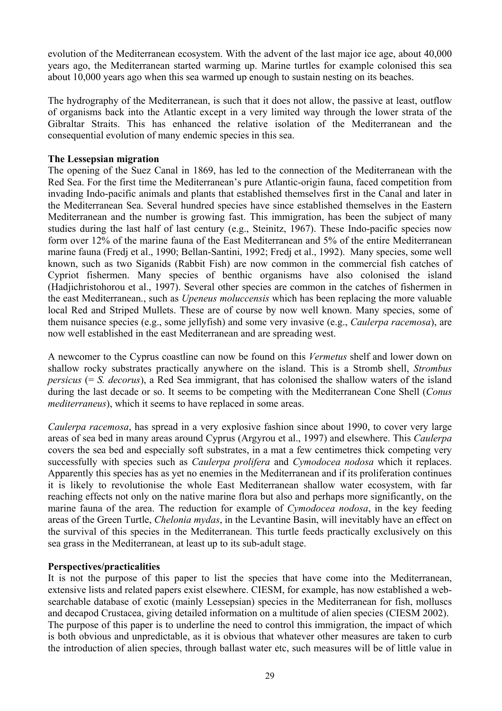evolution of the Mediterranean ecosystem. With the advent of the last major ice age, about 40,000 years ago, the Mediterranean started warming up. Marine turtles for example colonised this sea about 10,000 years ago when this sea warmed up enough to sustain nesting on its beaches.

The hydrography of the Mediterranean, is such that it does not allow, the passive at least, outflow of organisms back into the Atlantic except in a very limited way through the lower strata of the Gibraltar Straits. This has enhanced the relative isolation of the Mediterranean and the consequential evolution of many endemic species in this sea.

# **The Lessepsian migration**

The opening of the Suez Canal in 1869, has led to the connection of the Mediterranean with the Red Sea. For the first time the Mediterranean's pure Atlantic-origin fauna, faced competition from invading Indo-pacific animals and plants that established themselves first in the Canal and later in the Mediterranean Sea. Several hundred species have since established themselves in the Eastern Mediterranean and the number is growing fast. This immigration, has been the subject of many studies during the last half of last century (e.g., Steinitz, 1967). These Indo-pacific species now form over 12% of the marine fauna of the East Mediterranean and 5% of the entire Mediterranean marine fauna (Fredj et al., 1990; Bellan-Santini, 1992; Fredj et al., 1992). Many species, some well known, such as two Siganids (Rabbit Fish) are now common in the commercial fish catches of Cypriot fishermen. Many species of benthic organisms have also colonised the island (Hadjichristohorou et al., 1997). Several other species are common in the catches of fishermen in the east Mediterranean., such as *Upeneus moluccensis* which has been replacing the more valuable local Red and Striped Mullets. These are of course by now well known. Many species, some of them nuisance species (e.g., some jellyfish) and some very invasive (e.g., *Caulerpa racemosa*), are now well established in the east Mediterranean and are spreading west.

A newcomer to the Cyprus coastline can now be found on this *Vermetus* shelf and lower down on shallow rocky substrates practically anywhere on the island. This is a Stromb shell, *Strombus persicus* (= *S. decorus*), a Red Sea immigrant, that has colonised the shallow waters of the island during the last decade or so. It seems to be competing with the Mediterranean Cone Shell (*Conus mediterraneus*), which it seems to have replaced in some areas.

*Caulerpa racemosa*, has spread in a very explosive fashion since about 1990, to cover very large areas of sea bed in many areas around Cyprus (Argyrou et al., 1997) and elsewhere. This *Caulerpa* covers the sea bed and especially soft substrates, in a mat a few centimetres thick competing very successfully with species such as *Caulerpa prolifera* and *Cymodocea nodosa* which it replaces. Apparently this species has as yet no enemies in the Mediterranean and if its proliferation continues it is likely to revolutionise the whole East Mediterranean shallow water ecosystem, with far reaching effects not only on the native marine flora but also and perhaps more significantly, on the marine fauna of the area. The reduction for example of *Cymodocea nodosa*, in the key feeding areas of the Green Turtle, *Chelonia mydas*, in the Levantine Basin, will inevitably have an effect on the survival of this species in the Mediterranean. This turtle feeds practically exclusively on this sea grass in the Mediterranean, at least up to its sub-adult stage.

## **Perspectives/practicalities**

It is not the purpose of this paper to list the species that have come into the Mediterranean, extensive lists and related papers exist elsewhere. CIESM, for example, has now established a websearchable database of exotic (mainly Lessepsian) species in the Mediterranean for fish, molluscs and decapod Crustacea, giving detailed information on a multitude of alien species (CIESM 2002). The purpose of this paper is to underline the need to control this immigration, the impact of which is both obvious and unpredictable, as it is obvious that whatever other measures are taken to curb the introduction of alien species, through ballast water etc, such measures will be of little value in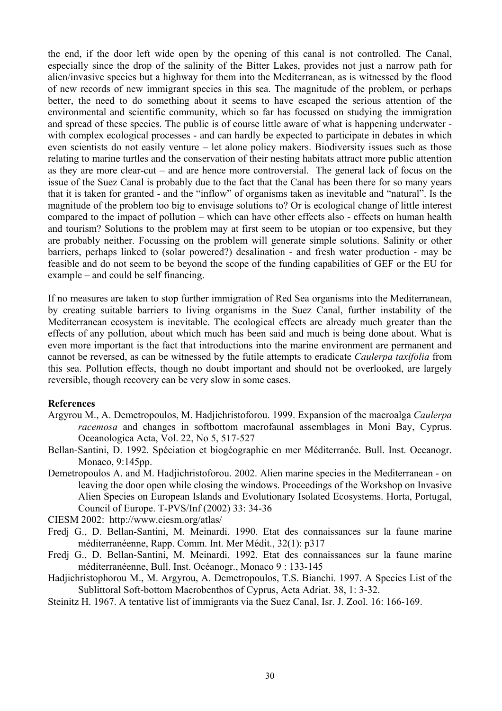the end, if the door left wide open by the opening of this canal is not controlled. The Canal, especially since the drop of the salinity of the Bitter Lakes, provides not just a narrow path for alien/invasive species but a highway for them into the Mediterranean, as is witnessed by the flood of new records of new immigrant species in this sea. The magnitude of the problem, or perhaps better, the need to do something about it seems to have escaped the serious attention of the environmental and scientific community, which so far has focussed on studying the immigration and spread of these species. The public is of course little aware of what is happening underwater with complex ecological processes - and can hardly be expected to participate in debates in which even scientists do not easily venture – let alone policy makers. Biodiversity issues such as those relating to marine turtles and the conservation of their nesting habitats attract more public attention as they are more clear-cut – and are hence more controversial. The general lack of focus on the issue of the Suez Canal is probably due to the fact that the Canal has been there for so many years that it is taken for granted - and the "inflow" of organisms taken as inevitable and "natural". Is the magnitude of the problem too big to envisage solutions to? Or is ecological change of little interest compared to the impact of pollution – which can have other effects also - effects on human health and tourism? Solutions to the problem may at first seem to be utopian or too expensive, but they are probably neither. Focussing on the problem will generate simple solutions. Salinity or other barriers, perhaps linked to (solar powered?) desalination - and fresh water production - may be feasible and do not seem to be beyond the scope of the funding capabilities of GEF or the EU for example – and could be self financing.

If no measures are taken to stop further immigration of Red Sea organisms into the Mediterranean, by creating suitable barriers to living organisms in the Suez Canal, further instability of the Mediterranean ecosystem is inevitable. The ecological effects are already much greater than the effects of any pollution, about which much has been said and much is being done about. What is even more important is the fact that introductions into the marine environment are permanent and cannot be reversed, as can be witnessed by the futile attempts to eradicate *Caulerpa taxifolia* from this sea. Pollution effects, though no doubt important and should not be overlooked, are largely reversible, though recovery can be very slow in some cases.

### **References**

- Argyrou M., A. Demetropoulos, M. Hadjichristoforou. 1999. Expansion of the macroalga *Caulerpa racemosa* and changes in softbottom macrofaunal assemblages in Moni Bay, Cyprus. Oceanologica Acta, Vol. 22, No 5, 517-527
- Bellan-Santini, D. 1992. Spéciation et biogéographie en mer Méditerranée. Bull. Inst. Oceanogr. Monaco, 9:145pp.
- Demetropoulos A. and M. Hadjichristoforou. 2002. Alien marine species in the Mediterranean on leaving the door open while closing the windows. Proceedings of the Workshop on Invasive Alien Species on European Islands and Evolutionary Isolated Ecosystems. Horta, Portugal, Council of Europe. T-PVS/Inf (2002) 33: 34-36

CIESM 2002: http://www.ciesm.org/atlas/

- Fredj G., D. Bellan-Santini, M. Meinardi. 1990. Etat des connaissances sur la faune marine méditerranéenne, Rapp. Comm. Int. Mer Médit., 32(1): p317
- Fredj G., D. Bellan-Santini, M. Meinardi. 1992. Etat des connaissances sur la faune marine méditerranéenne, Bull. Inst. Océanogr., Monaco 9 : 133-145
- Hadjichristophorou M., M. Argyrou, A. Demetropoulos, T.S. Bianchi. 1997. A Species List of the Sublittoral Soft-bottom Macrobenthos of Cyprus, Acta Adriat. 38, 1: 3-32.
- Steinitz H. 1967. A tentative list of immigrants via the Suez Canal, Isr. J. Zool. 16: 166-169.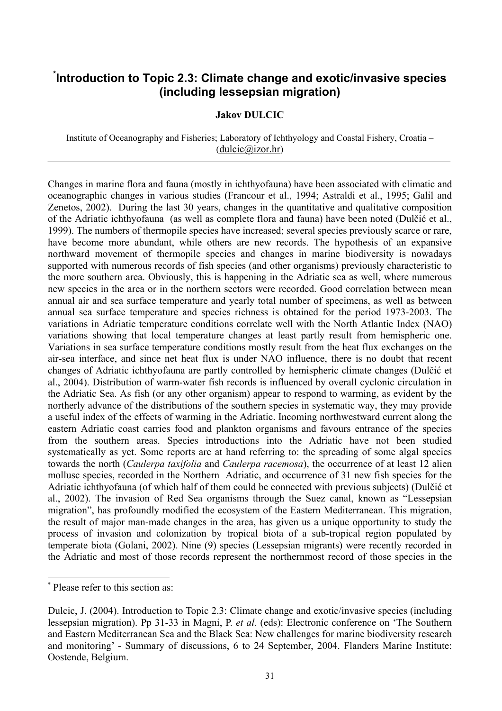# **[\\*](#page-34-0) Introduction to Topic 2.3: Climate change and exotic/invasive species (including lessepsian migration)**

# **Jakov DULCIC**

# Institute of Oceanography and Fisheries; Laboratory of Ichthyology and Coastal Fishery, Croatia –  $(dulcic@izor.htm)$

Changes in marine flora and fauna (mostly in ichthyofauna) have been associated with climatic and oceanographic changes in various studies (Francour et al., 1994; Astraldi et al., 1995; Galil and Zenetos, 2002). During the last 30 years, changes in the quantitative and qualitative composition of the Adriatic ichthyofauna (as well as complete flora and fauna) have been noted (Dulčić et al., 1999). The numbers of thermopile species have increased; several species previously scarce or rare, have become more abundant, while others are new records. The hypothesis of an expansive northward movement of thermopile species and changes in marine biodiversity is nowadays supported with numerous records of fish species (and other organisms) previously characteristic to the more southern area. Obviously, this is happening in the Adriatic sea as well, where numerous new species in the area or in the northern sectors were recorded. Good correlation between mean annual air and sea surface temperature and yearly total number of specimens, as well as between annual sea surface temperature and species richness is obtained for the period 1973-2003. The variations in Adriatic temperature conditions correlate well with the North Atlantic Index (NAO) variations showing that local temperature changes at least partly result from hemispheric one. Variations in sea surface temperature conditions mostly result from the heat flux exchanges on the air-sea interface, and since net heat flux is under NAO influence, there is no doubt that recent changes of Adriatic ichthyofauna are partly controlled by hemispheric climate changes (Dulčić et al., 2004). Distribution of warm-water fish records is influenced by overall cyclonic circulation in the Adriatic Sea. As fish (or any other organism) appear to respond to warming, as evident by the northerly advance of the distributions of the southern species in systematic way, they may provide a useful index of the effects of warming in the Adriatic. Incoming northwestward current along the eastern Adriatic coast carries food and plankton organisms and favours entrance of the species from the southern areas. Species introductions into the Adriatic have not been studied systematically as yet. Some reports are at hand referring to: the spreading of some algal species towards the north (*Caulerpa taxifolia* and *Caulerpa racemosa*), the occurrence of at least 12 alien mollusc species, recorded in the Northern Adriatic, and occurrence of 31 new fish species for the Adriatic ichthyofauna (of which half of them could be connected with previous subjects) (Dulčić et al., 2002). The invasion of Red Sea organisms through the Suez canal, known as "Lessepsian migration", has profoundly modified the ecosystem of the Eastern Mediterranean. This migration, the result of major man-made changes in the area, has given us a unique opportunity to study the process of invasion and colonization by tropical biota of a sub-tropical region populated by temperate biota (Golani, 2002). Nine (9) species (Lessepsian migrants) were recently recorded in the Adriatic and most of those records represent the northernmost record of those species in the

<span id="page-34-0"></span><sup>\*</sup> Please refer to this section as:

Dulcic, J. (2004). Introduction to Topic 2.3: Climate change and exotic/invasive species (including lessepsian migration). Pp 31-33 in Magni, P. *et al.* (eds): Electronic conference on 'The Southern and Eastern Mediterranean Sea and the Black Sea: New challenges for marine biodiversity research and monitoring' - Summary of discussions, 6 to 24 September, 2004. Flanders Marine Institute: Oostende, Belgium.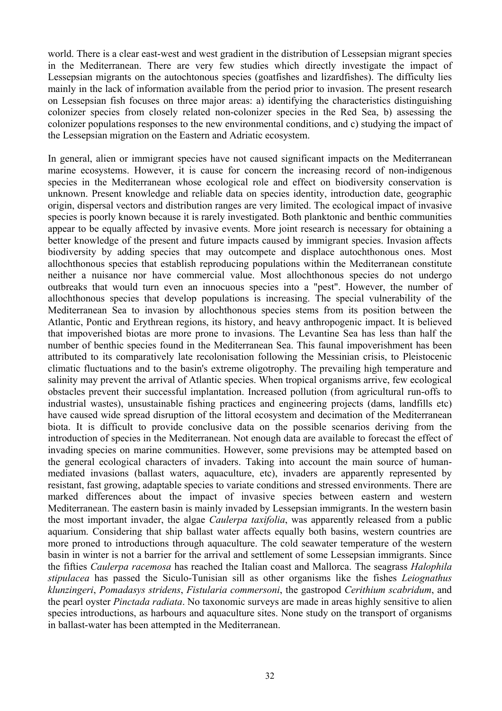world. There is a clear east-west and west gradient in the distribution of Lessepsian migrant species in the Mediterranean. There are very few studies which directly investigate the impact of Lessepsian migrants on the autochtonous species (goatfishes and lizardfishes). The difficulty lies mainly in the lack of information available from the period prior to invasion. The present research on Lessepsian fish focuses on three major areas: a) identifying the characteristics distinguishing colonizer species from closely related non-colonizer species in the Red Sea, b) assessing the colonizer populations responses to the new environmental conditions, and c) studying the impact of the Lessepsian migration on the Eastern and Adriatic ecosystem.

In general, alien or immigrant species have not caused significant impacts on the Mediterranean marine ecosystems. However, it is cause for concern the increasing record of non-indigenous species in the Mediterranean whose ecological role and effect on biodiversity conservation is unknown. Present knowledge and reliable data on species identity, introduction date, geographic origin, dispersal vectors and distribution ranges are very limited. The ecological impact of invasive species is poorly known because it is rarely investigated. Both planktonic and benthic communities appear to be equally affected by invasive events. More joint research is necessary for obtaining a better knowledge of the present and future impacts caused by immigrant species. Invasion affects biodiversity by adding species that may outcompete and displace autochthonous ones. Most allochthonous species that establish reproducing populations within the Mediterranean constitute neither a nuisance nor have commercial value. Most allochthonous species do not undergo outbreaks that would turn even an innocuous species into a "pest". However, the number of allochthonous species that develop populations is increasing. The special vulnerability of the Mediterranean Sea to invasion by allochthonous species stems from its position between the Atlantic, Pontic and Erythrean regions, its history, and heavy anthropogenic impact. It is believed that impoverished biotas are more prone to invasions. The Levantine Sea has less than half the number of benthic species found in the Mediterranean Sea. This faunal impoverishment has been attributed to its comparatively late recolonisation following the Messinian crisis, to Pleistocenic climatic fluctuations and to the basin's extreme oligotrophy. The prevailing high temperature and salinity may prevent the arrival of Atlantic species. When tropical organisms arrive, few ecological obstacles prevent their successful implantation. Increased pollution (from agricultural run-offs to industrial wastes), unsustainable fishing practices and engineering projects (dams, landfills etc) have caused wide spread disruption of the littoral ecosystem and decimation of the Mediterranean biota. It is difficult to provide conclusive data on the possible scenarios deriving from the introduction of species in the Mediterranean. Not enough data are available to forecast the effect of invading species on marine communities. However, some previsions may be attempted based on the general ecological characters of invaders. Taking into account the main source of humanmediated invasions (ballast waters, aquaculture, etc), invaders are apparently represented by resistant, fast growing, adaptable species to variate conditions and stressed environments. There are marked differences about the impact of invasive species between eastern and western Mediterranean. The eastern basin is mainly invaded by Lessepsian immigrants. In the western basin the most important invader, the algae *Caulerpa taxifolia*, was apparently released from a public aquarium. Considering that ship ballast water affects equally both basins, western countries are more proned to introductions through aquaculture. The cold seawater temperature of the western basin in winter is not a barrier for the arrival and settlement of some Lessepsian immigrants. Since the fifties *Caulerpa racemosa* has reached the Italian coast and Mallorca. The seagrass *Halophila stipulacea* has passed the Siculo-Tunisian sill as other organisms like the fishes *Leiognathus klunzingeri*, *Pomadasys stridens*, *Fistularia commersoni*, the gastropod *Cerithium scabridum*, and the pearl oyster *Pinctada radiata*. No taxonomic surveys are made in areas highly sensitive to alien species introductions, as harbours and aquaculture sites. None study on the transport of organisms in ballast-water has been attempted in the Mediterranean.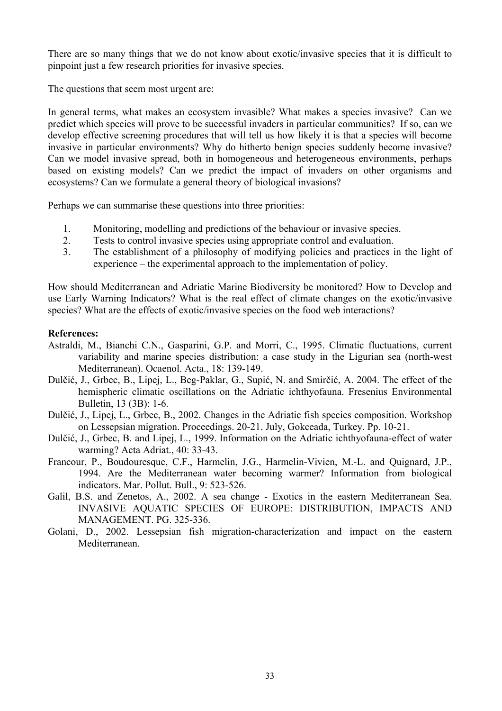There are so many things that we do not know about exotic/invasive species that it is difficult to pinpoint just a few research priorities for invasive species.

The questions that seem most urgent are:

In general terms, what makes an ecosystem invasible? What makes a species invasive? Can we predict which species will prove to be successful invaders in particular communities? If so, can we develop effective screening procedures that will tell us how likely it is that a species will become invasive in particular environments? Why do hitherto benign species suddenly become invasive? Can we model invasive spread, both in homogeneous and heterogeneous environments, perhaps based on existing models? Can we predict the impact of invaders on other organisms and ecosystems? Can we formulate a general theory of biological invasions?

Perhaps we can summarise these questions into three priorities:

- 1. Monitoring, modelling and predictions of the behaviour or invasive species.
- 2. Tests to control invasive species using appropriate control and evaluation.
- 3. The establishment of a philosophy of modifying policies and practices in the light of experience – the experimental approach to the implementation of policy.

How should Mediterranean and Adriatic Marine Biodiversity be monitored? How to Develop and use Early Warning Indicators? What is the real effect of climate changes on the exotic/invasive species? What are the effects of exotic/invasive species on the food web interactions?

#### **References:**

- Astraldi, M., Bianchi C.N., Gasparini, G.P. and Morri, C., 1995. Climatic fluctuations, current variability and marine species distribution: a case study in the Ligurian sea (north-west Mediterranean). Ocaenol. Acta., 18: 139-149.
- Dulčić, J., Grbec, B., Lipej, L., Beg-Paklar, G., Supić, N. and Smirčić, A. 2004. The effect of the hemispheric climatic oscillations on the Adriatic ichthyofauna. Fresenius Environmental Bulletin, 13 (3B): 1-6.
- Dulčić, J., Lipej, L., Grbec, B., 2002. Changes in the Adriatic fish species composition. Workshop on Lessepsian migration. Proceedings. 20-21. July, Gokceada, Turkey. Pp. 10-21.
- Dulčić, J., Grbec, B. and Lipej, L., 1999. Information on the Adriatic ichthyofauna-effect of water warming? Acta Adriat., 40: 33-43.
- Francour, P., Boudouresque, C.F., Harmelin, J.G., Harmelin-Vivien, M.-L. and Quignard, J.P., 1994. Are the Mediterranean water becoming warmer? Information from biological indicators. Mar. Pollut. Bull., 9: 523-526.
- Galil, B.S. and Zenetos, A., 2002. A sea change Exotics in the eastern Mediterranean Sea. INVASIVE AQUATIC SPECIES OF EUROPE: DISTRIBUTION, IMPACTS AND MANAGEMENT. PG. 325-336.
- Golani, D., 2002. Lessepsian fish migration-characterization and impact on the eastern Mediterranean.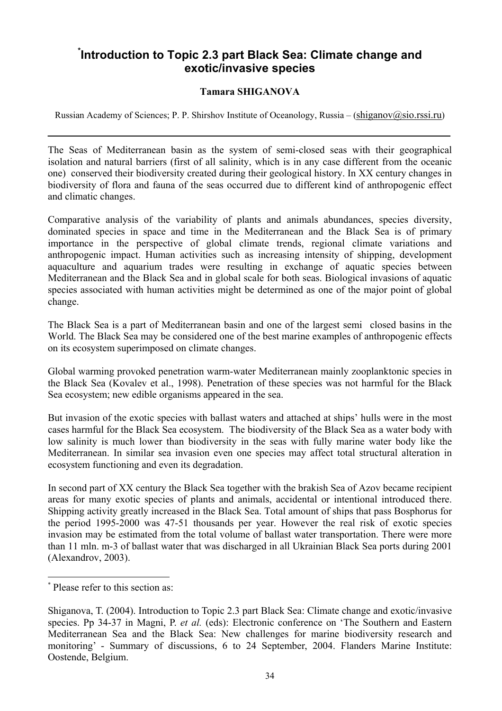# **[\\*](#page-37-0) Introduction to Topic 2.3 part Black Sea: Climate change and exotic/invasive species**

## **Tamara SHIGANOVA**

Russian Academy of Sciences; P. P. Shirshov Institute of Oceanology, Russia – (shiganov@sio.rssi.ru)

The Seas of Mediterranean basin as the system of semi-closed seas with their geographical isolation and natural barriers (first of all salinity, which is in any case different from the oceanic one) conserved their biodiversity created during their geological history. In XX century changes in biodiversity of flora and fauna of the seas occurred due to different kind of anthropogenic effect and climatic changes.

Comparative analysis of the variability of plants and animals abundances, species diversity, dominated species in space and time in the Mediterranean and the Black Sea is of primary importance in the perspective of global climate trends, regional climate variations and anthropogenic impact. Human activities such as increasing intensity of shipping, development aquaculture and aquarium trades were resulting in exchange of aquatic species between Mediterranean and the Black Sea and in global scale for both seas. Biological invasions of aquatic species associated with human activities might be determined as one of the major point of global change.

The Black Sea is a part of Mediterranean basin and one of the largest semiclosed basins in the World. The Black Sea may be considered one of the best marine examples of anthropogenic effects on its ecosystem superimposed on climate changes.

Global warming provoked penetration warm-water Mediterranean mainly zooplanktonic species in the Black Sea (Kovalev et al., 1998). Penetration of these species was not harmful for the Black Sea ecosystem; new edible organisms appeared in the sea.

But invasion of the exotic species with ballast waters and attached at ships' hulls were in the most cases harmful for the Black Sea ecosystem. The biodiversity of the Black Sea as a water body with low salinity is much lower than biodiversity in the seas with fully marine water body like the Mediterranean. In similar sea invasion even one species may affect total structural alteration in ecosystem functioning and even its degradation.

In second part of XX century the Black Sea together with the brakish Sea of Azov became recipient areas for many exotic species of plants and animals, accidental or intentional introduced there. Shipping activity greatly increased in the Black Sea. Total amount of ships that pass Bosphorus for the period 1995-2000 was 47-51 thousands per year. However the real risk of exotic species invasion may be estimated from the total volume of ballast water transportation. There were more than 11 mln. m-3 of ballast water that was discharged in all Ukrainian Black Sea ports during 2001 (Alexandrov, 2003).

l

<span id="page-37-0"></span><sup>\*</sup> Please refer to this section as:

Shiganova, T. (2004). Introduction to Topic 2.3 part Black Sea: Climate change and exotic/invasive species. Pp 34-37 in Magni, P. *et al.* (eds): Electronic conference on 'The Southern and Eastern Mediterranean Sea and the Black Sea: New challenges for marine biodiversity research and monitoring' - Summary of discussions, 6 to 24 September, 2004. Flanders Marine Institute: Oostende, Belgium.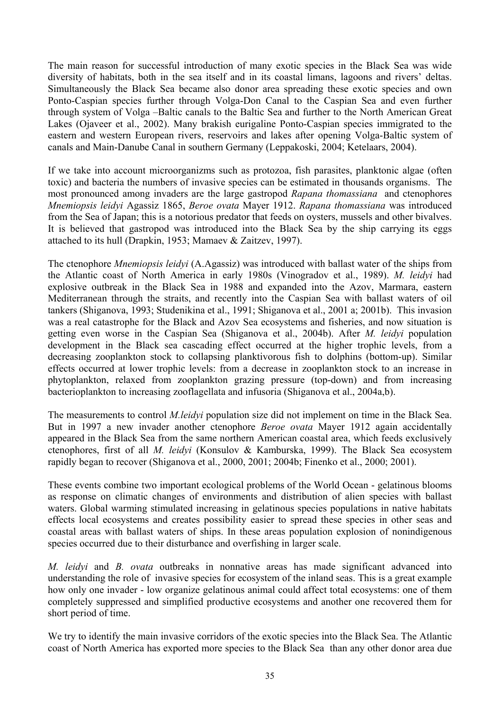The main reason for successful introduction of many exotic species in the Black Sea was wide diversity of habitats, both in the sea itself and in its coastal limans, lagoons and rivers' deltas. Simultaneously the Black Sea became also donor area spreading these exotic species and own Ponto-Caspian species further through Volga-Don Canal to the Caspian Sea and even further through system of Volga –Baltic canals to the Baltic Sea and further to the North American Great Lakes (Ojaveer et al., 2002). Many brakish eurigaline Ponto-Caspian species immigrated to the eastern and western European rivers, reservoirs and lakes after opening Volga-Baltic system of canals and Main-Danube Canal in southern Germany (Leppakoski, 2004; Ketelaars, 2004).

If we take into account microorganizms such as protozoa, fish parasites, planktonic algae (often toxic) and bacteria the numbers of invasive species can be estimated in thousands organisms. The most pronounced among invaders are the large gastropod *Rapana thomassiana* and ctenophores *Mnemiopsis leidyi* Agassiz 1865, *Beroe ovata* Mayer 1912. *Rapana thomassiana* was introduced from the Sea of Japan; this is a notorious predator that feeds on oysters, mussels and other bivalves. It is believed that gastropod was introduced into the Black Sea by the ship carrying its eggs attached to its hull (Drapkin, 1953; Mamaev & Zaitzev, 1997).

The ctenophore *Mnemiopsis leidyi* (A.Agassiz) was introduced with ballast water of the ships from the Atlantic coast of North America in early 1980s (Vinogradov et al., 1989). *M. leidyi* had explosive outbreak in the Black Sea in 1988 and expanded into the Azov, Marmara, eastern Mediterranean through the straits, and recently into the Caspian Sea with ballast waters of oil tankers (Shiganova, 1993; Studenikina et al., 1991; Shiganova et al., 2001 a; 2001b). This invasion was a real catastrophe for the Black and Azov Sea ecosystems and fisheries, and now situation is getting even worse in the Caspian Sea (Shiganova et al., 2004b). After *M. leidyi* population development in the Black sea cascading effect occurred at the higher trophic levels, from a decreasing zooplankton stock to collapsing planktivorous fish to dolphins (bottom-up). Similar effects occurred at lower trophic levels: from a decrease in zooplankton stock to an increase in phytoplankton, relaxed from zooplankton grazing pressure (top-down) and from increasing bacterioplankton to increasing zooflagellata and infusoria (Shiganova et al., 2004a,b).

The measurements to control *M.leidyi* population size did not implement on time in the Black Sea. But in 1997 a new invader another ctenophore *Beroe ovata* Mayer 1912 again accidentally appeared in the Black Sea from the same northern American coastal area, which feeds exclusively ctenophores, first of all *M. leidyi* (Konsulov & Kamburska, 1999). The Black Sea ecosystem rapidly began to recover (Shiganova et al., 2000, 2001; 2004b; Finenko et al., 2000; 2001).

These events combine two important ecological problems of the World Ocean - gelatinous blooms as response on climatic changes of environments and distribution of alien species with ballast waters. Global warming stimulated increasing in gelatinous species populations in native habitats effects local ecosystems and creates possibility easier to spread these species in other seas and coastal areas with ballast waters of ships. In these areas population explosion of nonindigenous species occurred due to their disturbance and overfishing in larger scale.

*M. leidyi* and *B. ovata* outbreaks in nonnative areas has made significant advanced into understanding the role of invasive species for ecosystem of the inland seas. This is a great example how only one invader - low organize gelatinous animal could affect total ecosystems: one of them completely suppressed and simplified productive ecosystems and another one recovered them for short period of time.

We try to identify the main invasive corridors of the exotic species into the Black Sea. The Atlantic coast of North America has exported more species to the Black Sea than any other donor area due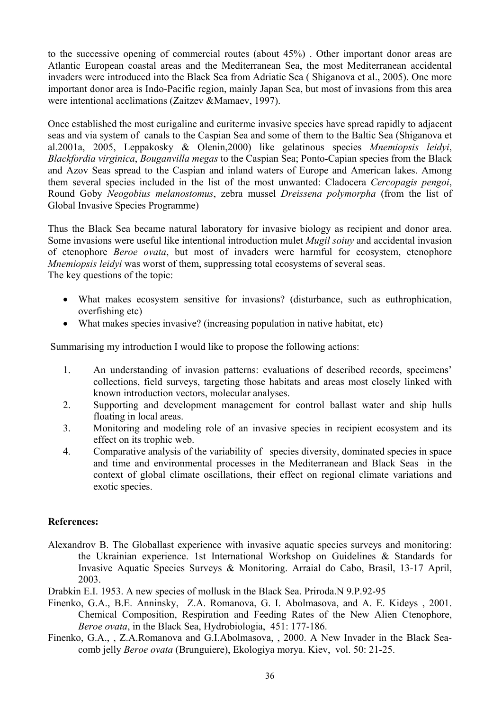to the successive opening of commercial routes (about 45%) . Other important donor areas are Atlantic European coastal areas and the Mediterranean Sea, the most Mediterranean accidental invaders were introduced into the Black Sea from Adriatic Sea ( Shiganova et al., 2005). One more important donor area is Indo-Pacific region, mainly Japan Sea, but most of invasions from this area were intentional acclimations (Zaitzev &Mamaev, 1997).

Once established the most eurigaline and euriterme invasive species have spread rapidly to adjacent seas and via system of canals to the Caspian Sea and some of them to the Baltic Sea (Shiganova et al.2001a, 2005, Leppakosky & Olenin,2000) like gelatinous species *Mnemiopsis leidyi*, *Blackfordia virginica*, *Bouganvilla megas* to the Caspian Sea; Ponto-Capian species from the Black and Azov Seas spread to the Caspian and inland waters of Europe and American lakes. Among them several species included in the list of the most unwanted: Cladocera *Cercopagis pengoi*, Round Goby *Neogobius melanostomus*, zebra mussel *Dreissena polymorpha* (from the list of Global Invasive Species Programme)

Thus the Black Sea became natural laboratory for invasive biology as recipient and donor area. Some invasions were useful like intentional introduction mulet *Mugil soiuy* and accidental invasion of ctenophore *Beroe ovata*, but most of invaders were harmful for ecosystem, ctenophore *Mnemiopsis leidyi* was worst of them, suppressing total ecosystems of several seas. The key questions of the topic:

- What makes ecosystem sensitive for invasions? (disturbance, such as euthrophication, overfishing etc)
- What makes species invasive? (increasing population in native habitat, etc)

Summarising my introduction I would like to propose the following actions:

- 1. An understanding of invasion patterns: evaluations of described records, specimens' collections, field surveys, targeting those habitats and areas most closely linked with known introduction vectors, molecular analyses.
- 2. Supporting and development management for control ballast water and ship hulls floating in local areas.
- 3. Monitoring and modeling role of an invasive species in recipient ecosystem and its effect on its trophic web.
- 4. Comparative analysis of the variability of species diversity, dominated species in space and time and environmental processes in the Mediterranean and Black Seas in the context of global climate oscillations, their effect on regional climate variations and exotic species.

### **References:**

- Alexandrov B. The Globallast experience with invasive aquatic species surveys and monitoring: the Ukrainian experience. 1st International Workshop on Guidelines & Standards for Invasive Aquatic Species Surveys & Monitoring. Arraial do Cabo, Brasil, 13-17 April, 2003.
- Drabkin E.I. 1953. A new species of mollusk in the Black Sea. Priroda.N 9.P.92-95
- Finenko, G.A., B.E. Anninsky, Z.A. Romanova, G. I. Abolmasova, and A. E. Kideys , 2001. Chemical Composition, Respiration and Feeding Rates of the New Alien Ctenophore, *Beroe ovata*, in the Black Sea, Hydrobiologia, 451: 177-186.
- Finenko, G.A., , Z.A.Romanova and G.I.Abolmasova, , 2000. A New Invader in the Black Seacomb jelly *Beroe ovata* (Brunguiere), Ekologiya morya. Kiev, vol. 50: 21-25.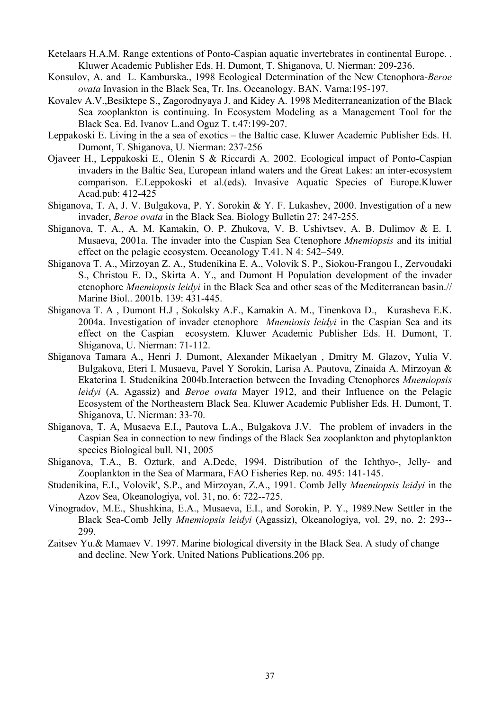- Ketelaars H.A.M. Range extentions of Ponto-Caspian aquatic invertebrates in continental Europe. . Kluwer Academic Publisher Eds. H. Dumont, T. Shiganova, U. Nierman: 209-236.
- Konsulov, A. and L. Kamburska., 1998 Ecological Determination of the New Ctenophora-*Beroe ovata* Invasion in the Black Sea, Tr. Ins. Oceanology. BAN. Varna:195-197.
- Kovalev A.V.,Besiktepe S., Zagorodnyaya J. and Kidey A. 1998 Mediterraneanization of the Black Sea zooplankton is continuing. In Ecosystem Modeling as a Management Tool for the Black Sea. Ed. Ivanov L.and Oguz T. t.47:199-207.
- Leppakoski E. Living in the a sea of exotics the Baltic case. Kluwer Academic Publisher Eds. H. Dumont, T. Shiganova, U. Nierman: 237-256
- Ojaveer H., Leppakoski E., Olenin S & Riccardi A. 2002. Ecological impact of Ponto-Caspian invaders in the Baltic Sea, European inland waters and the Great Lakes: an inter-ecosystem comparison. E.Leppokoski et al.(eds). Invasive Aquatic Species of Europe.Kluwer Acad.pub: 412-425
- Shiganova, T. A, J. V. Bulgakova, P. Y. Sorokin & Y. F. Lukashev, 2000. Investigation of a new invader, *Beroe ovata* in the Black Sea. Biology Bulletin 27: 247-255.
- Shiganova, T. A., A. M. Kamakin, O. P. Zhukova, V. B. Ushivtsev, A. B. Dulimov & E. I. Musaeva, 2001a. The invader into the Caspian Sea Ctenophore *Mnemiopsis* and its initial effect on the pelagic ecosystem. Oceanology T.41. N 4: 542–549.
- Shiganova T. A., Mirzoyan Z. A., Studenikina E. A., Volovik S. P., Siokou-Frangou I., Zervoudaki S., Christou E. D., Skirta A. Y., and Dumont H Population development of the invader ctenophore *Mnemiopsis leidyi* in the Black Sea and other seas of the Mediterranean basin.// Marine Biol.. 2001b. 139: 431-445.
- Shiganova T. A , Dumont H.J , Sokolsky A.F., Kamakin A. M., Tinenkova D., Kurasheva E.K. 2004a. Investigation of invader ctenophore *Mnemiosis leidyi* in the Caspian Sea and its effect on the Caspian ecosystem. Kluwer Academic Publisher Eds. H. Dumont, T. Shiganova, U. Nierman: 71-112.
- Shiganova Tamara A., Henri J. Dumont, Alexander Mikaelyan , Dmitry M. Glazov, Yulia V. Bulgakova, Eteri I. Musaeva, Pavel Y Sorokin, Larisa A. Pautova, Zinaida A. Mirzoyan & Ekaterina I. Studenikina 2004b.Interaction between the Invading Ctenophores *Mnemiopsis leidyi* (A. Agassiz) and *Beroe ovata* Mayer 1912, and their Influence on the Pelagic Ecosystem of the Northeastern Black Sea. Kluwer Academic Publisher Eds. H. Dumont, T. Shiganova, U. Nierman: 33-70.
- Shiganova, T. A, Musaeva E.I., Pautova L.A., Bulgakova J.V. The problem of invaders in the Caspian Sea in connection to new findings of the Black Sea zooplankton and phytoplankton species Biological bull. N1, 2005
- Shiganova, T.A., B. Ozturk, and A.Dede, 1994. Distribution of the Ichthyo-, Jelly- and Zooplankton in the Sea of Marmara, FAO Fisheries Rep. no. 495: 141-145.
- Studenikina, E.I., Volovik', S.P., and Mirzoyan, Z.A., 1991. Comb Jelly *Mnemiopsis leidyi* in the Azov Sea, Okeanologiya, vol. 31, no. 6: 722--725.
- Vinogradov, M.E., Shushkina, E.A., Musaeva, E.I., and Sorokin, P. Y., 1989.New Settler in the Black Sea-Comb Jelly *Mnemiopsis leidyi* (Agassiz), Okeanologiya, vol. 29, no. 2: 293-- 299.
- Zaitsev Yu.& Mamaev V. 1997. Marine biological diversity in the Black Sea. A study of change and decline. New York. United Nations Publications.206 pp.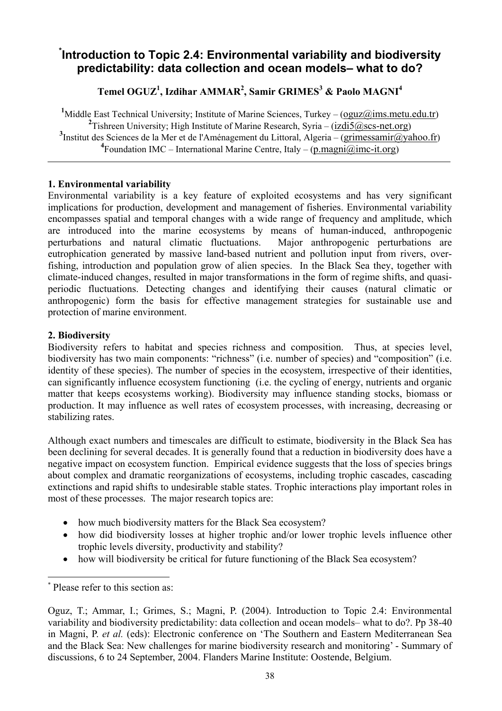# **\* [I](#page-41-0)ntroduction to Topic 2.4: Environmental variability and biodiversity predictability: data collection and ocean models– what to do?**

## **Temel OGUZ1 , Izdihar AMMAR2 , Samir GRIMES<sup>3</sup> & Paolo MAGNI<sup>4</sup>**

<sup>1</sup>Middle East Technical University; Institute of Marine Sciences, Turkey – (oguz@ims.metu.edu.tr) <sup>2</sup>Tishreen University; High Institute of Marine Research, Syria –  $(izdi5@scs-net.org)$ <sup>3</sup>Institut des Sciences de la Mer et de l'Aménagement du Littoral, Algeria – (grimessamir@yahoo.fr) <sup>4</sup> Foundation IMC – International Marine Centre, Italy – (p.magni@imc-it.org)

### **1. Environmental variability**

Environmental variability is a key feature of exploited ecosystems and has very significant implications for production, development and management of fisheries. Environmental variability encompasses spatial and temporal changes with a wide range of frequency and amplitude, which are introduced into the marine ecosystems by means of human-induced, anthropogenic perturbations and natural climatic fluctuations. Major anthropogenic perturbations are eutrophication generated by massive land-based nutrient and pollution input from rivers, overfishing, introduction and population grow of alien species. In the Black Sea they, together with climate-induced changes, resulted in major transformations in the form of regime shifts, and quasiperiodic fluctuations. Detecting changes and identifying their causes (natural climatic or anthropogenic) form the basis for effective management strategies for sustainable use and protection of marine environment.

## **2. Biodiversity**

Biodiversity refers to habitat and species richness and composition. Thus, at species level, biodiversity has two main components: "richness" (i.e. number of species) and "composition" (i.e. identity of these species). The number of species in the ecosystem, irrespective of their identities, can significantly influence ecosystem functioning (i.e. the cycling of energy, nutrients and organic matter that keeps ecosystems working). Biodiversity may influence standing stocks, biomass or production. It may influence as well rates of ecosystem processes, with increasing, decreasing or stabilizing rates.

Although exact numbers and timescales are difficult to estimate, biodiversity in the Black Sea has been declining for several decades. It is generally found that a reduction in biodiversity does have a negative impact on ecosystem function. Empirical evidence suggests that the loss of species brings about complex and dramatic reorganizations of ecosystems, including trophic cascades, cascading extinctions and rapid shifts to undesirable stable states. Trophic interactions play important roles in most of these processes. The major research topics are:

- how much biodiversity matters for the Black Sea ecosystem?
- how did biodiversity losses at higher trophic and/or lower trophic levels influence other trophic levels diversity, productivity and stability?
- how will biodiversity be critical for future functioning of the Black Sea ecosystem?

<span id="page-41-0"></span>l \* Please refer to this section as:

Oguz, T.; Ammar, I.; Grimes, S.; Magni, P. (2004). Introduction to Topic 2.4: Environmental variability and biodiversity predictability: data collection and ocean models– what to do?. Pp 38-40 in Magni, P. *et al.* (eds): Electronic conference on 'The Southern and Eastern Mediterranean Sea and the Black Sea: New challenges for marine biodiversity research and monitoring' - Summary of discussions, 6 to 24 September, 2004. Flanders Marine Institute: Oostende, Belgium.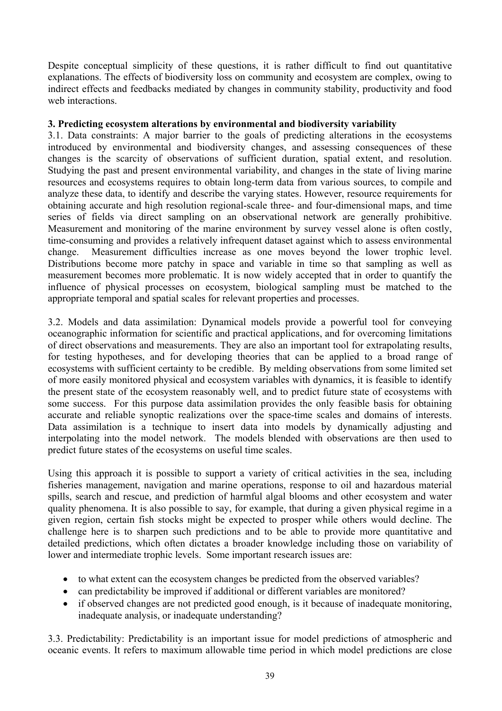Despite conceptual simplicity of these questions, it is rather difficult to find out quantitative explanations. The effects of biodiversity loss on community and ecosystem are complex, owing to indirect effects and feedbacks mediated by changes in community stability, productivity and food web interactions.

#### **3. Predicting ecosystem alterations by environmental and biodiversity variability**

3.1. Data constraints: A major barrier to the goals of predicting alterations in the ecosystems introduced by environmental and biodiversity changes, and assessing consequences of these changes is the scarcity of observations of sufficient duration, spatial extent, and resolution. Studying the past and present environmental variability, and changes in the state of living marine resources and ecosystems requires to obtain long-term data from various sources, to compile and analyze these data, to identify and describe the varying states. However, resource requirements for obtaining accurate and high resolution regional-scale three- and four-dimensional maps, and time series of fields via direct sampling on an observational network are generally prohibitive. Measurement and monitoring of the marine environment by survey vessel alone is often costly, time-consuming and provides a relatively infrequent dataset against which to assess environmental change. Measurement difficulties increase as one moves beyond the lower trophic level. Distributions become more patchy in space and variable in time so that sampling as well as measurement becomes more problematic. It is now widely accepted that in order to quantify the influence of physical processes on ecosystem, biological sampling must be matched to the appropriate temporal and spatial scales for relevant properties and processes.

3.2. Models and data assimilation: Dynamical models provide a powerful tool for conveying oceanographic information for scientific and practical applications, and for overcoming limitations of direct observations and measurements. They are also an important tool for extrapolating results, for testing hypotheses, and for developing theories that can be applied to a broad range of ecosystems with sufficient certainty to be credible. By melding observations from some limited set of more easily monitored physical and ecosystem variables with dynamics, it is feasible to identify the present state of the ecosystem reasonably well, and to predict future state of ecosystems with some success. For this purpose data assimilation provides the only feasible basis for obtaining accurate and reliable synoptic realizations over the space-time scales and domains of interests. Data assimilation is a technique to insert data into models by dynamically adjusting and interpolating into the model network. The models blended with observations are then used to predict future states of the ecosystems on useful time scales.

Using this approach it is possible to support a variety of critical activities in the sea, including fisheries management, navigation and marine operations, response to oil and hazardous material spills, search and rescue, and prediction of harmful algal blooms and other ecosystem and water quality phenomena. It is also possible to say, for example, that during a given physical regime in a given region, certain fish stocks might be expected to prosper while others would decline. The challenge here is to sharpen such predictions and to be able to provide more quantitative and detailed predictions, which often dictates a broader knowledge including those on variability of lower and intermediate trophic levels. Some important research issues are:

- to what extent can the ecosystem changes be predicted from the observed variables?
- can predictability be improved if additional or different variables are monitored?
- if observed changes are not predicted good enough, is it because of inadequate monitoring, inadequate analysis, or inadequate understanding?

3.3. Predictability: Predictability is an important issue for model predictions of atmospheric and oceanic events. It refers to maximum allowable time period in which model predictions are close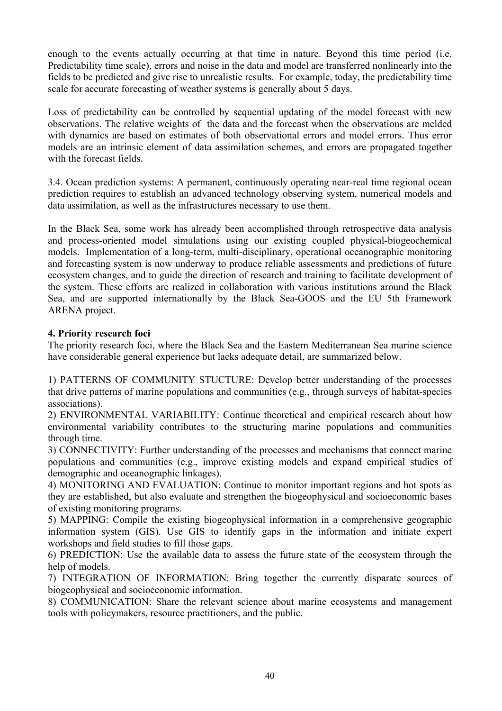enough to the events actually occurring at that time in nature. Beyond this time period (i.e. Predictability time scale), errors and noise in the data and model are transferred nonlinearly into the fields to be predicted and give rise to unrealistic results. For example, today, the predictability time scale for accurate forecasting of weather systems is generally about 5 days.

Loss of predictability can be controlled by sequential updating of the model forecast with new observations. The relative weights of the data and the forecast when the observations are melded with dynamics are based on estimates of both observational errors and model errors. Thus error models are an intrinsic element of data assimilation schemes, and errors are propagated together with the forecast fields.

3.4. Ocean prediction systems: A permanent, continuously operating near-real time regional ocean prediction requires to establish an advanced technology observing system, numerical models and data assimilation, as well as the infrastructures necessary to use them.

In the Black Sea, some work has already been accomplished through retrospective data analysis and process-oriented model simulations using our existing coupled physical-biogeochemical models. Implementation of a long-term, multi-disciplinary, operational oceanographic monitoring and forecasting system is now underway to produce reliable assessments and predictions of future ecosystem changes, and to guide the direction of research and training to facilitate development of the system. These efforts are realized in collaboration with various institutions around the Black Sea, and are supported internationally by the Black Sea-GOOS and the EU 5th Framework ARENA project.

### **4. Priority research foci**

The priority research foci, where the Black Sea and the Eastern Mediterranean Sea marine science have considerable general experience but lacks adequate detail, are summarized below.

1) PATTERNS OF COMMUNITY STUCTURE: Develop better understanding of the processes that drive patterns of marine populations and communities (e.g., through surveys of habitat-species associations).

2) ENVIRONMENTAL VARIABILITY: Continue theoretical and empirical research about how environmental variability contributes to the structuring marine populations and communities through time.

3) CONNECTIVITY: Further understanding of the processes and mechanisms that connect marine populations and communities (e.g., improve existing models and expand empirical studies of demographic and oceanographic linkages).

4) MONITORING AND EVALUATION: Continue to monitor important regions and hot spots as they are established, but also evaluate and strengthen the biogeophysical and socioeconomic bases of existing monitoring programs.

5) MAPPING: Compile the existing biogeophysical information in a comprehensive geographic information system (GIS). Use GIS to identify gaps in the information and initiate expert workshops and field studies to fill those gaps.

6) PREDICTION: Use the available data to assess the future state of the ecosystem through the help of models.

7) INTEGRATION OF INFORMATION: Bring together the currently disparate sources of biogeophysical and socioeconomic information.

8) COMMUNICATION: Share the relevant science about marine ecosystems and management tools with policymakers, resource practitioners, and the public.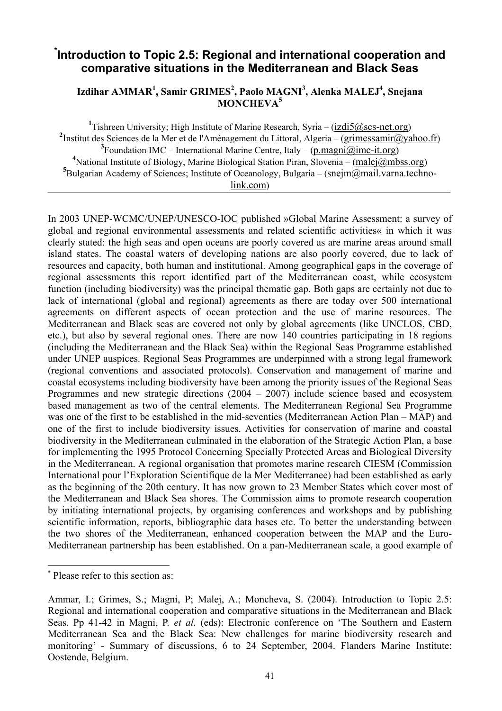# **[\\*](#page-44-0) Introduction to Topic 2.5: Regional and international cooperation and comparative situations in the Mediterranean and Black Seas**

## **Izdihar AMMAR1 , Samir GRIMES<sup>2</sup> , Paolo MAGNI<sup>3</sup> , Alenka MALEJ<sup>4</sup> , Snejana MONCHEVA5**

<sup>1</sup>Tishreen University; High Institute of Marine Research, Syria –  $(izdi5@scs-net.org)$ <sup>2</sup>Institut des Sciences de la Mer et de l'Aménagement du Littoral, Algeria – (grimessamir@yahoo.fr) <sup>3</sup> Foundation IMC – International Marine Centre, Italy –  $(p_{.}$ magni $\omega$ imc-it.org) <sup>4</sup> National Institute of Biology, Marine Biological Station Piran, Slovenia – (malej@mbss.org) <sup>5</sup>Bulgarian Academy of Sciences; Institute of Oceanology, Bulgaria – (snejm@mail.varna.technolink.com)

In 2003 UNEP-WCMC/UNEP/UNESCO-IOC published »Global Marine Assessment: a survey of global and regional environmental assessments and related scientific activities« in which it was clearly stated: the high seas and open oceans are poorly covered as are marine areas around small island states. The coastal waters of developing nations are also poorly covered, due to lack of resources and capacity, both human and institutional. Among geographical gaps in the coverage of regional assessments this report identified part of the Mediterranean coast, while ecosystem function (including biodiversity) was the principal thematic gap. Both gaps are certainly not due to lack of international (global and regional) agreements as there are today over 500 international agreements on different aspects of ocean protection and the use of marine resources. The Mediterranean and Black seas are covered not only by global agreements (like UNCLOS, CBD, etc.), but also by several regional ones. There are now 140 countries participating in 18 regions (including the Mediterranean and the Black Sea) within the Regional Seas Programme established under UNEP auspices. Regional Seas Programmes are underpinned with a strong legal framework (regional conventions and associated protocols). Conservation and management of marine and coastal ecosystems including biodiversity have been among the priority issues of the Regional Seas Programmes and new strategic directions (2004 – 2007) include science based and ecosystem based management as two of the central elements. The Mediterranean Regional Sea Programme was one of the first to be established in the mid-seventies (Mediterranean Action Plan – MAP) and one of the first to include biodiversity issues. Activities for conservation of marine and coastal biodiversity in the Mediterranean culminated in the elaboration of the Strategic Action Plan, a base for implementing the 1995 Protocol Concerning Specially Protected Areas and Biological Diversity in the Mediterranean. A regional organisation that promotes marine research CIESM (Commission International pour l'Exploration Scientifique de la Mer Mediterranee) had been established as early as the beginning of the 20th century. It has now grown to 23 Member States which cover most of the Mediterranean and Black Sea shores. The Commission aims to promote research cooperation by initiating international projects, by organising conferences and workshops and by publishing scientific information, reports, bibliographic data bases etc. To better the understanding between the two shores of the Mediterranean, enhanced cooperation between the MAP and the Euro-Mediterranean partnership has been established. On a pan-Mediterranean scale, a good example of

 $\overline{\phantom{a}}$ 

<span id="page-44-0"></span><sup>\*</sup> Please refer to this section as:

Ammar, I.; Grimes, S.; Magni, P; Malej, A.; Moncheva, S. (2004). Introduction to Topic 2.5: Regional and international cooperation and comparative situations in the Mediterranean and Black Seas. Pp 41-42 in Magni, P. *et al.* (eds): Electronic conference on 'The Southern and Eastern Mediterranean Sea and the Black Sea: New challenges for marine biodiversity research and monitoring' - Summary of discussions, 6 to 24 September, 2004. Flanders Marine Institute: Oostende, Belgium.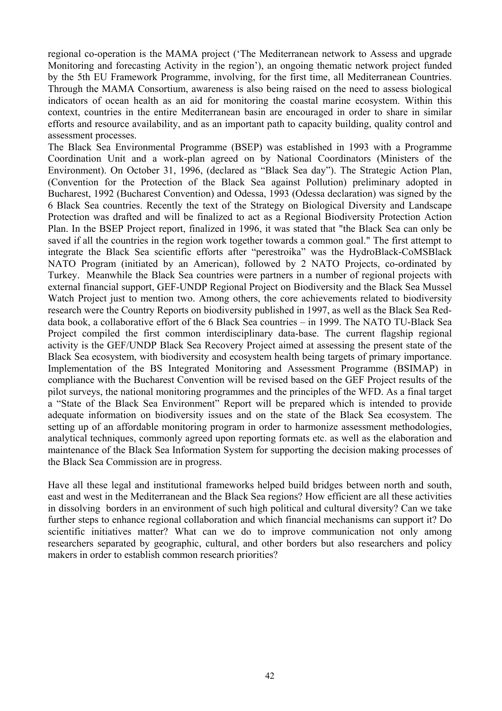regional co-operation is the MAMA project ('The Mediterranean network to Assess and upgrade Monitoring and forecasting Activity in the region'), an ongoing thematic network project funded by the 5th EU Framework Programme, involving, for the first time, all Mediterranean Countries. Through the MAMA Consortium, awareness is also being raised on the need to assess biological indicators of ocean health as an aid for monitoring the coastal marine ecosystem. Within this context, countries in the entire Mediterranean basin are encouraged in order to share in similar efforts and resource availability, and as an important path to capacity building, quality control and assessment processes.

The Black Sea Environmental Programme (BSEP) was established in 1993 with a Programme Coordination Unit and a work-plan agreed on by National Coordinators (Ministers of the Environment). On October 31, 1996, (declared as "Black Sea day"). The Strategic Action Plan, (Convention for the Protection of the Black Sea against Pollution) preliminary adopted in Bucharest, 1992 (Bucharest Convention) and Odessa, 1993 (Odessa declaration) was signed by the 6 Black Sea countries. Recently the text of the Strategy on Biological Diversity and Landscape Protection was drafted and will be finalized to act as a Regional Biodiversity Protection Action Plan. In the BSEP Project report, finalized in 1996, it was stated that "the Black Sea can only be saved if all the countries in the region work together towards a common goal." The first attempt to integrate the Black Sea scientific efforts after "perestroika" was the HydroBlack-CoMSBlack NATO Program (initiated by an American), followed by 2 NATO Projects, co-ordinated by Turkey. Meanwhile the Black Sea countries were partners in a number of regional projects with external financial support, GEF-UNDP Regional Project on Biodiversity and the Black Sea Mussel Watch Project just to mention two. Among others, the core achievements related to biodiversity research were the Country Reports on biodiversity published in 1997, as well as the Black Sea Reddata book, a collaborative effort of the 6 Black Sea countries – in 1999. The NATO TU-Black Sea Project compiled the first common interdisciplinary data-base. The current flagship regional activity is the GEF/UNDP Black Sea Recovery Project aimed at assessing the present state of the Black Sea ecosystem, with biodiversity and ecosystem health being targets of primary importance. Implementation of the BS Integrated Monitoring and Assessment Programme (BSIMAP) in compliance with the Bucharest Convention will be revised based on the GEF Project results of the pilot surveys, the national monitoring programmes and the principles of the WFD. As a final target a "State of the Black Sea Environment" Report will be prepared which is intended to provide adequate information on biodiversity issues and on the state of the Black Sea ecosystem. The setting up of an affordable monitoring program in order to harmonize assessment methodologies, analytical techniques, commonly agreed upon reporting formats etc. as well as the elaboration and maintenance of the Black Sea Information System for supporting the decision making processes of the Black Sea Commission are in progress.

Have all these legal and institutional frameworks helped build bridges between north and south, east and west in the Mediterranean and the Black Sea regions? How efficient are all these activities in dissolving borders in an environment of such high political and cultural diversity? Can we take further steps to enhance regional collaboration and which financial mechanisms can support it? Do scientific initiatives matter? What can we do to improve communication not only among researchers separated by geographic, cultural, and other borders but also researchers and policy makers in order to establish common research priorities?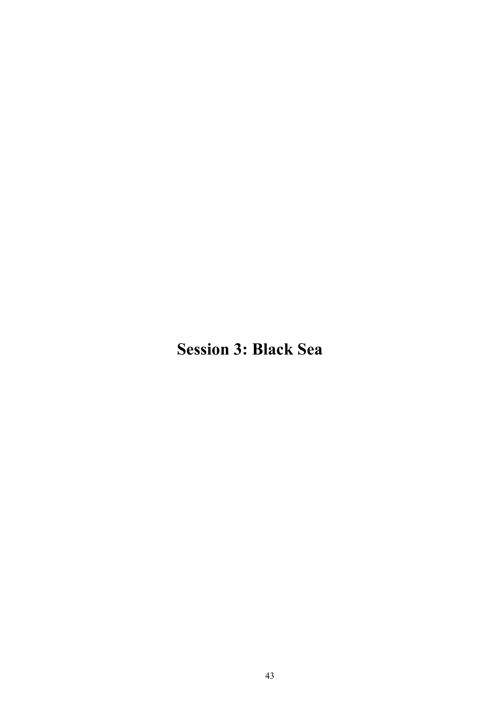**Session 3: Black Sea**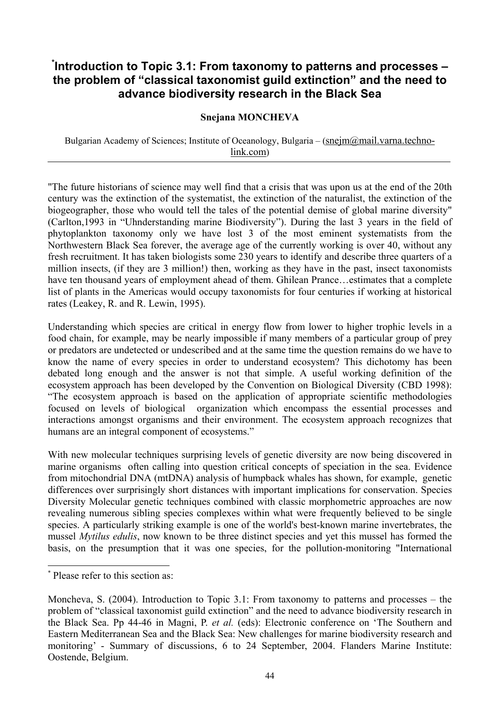# **[\\*](#page-47-0) Introduction to Topic 3.1: From taxonomy to patterns and processes – the problem of "classical taxonomist guild extinction" and the need to advance biodiversity research in the Black Sea**

## **Snejana MONCHEVA**

### Bulgarian Academy of Sciences; Institute of Oceanology, Bulgaria – (snejm@mail.varna.technolink.com)

"The future historians of science may well find that a crisis that was upon us at the end of the 20th century was the extinction of the systematist, the extinction of the naturalist, the extinction of the biogeographer, those who would tell the tales of the potential demise of global marine diversity" (Carlton,1993 in "Uhnderstanding marine Biodiversity"). During the last 3 years in the field of phytoplankton taxonomy only we have lost 3 of the most eminent systematists from the Northwestern Black Sea forever, the average age of the currently working is over 40, without any fresh recruitment. It has taken biologists some 230 years to identify and describe three quarters of a million insects, (if they are 3 million!) then, working as they have in the past, insect taxonomists have ten thousand years of employment ahead of them. Ghilean Prance... estimates that a complete list of plants in the Americas would occupy taxonomists for four centuries if working at historical rates (Leakey, R. and R. Lewin, 1995).

Understanding which species are critical in energy flow from lower to higher trophic levels in a food chain, for example, may be nearly impossible if many members of a particular group of prey or predators are undetected or undescribed and at the same time the question remains do we have to know the name of every species in order to understand ecosystem? This dichotomy has been debated long enough and the answer is not that simple. A useful working definition of the ecosystem approach has been developed by the Convention on Biological Diversity (CBD 1998): "The ecosystem approach is based on the application of appropriate scientific methodologies focused on levels of biological organization which encompass the essential processes and interactions amongst organisms and their environment. The ecosystem approach recognizes that humans are an integral component of ecosystems."

With new molecular techniques surprising levels of genetic diversity are now being discovered in marine organisms often calling into question critical concepts of speciation in the sea. Evidence from mitochondrial DNA (mtDNA) analysis of humpback whales has shown, for example, genetic differences over surprisingly short distances with important implications for conservation. Species Diversity Molecular genetic techniques combined with classic morphometric approaches are now revealing numerous sibling species complexes within what were frequently believed to be single species. A particularly striking example is one of the world's best-known marine invertebrates, the mussel *Mytilus edulis*, now known to be three distinct species and yet this mussel has formed the basis, on the presumption that it was one species, for the pollution-monitoring "International

 $\overline{\phantom{a}}$ 

<span id="page-47-0"></span><sup>\*</sup> Please refer to this section as:

Moncheva, S. (2004). Introduction to Topic 3.1: From taxonomy to patterns and processes – the problem of "classical taxonomist guild extinction" and the need to advance biodiversity research in the Black Sea. Pp 44-46 in Magni, P. *et al.* (eds): Electronic conference on 'The Southern and Eastern Mediterranean Sea and the Black Sea: New challenges for marine biodiversity research and monitoring' - Summary of discussions, 6 to 24 September, 2004. Flanders Marine Institute: Oostende, Belgium.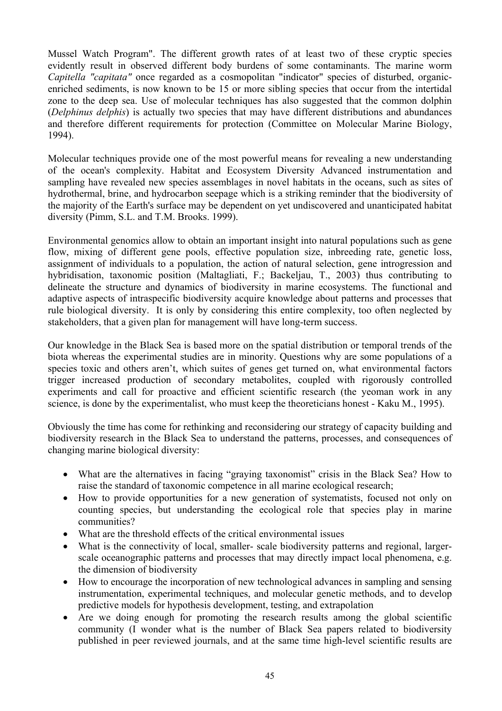Mussel Watch Program". The different growth rates of at least two of these cryptic species evidently result in observed different body burdens of some contaminants. The marine worm *Capitella "capitata"* once regarded as a cosmopolitan "indicator" species of disturbed, organicenriched sediments, is now known to be 15 or more sibling species that occur from the intertidal zone to the deep sea. Use of molecular techniques has also suggested that the common dolphin (*Delphinus delphis*) is actually two species that may have different distributions and abundances and therefore different requirements for protection (Committee on Molecular Marine Biology, 1994).

Molecular techniques provide one of the most powerful means for revealing a new understanding of the ocean's complexity. Habitat and Ecosystem Diversity Advanced instrumentation and sampling have revealed new species assemblages in novel habitats in the oceans, such as sites of hydrothermal, brine, and hydrocarbon seepage which is a striking reminder that the biodiversity of the majority of the Earth's surface may be dependent on yet undiscovered and unanticipated habitat diversity (Pimm, S.L. and T.M. Brooks. 1999).

Environmental genomics allow to obtain an important insight into natural populations such as gene flow, mixing of different gene pools, effective population size, inbreeding rate, genetic loss, assignment of individuals to a population, the action of natural selection, gene introgression and hybridisation, taxonomic position (Maltagliati, F.; Backeljau, T., 2003) thus contributing to delineate the structure and dynamics of biodiversity in marine ecosystems. The functional and adaptive aspects of intraspecific biodiversity acquire knowledge about patterns and processes that rule biological diversity. It is only by considering this entire complexity, too often neglected by stakeholders, that a given plan for management will have long-term success.

Our knowledge in the Black Sea is based more on the spatial distribution or temporal trends of the biota whereas the experimental studies are in minority. Questions why are some populations of a species toxic and others aren't, which suites of genes get turned on, what environmental factors trigger increased production of secondary metabolites, coupled with rigorously controlled experiments and call for proactive and efficient scientific research (the yeoman work in any science, is done by the experimentalist, who must keep the theoreticians honest - Kaku M., 1995).

Obviously the time has come for rethinking and reconsidering our strategy of capacity building and biodiversity research in the Black Sea to understand the patterns, processes, and consequences of changing marine biological diversity:

- What are the alternatives in facing "graying taxonomist" crisis in the Black Sea? How to raise the standard of taxonomic competence in all marine ecological research;
- How to provide opportunities for a new generation of systematists, focused not only on counting species, but understanding the ecological role that species play in marine communities?
- What are the threshold effects of the critical environmental issues
- What is the connectivity of local, smaller- scale biodiversity patterns and regional, largerscale oceanographic patterns and processes that may directly impact local phenomena, e.g. the dimension of biodiversity
- How to encourage the incorporation of new technological advances in sampling and sensing instrumentation, experimental techniques, and molecular genetic methods, and to develop predictive models for hypothesis development, testing, and extrapolation
- Are we doing enough for promoting the research results among the global scientific community (I wonder what is the number of Black Sea papers related to biodiversity published in peer reviewed journals, and at the same time high-level scientific results are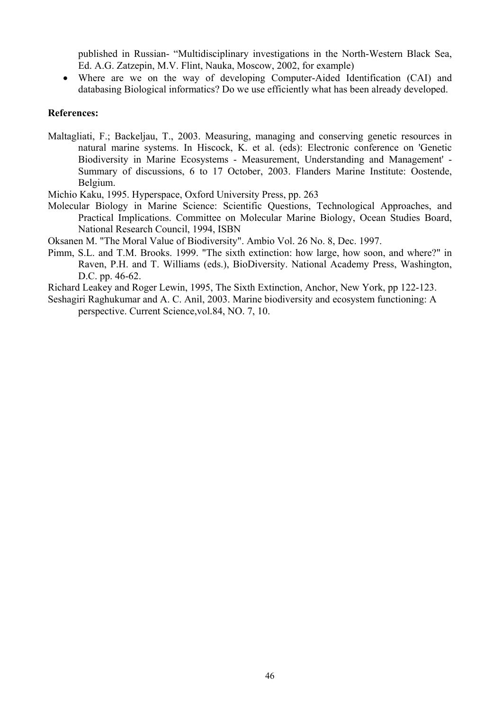published in Russian- "Multidisciplinary investigations in the North-Western Black Sea, Ed. A.G. Zatzepin, M.V. Flint, Nauka, Moscow, 2002, for example)

• Where are we on the way of developing Computer-Aided Identification (CAI) and databasing Biological informatics? Do we use efficiently what has been already developed.

## **References:**

Maltagliati, F.; Backeljau, T., 2003. Measuring, managing and conserving genetic resources in natural marine systems. In Hiscock, K. et al. (eds): Electronic conference on 'Genetic Biodiversity in Marine Ecosystems - Measurement, Understanding and Management' - Summary of discussions, 6 to 17 October, 2003. Flanders Marine Institute: Oostende, Belgium.

Michio Kaku, 1995. Hyperspace, Oxford University Press, pp. 263

Molecular Biology in Marine Science: Scientific Questions, Technological Approaches, and Practical Implications. Committee on Molecular Marine Biology, Ocean Studies Board, National Research Council, 1994, ISBN

Oksanen M. "The Moral Value of Biodiversity". Ambio Vol. 26 No. 8, Dec. 1997.

Pimm, S.L. and T.M. Brooks. 1999. "The sixth extinction: how large, how soon, and where?" in Raven, P.H. and T. Williams (eds.), BioDiversity. National Academy Press, Washington, D.C. pp. 46-62.

Richard Leakey and Roger Lewin, 1995, The Sixth Extinction, Anchor, New York, pp 122-123.

Seshagiri Raghukumar and A. C. Anil, 2003. Marine biodiversity and ecosystem functioning: A perspective. Current Science,vol.84, NO. 7, 10.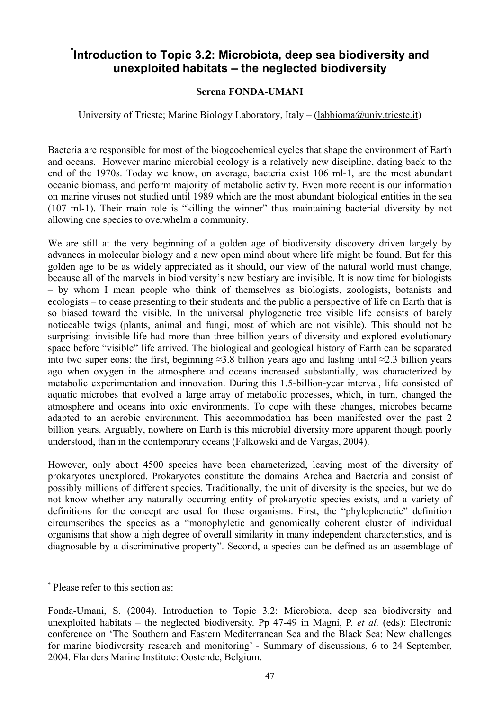# **[\\*](#page-50-0) Introduction to Topic 3.2: Microbiota, deep sea biodiversity and unexploited habitats – the neglected biodiversity**

### **Serena FONDA-UMANI**

### University of Trieste; Marine Biology Laboratory, Italy – (labbioma@univ.trieste.it)

Bacteria are responsible for most of the biogeochemical cycles that shape the environment of Earth and oceans. However marine microbial ecology is a relatively new discipline, dating back to the end of the 1970s. Today we know, on average, bacteria exist 106 ml-1, are the most abundant oceanic biomass, and perform majority of metabolic activity. Even more recent is our information on marine viruses not studied until 1989 which are the most abundant biological entities in the sea (107 ml-1). Their main role is "killing the winner" thus maintaining bacterial diversity by not allowing one species to overwhelm a community.

We are still at the very beginning of a golden age of biodiversity discovery driven largely by advances in molecular biology and a new open mind about where life might be found. But for this golden age to be as widely appreciated as it should, our view of the natural world must change, because all of the marvels in biodiversity's new bestiary are invisible. It is now time for biologists – by whom I mean people who think of themselves as biologists, zoologists, botanists and ecologists – to cease presenting to their students and the public a perspective of life on Earth that is so biased toward the visible. In the universal phylogenetic tree visible life consists of barely noticeable twigs (plants, animal and fungi, most of which are not visible). This should not be surprising: invisible life had more than three billion years of diversity and explored evolutionary space before "visible" life arrived. The biological and geological history of Earth can be separated into two super eons: the first, beginning ≈3.8 billion years ago and lasting until ≈2.3 billion years ago when oxygen in the atmosphere and oceans increased substantially, was characterized by metabolic experimentation and innovation. During this 1.5-billion-year interval, life consisted of aquatic microbes that evolved a large array of metabolic processes, which, in turn, changed the atmosphere and oceans into oxic environments. To cope with these changes, microbes became adapted to an aerobic environment. This accommodation has been manifested over the past 2 billion years. Arguably, nowhere on Earth is this microbial diversity more apparent though poorly understood, than in the contemporary oceans (Falkowski and de Vargas, 2004).

However, only about 4500 species have been characterized, leaving most of the diversity of prokaryotes unexplored. Prokaryotes constitute the domains Archea and Bacteria and consist of possibly millions of different species. Traditionally, the unit of diversity is the species, but we do not know whether any naturally occurring entity of prokaryotic species exists, and a variety of definitions for the concept are used for these organisms. First, the "phylophenetic" definition circumscribes the species as a "monophyletic and genomically coherent cluster of individual organisms that show a high degree of overall similarity in many independent characteristics, and is diagnosable by a discriminative property". Second, a species can be defined as an assemblage of

l

<span id="page-50-0"></span><sup>\*</sup> Please refer to this section as:

Fonda-Umani, S. (2004). Introduction to Topic 3.2: Microbiota, deep sea biodiversity and unexploited habitats – the neglected biodiversity. Pp 47-49 in Magni, P. *et al.* (eds): Electronic conference on 'The Southern and Eastern Mediterranean Sea and the Black Sea: New challenges for marine biodiversity research and monitoring' - Summary of discussions, 6 to 24 September, 2004. Flanders Marine Institute: Oostende, Belgium.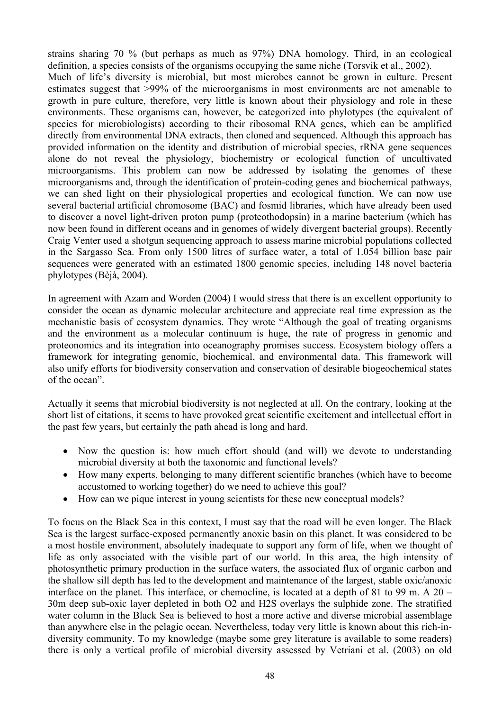strains sharing 70 % (but perhaps as much as 97%) DNA homology. Third, in an ecological definition, a species consists of the organisms occupying the same niche (Torsvik et al., 2002).

Much of life's diversity is microbial, but most microbes cannot be grown in culture. Present estimates suggest that >99% of the microorganisms in most environments are not amenable to growth in pure culture, therefore, very little is known about their physiology and role in these environments. These organisms can, however, be categorized into phylotypes (the equivalent of species for microbiologists) according to their ribosomal RNA genes, which can be amplified directly from environmental DNA extracts, then cloned and sequenced. Although this approach has provided information on the identity and distribution of microbial species, rRNA gene sequences alone do not reveal the physiology, biochemistry or ecological function of uncultivated microorganisms. This problem can now be addressed by isolating the genomes of these microorganisms and, through the identification of protein-coding genes and biochemical pathways, we can shed light on their physiological properties and ecological function. We can now use several bacterial artificial chromosome (BAC) and fosmid libraries, which have already been used to discover a novel light-driven proton pump (proteothodopsin) in a marine bacterium (which has now been found in different oceans and in genomes of widely divergent bacterial groups). Recently Craig Venter used a shotgun sequencing approach to assess marine microbial populations collected in the Sargasso Sea. From only 1500 litres of surface water, a total of 1.054 billion base pair sequences were generated with an estimated 1800 genomic species, including 148 novel bacteria phylotypes (Bèjà, 2004).

In agreement with Azam and Worden (2004) I would stress that there is an excellent opportunity to consider the ocean as dynamic molecular architecture and appreciate real time expression as the mechanistic basis of ecosystem dynamics. They wrote "Although the goal of treating organisms and the environment as a molecular continuum is huge, the rate of progress in genomic and proteonomics and its integration into oceanography promises success. Ecosystem biology offers a framework for integrating genomic, biochemical, and environmental data. This framework will also unify efforts for biodiversity conservation and conservation of desirable biogeochemical states of the ocean".

Actually it seems that microbial biodiversity is not neglected at all. On the contrary, looking at the short list of citations, it seems to have provoked great scientific excitement and intellectual effort in the past few years, but certainly the path ahead is long and hard.

- Now the question is: how much effort should (and will) we devote to understanding microbial diversity at both the taxonomic and functional levels?
- How many experts, belonging to many different scientific branches (which have to become accustomed to working together) do we need to achieve this goal?
- How can we pique interest in young scientists for these new conceptual models?

To focus on the Black Sea in this context, I must say that the road will be even longer. The Black Sea is the largest surface-exposed permanently anoxic basin on this planet. It was considered to be a most hostile environment, absolutely inadequate to support any form of life, when we thought of life as only associated with the visible part of our world. In this area, the high intensity of photosynthetic primary production in the surface waters, the associated flux of organic carbon and the shallow sill depth has led to the development and maintenance of the largest, stable oxic/anoxic interface on the planet. This interface, or chemocline, is located at a depth of 81 to 99 m. A 20 – 30m deep sub-oxic layer depleted in both O2 and H2S overlays the sulphide zone. The stratified water column in the Black Sea is believed to host a more active and diverse microbial assemblage than anywhere else in the pelagic ocean. Nevertheless, today very little is known about this rich-indiversity community. To my knowledge (maybe some grey literature is available to some readers) there is only a vertical profile of microbial diversity assessed by Vetriani et al. (2003) on old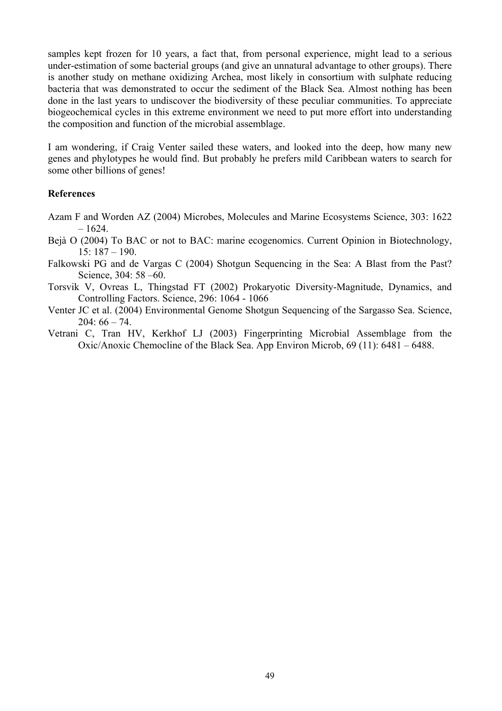samples kept frozen for 10 years, a fact that, from personal experience, might lead to a serious under-estimation of some bacterial groups (and give an unnatural advantage to other groups). There is another study on methane oxidizing Archea, most likely in consortium with sulphate reducing bacteria that was demonstrated to occur the sediment of the Black Sea. Almost nothing has been done in the last years to undiscover the biodiversity of these peculiar communities. To appreciate biogeochemical cycles in this extreme environment we need to put more effort into understanding the composition and function of the microbial assemblage.

I am wondering, if Craig Venter sailed these waters, and looked into the deep, how many new genes and phylotypes he would find. But probably he prefers mild Caribbean waters to search for some other billions of genes!

#### **References**

- Azam F and Worden AZ (2004) Microbes, Molecules and Marine Ecosystems Science, 303: 1622  $-1624$
- Bejà O (2004) To BAC or not to BAC: marine ecogenomics. Current Opinion in Biotechnology, 15: 187 – 190.
- Falkowski PG and de Vargas C (2004) Shotgun Sequencing in the Sea: A Blast from the Past? Science, 304: 58 –60.
- Torsvik V, Ovreas L, Thingstad FT (2002) Prokaryotic Diversity-Magnitude, Dynamics, and Controlling Factors. Science, 296: 1064 - 1066
- Venter JC et al. (2004) Environmental Genome Shotgun Sequencing of the Sargasso Sea. Science,  $204: 66 - 74.$
- Vetrani C, Tran HV, Kerkhof LJ (2003) Fingerprinting Microbial Assemblage from the Oxic/Anoxic Chemocline of the Black Sea. App Environ Microb, 69 (11): 6481 – 6488.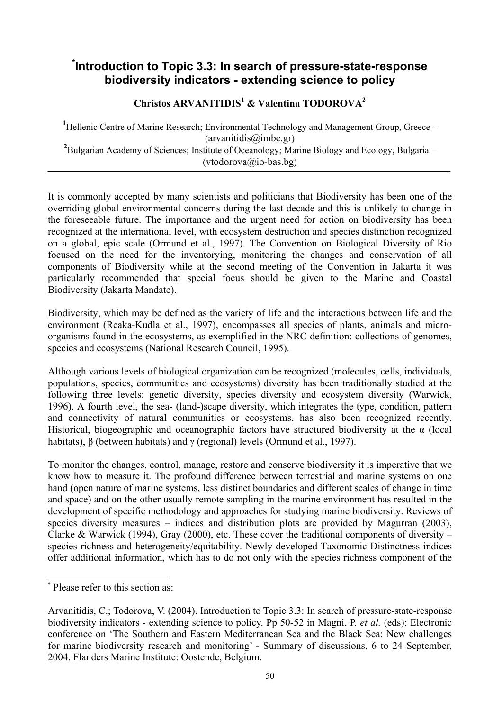# **[\\*](#page-53-0) Introduction to Topic 3.3: In search of pressure-state-response biodiversity indicators - extending science to policy**

**Christos ARVANITIDIS<sup>1</sup> & Valentina TODOROVA2**

<sup>1</sup>Hellenic Centre of Marine Research; Environmental Technology and Management Group, Greece –  $(\text{arvanitidis}(\hat{\omega}, \text{imbc}.\text{gr})$ <sup>2</sup>Bulgarian Academy of Sciences; Institute of Oceanology; Marine Biology and Ecology, Bulgaria –  $(v$ todorova $\omega$ io-bas.bg)

It is commonly accepted by many scientists and politicians that Biodiversity has been one of the overriding global environmental concerns during the last decade and this is unlikely to change in the foreseeable future. The importance and the urgent need for action on biodiversity has been recognized at the international level, with ecosystem destruction and species distinction recognized on a global, epic scale (Ormund et al., 1997). The Convention on Biological Diversity of Rio focused on the need for the inventorying, monitoring the changes and conservation of all components of Biodiversity while at the second meeting of the Convention in Jakarta it was particularly recommended that special focus should be given to the Marine and Coastal Biodiversity (Jakarta Mandate).

Biodiversity, which may be defined as the variety of life and the interactions between life and the environment (Reaka-Kudla et al., 1997), encompasses all species of plants, animals and microorganisms found in the ecosystems, as exemplified in the NRC definition: collections of genomes, species and ecosystems (National Research Council, 1995).

Although various levels of biological organization can be recognized (molecules, cells, individuals, populations, species, communities and ecosystems) diversity has been traditionally studied at the following three levels: genetic diversity, species diversity and ecosystem diversity (Warwick, 1996). A fourth level, the sea- (land-)scape diversity, which integrates the type, condition, pattern and connectivity of natural communities or ecosystems, has also been recognized recently. Historical, biogeographic and oceanographic factors have structured biodiversity at the  $\alpha$  (local habitats),  $\beta$  (between habitats) and  $\gamma$  (regional) levels (Ormund et al., 1997).

To monitor the changes, control, manage, restore and conserve biodiversity it is imperative that we know how to measure it. The profound difference between terrestrial and marine systems on one hand (open nature of marine systems, less distinct boundaries and different scales of change in time and space) and on the other usually remote sampling in the marine environment has resulted in the development of specific methodоlogy and approaches for studying marine biodiversity. Reviews of species diversity measures – indices and distribution plots are provided by Magurran (2003), Clarke & Warwick (1994), Gray (2000), etc. These cover the traditional components of diversity – species richness and heterogeneity/equitability. Newly-developed Taxonomic Distinctness indices offer additional information, which has to do not only with the species richness component of the

l

<span id="page-53-0"></span><sup>\*</sup> Please refer to this section as:

Arvanitidis, C.; Todorova, V. (2004). Introduction to Topic 3.3: In search of pressure-state-response biodiversity indicators - extending science to policy. Pp 50-52 in Magni, P. *et al.* (eds): Electronic conference on 'The Southern and Eastern Mediterranean Sea and the Black Sea: New challenges for marine biodiversity research and monitoring' - Summary of discussions, 6 to 24 September, 2004. Flanders Marine Institute: Oostende, Belgium.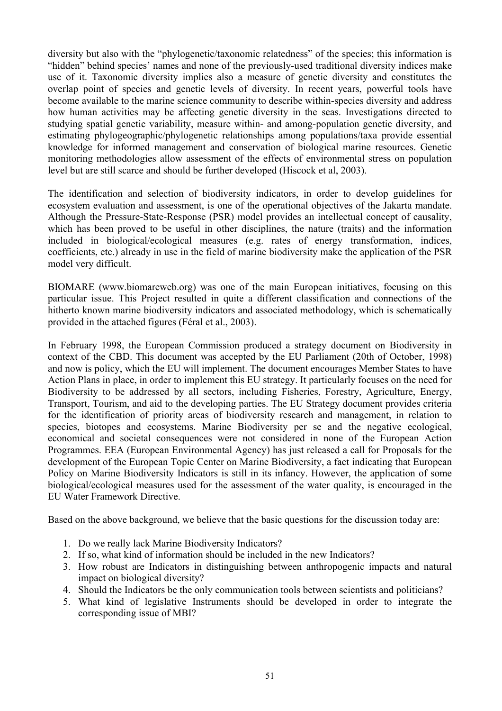diversity but also with the "phylogenetic/taxonomic relatedness" of the species; this information is "hidden" behind species' names and none of the previously-used traditional diversity indices make use of it. Taxonomic diversity implies also a measure of genetic diversity and constitutes the overlap point of species and genetic levels of diversity. In recent years, powerful tools have become available to the marine science community to describe within-species diversity and address how human activities may be affecting genetic diversity in the seas. Investigations directed to studying spatial genetic variability, measure within- and among-population genetic diversity, and estimating phylogeographic/phylogenetic relationships among populations/taxa provide essential knowledge for informed management and conservation of biological marine resources. Genetic monitoring methodologies allow assessment of the effects of environmental stress on population level but are still scarce and should be further developed (Hiscock et al, 2003).

The identification and selection of biodiversity indicators, in order to develop guidelines for ecosystem evaluation and assessment, is one of the operational objectives of the Jakarta mandate. Although the Pressure-State-Response (PSR) model provides an intellectual concept of causality, which has been proved to be useful in other disciplines, the nature (traits) and the information included in biological/ecological measures (e.g. rates of energy transformation, indices, coefficients, etc.) already in use in the field of marine biodiversity make the application of the PSR model very difficult.

BIOMARE (www.biomareweb.org) was one of the main European initiatives, focusing on this particular issue. This Project resulted in quite a different classification and connections of the hitherto known marine biodiversity indicators and associated methodology, which is schematically provided in the attached figures (Féral et al., 2003).

In February 1998, the European Commission produced a strategy document on Biodiversity in context of the CBD. This document was accepted by the EU Parliament (20th of October, 1998) and now is policy, which the EU will implement. The document encourages Member States to have Action Plans in place, in order to implement this EU strategy. It particularly focuses on the need for Biodiversity to be addressed by all sectors, including Fisheries, Forestry, Agriculture, Energy, Transport, Tourism, and aid to the developing parties. The EU Strategy document provides criteria for the identification of priority areas of biodiversity research and management, in relation to species, biotopes and ecosystems. Marine Biodiversity per se and the negative ecological, economical and societal consequences were not considered in none of the European Action Programmes. EEA (European Environmental Agency) has just released a call for Proposals for the development of the European Topic Center on Marine Biodiversity, a fact indicating that European Policy on Marine Biodiversity Indicators is still in its infancy. However, the application of some biological/ecological measures used for the assessment of the water quality, is encouraged in the EU Water Framework Directive.

Based on the above background, we believe that the basic questions for the discussion today are:

- 1. Do we really lack Marine Biodiversity Indicators?
- 2. If so, what kind of information should be included in the new Indicators?
- 3. How robust are Indicators in distinguishing between anthropogenic impacts and natural impact on biological diversity?
- 4. Should the Indicators be the only communication tools between scientists and politicians?
- 5. What kind of legislative Instruments should be developed in order to integrate the corresponding issue of MBI?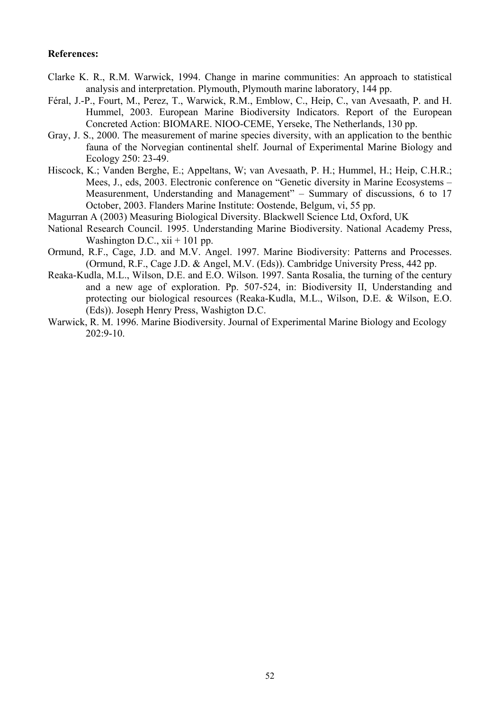#### **References:**

- Clarke K. R., R.M. Warwick, 1994. Change in marine communities: An approach to statistical analysis and interpretation. Plymouth, Plymouth marine laboratory, 144 pp.
- Féral, J.-P., Fourt, M., Perez, T., Warwick, R.M., Emblow, C., Heip, C., van Avesaath, P. and H. Hummel, 2003. European Marine Biodiversity Indicators. Report of the European Concreted Action: BIOMARE. NIOO-CEME, Yerseke, The Netherlands, 130 pp.
- Gray, J. S., 2000. The measurement of marine species diversity, with an application to the benthic fauna of the Norvegian continental shelf. Journal of Experimental Marine Biology and Ecology 250: 23-49.
- Hiscock, K.; Vanden Berghe, E.; Appeltans, W; van Avesaath, P. H.; Hummel, H.; Heip, C.H.R.; Mees, J., eds, 2003. Electronic conference on "Genetic diversity in Marine Ecosystems – Measurenment, Understanding and Management" – Summary of discussions, 6 to 17 October, 2003. Flanders Marine Institute: Oostende, Belgum, vi, 55 pp.
- Magurran A (2003) Measuring Biological Diversity. Blackwell Science Ltd, Oxford, UK
- National Research Council. 1995. Understanding Marine Biodiversity. National Academy Press, Washington D.C.,  $xii + 101$  pp.
- Ormund, R.F., Cage, J.D. and M.V. Angel. 1997. Marine Biodiversity: Patterns and Processes. (Ormund, R.F., Cage J.D. & Angel, M.V. (Eds)). Cambridge University Press, 442 pp.
- Reaka-Kudla, M.L., Wilson, D.E. and E.O. Wilson. 1997. Santa Rosalia, the turning of the century and a new age of exploration. Pp. 507-524, in: Biodiversity II, Understanding and protecting our biological resources (Reaka-Kudla, M.L., Wilson, D.E. & Wilson, E.O. (Eds)). Joseph Henry Press, Washigton D.C.
- Warwick, R. M. 1996. Marine Biodiversity. Journal of Experimental Marine Biology and Ecology 202:9-10.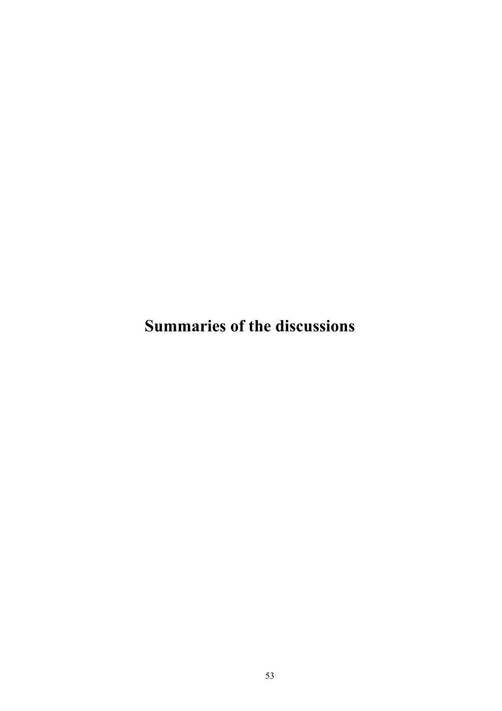**Summaries of the discussions**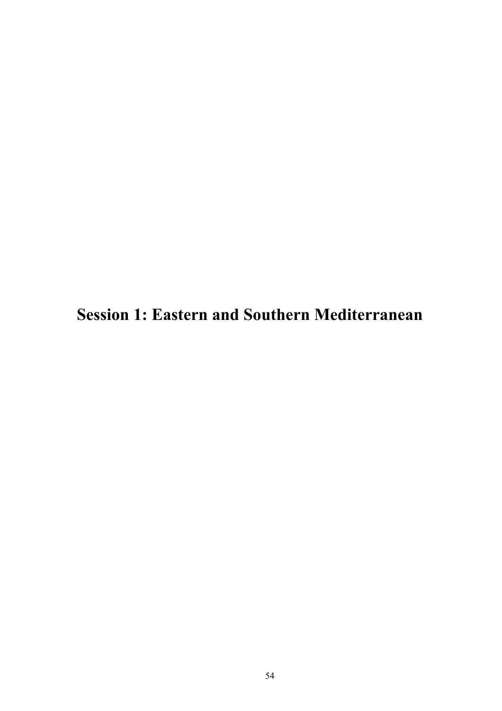**Session 1: Eastern and Southern Mediterranean**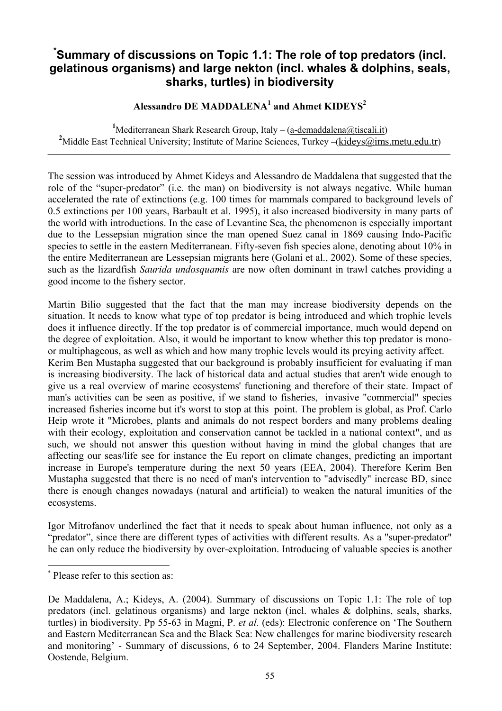## **[\\*](#page-58-0) Summary of discussions on Topic 1.1: The role of top predators (incl. gelatinous organisms) and large nekton (incl. whales & dolphins, seals, sharks, turtles) in biodiversity**

## **Alessandro DE MADDALENA1 and Ahmet KIDEYS2**

<sup>1</sup>Mediterranean Shark Research Group, Italy – (a-demaddalena@tiscali.it) <sup>2</sup>Middle East Technical University; Institute of Marine Sciences, Turkey –(kideys@ims.metu.edu.tr)

The session was introduced by Ahmet Kideys and Alessandro de Maddalena that suggested that the role of the "super-predator" (i.e. the man) on biodiversity is not always negative. While human accelerated the rate of extinctions (e.g. 100 times for mammals compared to background levels of 0.5 extinctions per 100 years, Barbault et al. 1995), it also increased biodiversity in many parts of the world with introductions. In the case of Levantine Sea, the phenomenon is especially important due to the Lessepsian migration since the man opened Suez canal in 1869 causing Indo-Pacific species to settle in the eastern Mediterranean. Fifty-seven fish species alone, denoting about 10% in the entire Mediterranean are Lessepsian migrants here (Golani et al., 2002). Some of these species, such as the lizardfish *Saurida undosquamis* are now often dominant in trawl catches providing a good income to the fishery sector.

Martin Bilio suggested that the fact that the man may increase biodiversity depends on the situation. It needs to know what type of top predator is being introduced and which trophic levels does it influence directly. If the top predator is of commercial importance, much would depend on the degree of exploitation. Also, it would be important to know whether this top predator is monoor multiphageous, as well as which and how many trophic levels would its preying activity affect. Kerim Ben Mustapha suggested that our background is probably insufficient for evaluating if man is increasing biodiversity. The lack of historical data and actual studies that aren't wide enough to give us a real overview of marine ecosystems' functioning and therefore of their state. Impact of man's activities can be seen as positive, if we stand to fisheries, invasive "commercial" species increased fisheries income but it's worst to stop at this point. The problem is global, as Prof. Carlo Heip wrote it "Microbes, plants and animals do not respect borders and many problems dealing with their ecology, exploitation and conservation cannot be tackled in a national context", and as such, we should not answer this question without having in mind the global changes that are affecting our seas/life see for instance the Eu report on climate changes, predicting an important increase in Europe's temperature during the next 50 years (EEA, 2004). Therefore Kerim Ben Mustapha suggested that there is no need of man's intervention to "advisedly" increase BD, since there is enough changes nowadays (natural and artificial) to weaken the natural imunities of the ecosystems.

Igor Mitrofanov underlined the fact that it needs to speak about human influence, not only as a "predator", since there are different types of activities with different results. As a "super-predator" he can only reduce the biodiversity by over-exploitation. Introducing of valuable species is another

 $\overline{\phantom{a}}$ 

<span id="page-58-0"></span><sup>\*</sup> Please refer to this section as:

De Maddalena, A.; Kideys, A. (2004). Summary of discussions on Topic 1.1: The role of top predators (incl. gelatinous organisms) and large nekton (incl. whales & dolphins, seals, sharks, turtles) in biodiversity. Pp 55-63 in Magni, P. *et al.* (eds): Electronic conference on 'The Southern and Eastern Mediterranean Sea and the Black Sea: New challenges for marine biodiversity research and monitoring' - Summary of discussions, 6 to 24 September, 2004. Flanders Marine Institute: Oostende, Belgium.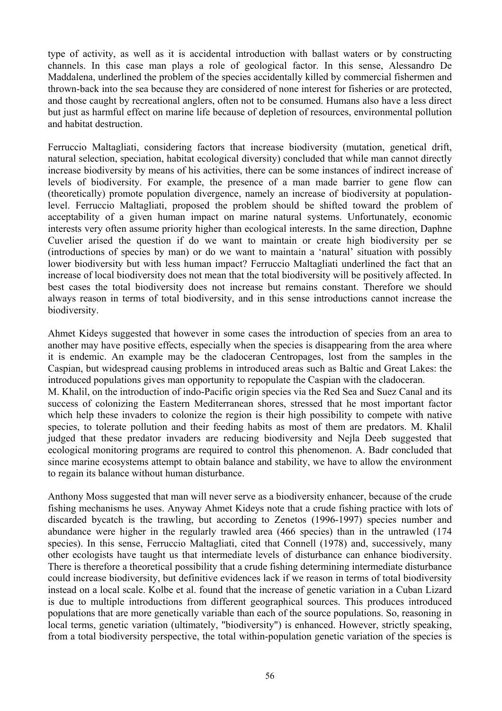type of activity, as well as it is accidental introduction with ballast waters or by constructing channels. In this case man plays a role of geological factor. In this sense, Alessandro De Maddalena, underlined the problem of the species accidentally killed by commercial fishermen and thrown-back into the sea because they are considered of none interest for fisheries or are protected, and those caught by recreational anglers, often not to be consumed. Humans also have a less direct but just as harmful effect on marine life because of depletion of resources, environmental pollution and habitat destruction.

Ferruccio Maltagliati, considering factors that increase biodiversity (mutation, genetical drift, natural selection, speciation, habitat ecological diversity) concluded that while man cannot directly increase biodiversity by means of his activities, there can be some instances of indirect increase of levels of biodiversity. For example, the presence of a man made barrier to gene flow can (theoretically) promote population divergence, namely an increase of biodiversity at populationlevel. Ferruccio Maltagliati, proposed the problem should be shifted toward the problem of acceptability of a given human impact on marine natural systems. Unfortunately, economic interests very often assume priority higher than ecological interests. In the same direction, Daphne Cuvelier arised the question if do we want to maintain or create high biodiversity per se (introductions of species by man) or do we want to maintain a 'natural' situation with possibly lower biodiversity but with less human impact? Ferruccio Maltagliati underlined the fact that an increase of local biodiversity does not mean that the total biodiversity will be positively affected. In best cases the total biodiversity does not increase but remains constant. Therefore we should always reason in terms of total biodiversity, and in this sense introductions cannot increase the biodiversity.

Ahmet Kideys suggested that however in some cases the introduction of species from an area to another may have positive effects, especially when the species is disappearing from the area where it is endemic. An example may be the cladoceran Centropages, lost from the samples in the Caspian, but widespread causing problems in introduced areas such as Baltic and Great Lakes: the introduced populations gives man opportunity to repopulate the Caspian with the cladoceran.

M. Khalil, on the introduction of indo-Pacific origin species via the Red Sea and Suez Canal and its success of colonizing the Eastern Mediterranean shores, stressed that he most important factor which help these invaders to colonize the region is their high possibility to compete with native species, to tolerate pollution and their feeding habits as most of them are predators. M. Khalil judged that these predator invaders are reducing biodiversity and Nejla Deeb suggested that ecological monitoring programs are required to control this phenomenon. A. Badr concluded that since marine ecosystems attempt to obtain balance and stability, we have to allow the environment to regain its balance without human disturbance.

Anthony Moss suggested that man will never serve as a biodiversity enhancer, because of the crude fishing mechanisms he uses. Anyway Ahmet Kideys note that a crude fishing practice with lots of discarded bycatch is the trawling, but according to Zenetos (1996-1997) species number and abundance were higher in the regularly trawled area (466 species) than in the untrawled (174 species). In this sense, Ferruccio Maltagliati, cited that Connell (1978) and, successively, many other ecologists have taught us that intermediate levels of disturbance can enhance biodiversity. There is therefore a theoretical possibility that a crude fishing determining intermediate disturbance could increase biodiversity, but definitive evidences lack if we reason in terms of total biodiversity instead on a local scale. Kolbe et al. found that the increase of genetic variation in a Cuban Lizard is due to multiple introductions from different geographical sources. This produces introduced populations that are more genetically variable than each of the source populations. So, reasoning in local terms, genetic variation (ultimately, "biodiversity") is enhanced. However, strictly speaking, from a total biodiversity perspective, the total within-population genetic variation of the species is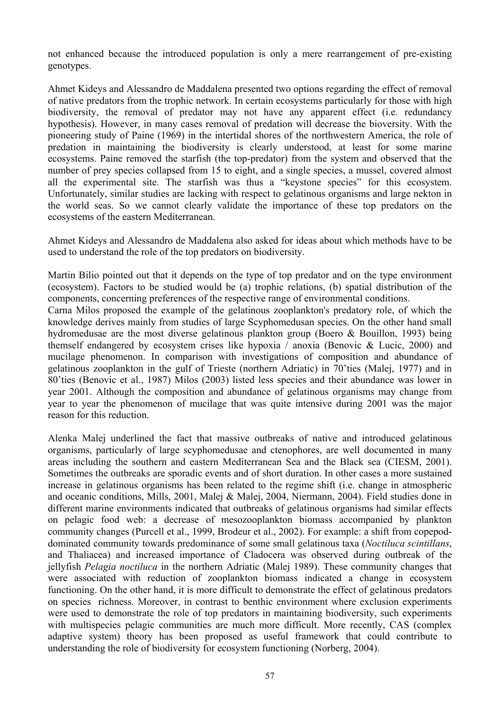not enhanced because the introduced population is only a mere rearrangement of pre-existing genotypes.

Ahmet Kideys and Alessandro de Maddalena presented two options regarding the effect of removal of native predators from the trophic network. In certain ecosystems particularly for those with high biodiversity, the removal of predator may not have any apparent effect (i.e. redundancy hypothesis). However, in many cases removal of predation will decrease the bioversity. With the pioneering study of Paine (1969) in the intertidal shores of the northwestern America, the role of predation in maintaining the biodiversity is clearly understood, at least for some marine ecosystems. Paine removed the starfish (the top-predator) from the system and observed that the number of prey species collapsed from 15 to eight, and a single species, a mussel, covered almost all the experimental site. The starfish was thus a "keystone species" for this ecosystem. Unfortunately, similar studies are lacking with respect to gelatinous organisms and large nekton in the world seas. So we cannot clearly validate the importance of these top predators on the ecosystems of the eastern Mediterranean.

Ahmet Kideys and Alessandro de Maddalena also asked for ideas about which methods have to be used to understand the role of the top predators on biodiversity.

Martin Bilio pointed out that it depends on the type of top predator and on the type environment (ecosystem). Factors to be studied would be (a) trophic relations, (b) spatial distribution of the components, concerning preferences of the respective range of environmental conditions.

Carna Milos proposed the example of the gelatinous zooplankton's predatory role, of which the knowledge derives mainly from studies of large Scyphomedusan species. On the other hand small hydromedusae are the most diverse gelatinous plankton group (Boero & Bouillon, 1993) being themself endangered by ecosystem crises like hypoxia / anoxia (Benovic & Lucic, 2000) and mucilage phenomenon. In comparison with investigations of composition and abundance of gelatinous zooplankton in the gulf of Trieste (northern Adriatic) in 70'ties (Malej, 1977) and in 80'ties (Benovic et al., 1987) Milos (2003) listed less species and their abundance was lower in year 2001. Although the composition and abundance of gelatinous organisms may change from year to year the phenomenon of mucilage that was quite intensive during 2001 was the major reason for this reduction.

Alenka Malej underlined the fact that massive outbreaks of native and introduced gelatinous organisms, particularly of large scyphomedusae and ctenophores, are well documented in many areas including the southern and eastern Mediterranean Sea and the Black sea (CIESM, 2001). Sometimes the outbreaks are sporadic events and of short duration. In other cases a more sustained increase in gelatinous organisms has been related to the regime shift (i.e. change in atmospheric and oceanic conditions, Mills, 2001, Malej & Malej, 2004, Niermann, 2004). Field studies done in different marine environments indicated that outbreaks of gelatinous organisms had similar effects on pelagic food web: a decrease of mesozooplankton biomass accompanied by plankton community changes (Purcell et al., 1999, Brodeur et al., 2002). For example: a shift from copepoddominated community towards predominance of some small gelatinous taxa (*Noctiluca scintillans*, and Thaliacea) and increased importance of Cladocera was observed during outbreak of the jellyfish *Pelagia noctiluca* in the northern Adriatic (Malej 1989). These community changes that were associated with reduction of zooplankton biomass indicated a change in ecosystem functioning. On the other hand, it is more difficult to demonstrate the effect of gelatinous predators on species richness. Moreover, in contrast to benthic environment where exclusion experiments were used to demonstrate the role of top predators in maintaining biodiversity, such experiments with multispecies pelagic communities are much more difficult. More recently, CAS (complex adaptive system) theory has been proposed as useful framework that could contribute to understanding the role of biodiversity for ecosystem functioning (Norberg, 2004).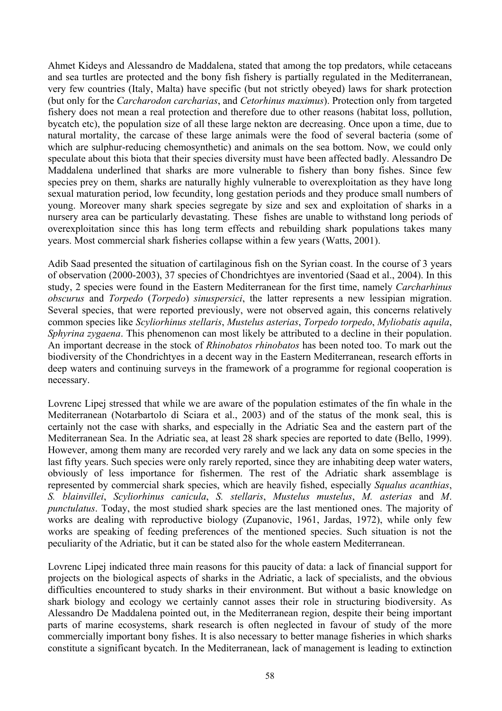Ahmet Kideys and Alessandro de Maddalena, stated that among the top predators, while cetaceans and sea turtles are protected and the bony fish fishery is partially regulated in the Mediterranean, very few countries (Italy, Malta) have specific (but not strictly obeyed) laws for shark protection (but only for the *Carcharodon carcharias*, and *Cetorhinus maximus*). Protection only from targeted fishery does not mean a real protection and therefore due to other reasons (habitat loss, pollution, bycatch etc), the population size of all these large nekton are decreasing. Once upon a time, due to natural mortality, the carcase of these large animals were the food of several bacteria (some of which are sulphur-reducing chemosynthetic) and animals on the sea bottom. Now, we could only speculate about this biota that their species diversity must have been affected badly. Alessandro De Maddalena underlined that sharks are more vulnerable to fishery than bony fishes. Since few species prey on them, sharks are naturally highly vulnerable to overexploitation as they have long sexual maturation period, low fecundity, long gestation periods and they produce small numbers of young. Moreover many shark species segregate by size and sex and exploitation of sharks in a nursery area can be particularly devastating. These fishes are unable to withstand long periods of overexploitation since this has long term effects and rebuilding shark populations takes many years. Most commercial shark fisheries collapse within a few years (Watts, 2001).

Adib Saad presented the situation of cartilaginous fish on the Syrian coast. In the course of 3 years of observation (2000-2003), 37 species of Chondrichtyes are inventoried (Saad et al., 2004). In this study, 2 species were found in the Eastern Mediterranean for the first time, namely *Carcharhinus obscurus* and *Torpedo* (*Torpedo*) *sinuspersici*, the latter represents a new lessipian migration. Several species, that were reported previously, were not observed again, this concerns relatively common species like *Scyliorhinus stellaris*, *Mustelus asterias*, *Torpedo torpedo*, *Myliobatis aquila*, *Sphyrina zygaena*. This phenomenon can most likely be attributed to a decline in their population. An important decrease in the stock of *Rhinobatos rhinobatos* has been noted too. To mark out the biodiversity of the Chondrichtyes in a decent way in the Eastern Mediterranean, research efforts in deep waters and continuing surveys in the framework of a programme for regional cooperation is necessary.

Lovrenc Lipej stressed that while we are aware of the population estimates of the fin whale in the Mediterranean (Notarbartolo di Sciara et al., 2003) and of the status of the monk seal, this is certainly not the case with sharks, and especially in the Adriatic Sea and the eastern part of the Mediterranean Sea. In the Adriatic sea, at least 28 shark species are reported to date (Bello, 1999). However, among them many are recorded very rarely and we lack any data on some species in the last fifty years. Such species were only rarely reported, since they are inhabiting deep water waters, obviously of less importance for fishermen. The rest of the Adriatic shark assemblage is represented by commercial shark species, which are heavily fished, especially *Squalus acanthias*, *S. blainvillei*, *Scyliorhinus canicula*, *S. stellaris*, *Mustelus mustelus*, *M. asterias* and *M*. *punctulatus*. Today, the most studied shark species are the last mentioned ones. The majority of works are dealing with reproductive biology (Zupanovic, 1961, Jardas, 1972), while only few works are speaking of feeding preferences of the mentioned species. Such situation is not the peculiarity of the Adriatic, but it can be stated also for the whole eastern Mediterranean.

Lovrenc Lipej indicated three main reasons for this paucity of data: a lack of financial support for projects on the biological aspects of sharks in the Adriatic, a lack of specialists, and the obvious difficulties encountered to study sharks in their environment. But without a basic knowledge on shark biology and ecology we certainly cannot asses their role in structuring biodiversity. As Alessandro De Maddalena pointed out, in the Mediterranean region, despite their being important parts of marine ecosystems, shark research is often neglected in favour of study of the more commercially important bony fishes. It is also necessary to better manage fisheries in which sharks constitute a significant bycatch. In the Mediterranean, lack of management is leading to extinction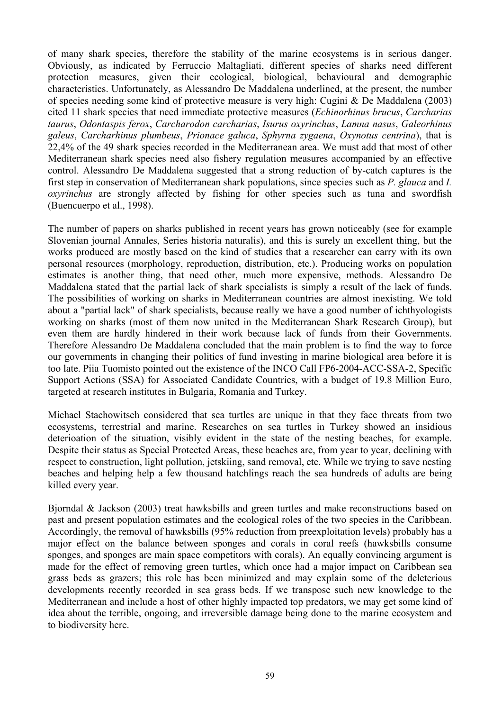of many shark species, therefore the stability of the marine ecosystems is in serious danger. Obviously, as indicated by Ferruccio Maltagliati, different species of sharks need different protection measures, given their ecological, biological, behavioural and demographic characteristics. Unfortunately, as Alessandro De Maddalena underlined, at the present, the number of species needing some kind of protective measure is very high: Cugini & De Maddalena (2003) cited 11 shark species that need immediate protective measures (*Echinorhinus brucus*, *Carcharias taurus*, *Odontaspis ferox*, *Carcharodon carcharias*, *Isurus oxyrinchus*, *Lamna nasus*, *Galeorhinus galeus*, *Carcharhinus plumbeus*, *Prionace galuca*, *Sphyrna zygaena*, *Oxynotus centrina*), that is 22,4% of the 49 shark species recorded in the Mediterranean area. We must add that most of other Mediterranean shark species need also fishery regulation measures accompanied by an effective control. Alessandro De Maddalena suggested that a strong reduction of by-catch captures is the first step in conservation of Mediterranean shark populations, since species such as *P. glauca* and *I. oxyrinchus* are strongly affected by fishing for other species such as tuna and swordfish (Buencuerpo et al., 1998).

The number of papers on sharks published in recent years has grown noticeably (see for example Slovenian journal Annales, Series historia naturalis), and this is surely an excellent thing, but the works produced are mostly based on the kind of studies that a researcher can carry with its own personal resources (morphology, reproduction, distribution, etc.). Producing works on population estimates is another thing, that need other, much more expensive, methods. Alessandro De Maddalena stated that the partial lack of shark specialists is simply a result of the lack of funds. The possibilities of working on sharks in Mediterranean countries are almost inexisting. We told about a "partial lack" of shark specialists, because really we have a good number of ichthyologists working on sharks (most of them now united in the Mediterranean Shark Research Group), but even them are hardly hindered in their work because lack of funds from their Governments. Therefore Alessandro De Maddalena concluded that the main problem is to find the way to force our governments in changing their politics of fund investing in marine biological area before it is too late. Piia Tuomisto pointed out the existence of the INCO Call FP6-2004-ACC-SSA-2, Specific Support Actions (SSA) for Associated Candidate Countries, with a budget of 19.8 Million Euro, targeted at research institutes in Bulgaria, Romania and Turkey.

Michael Stachowitsch considered that sea turtles are unique in that they face threats from two ecosystems, terrestrial and marine. Researches on sea turtles in Turkey showed an insidious deterioation of the situation, visibly evident in the state of the nesting beaches, for example. Despite their status as Special Protected Areas, these beaches are, from year to year, declining with respect to construction, light pollution, jetskiing, sand removal, etc. While we trying to save nesting beaches and helping help a few thousand hatchlings reach the sea hundreds of adults are being killed every year.

Bjorndal & Jackson (2003) treat hawksbills and green turtles and make reconstructions based on past and present population estimates and the ecological roles of the two species in the Caribbean. Accordingly, the removal of hawksbills (95% reduction from preexploitation levels) probably has a major effect on the balance between sponges and corals in coral reefs (hawksbills consume sponges, and sponges are main space competitors with corals). An equally convincing argument is made for the effect of removing green turtles, which once had a major impact on Caribbean sea grass beds as grazers; this role has been minimized and may explain some of the deleterious developments recently recorded in sea grass beds. If we transpose such new knowledge to the Mediterranean and include a host of other highly impacted top predators, we may get some kind of idea about the terrible, ongoing, and irreversible damage being done to the marine ecosystem and to biodiversity here.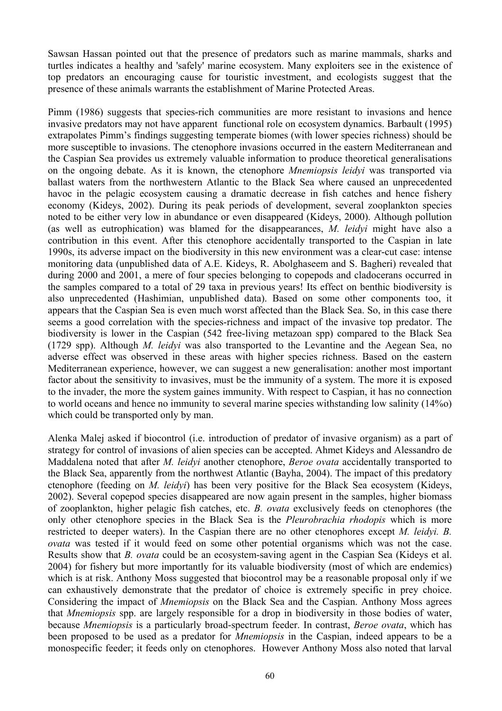Sawsan Hassan pointed out that the presence of predators such as marine mammals, sharks and turtles indicates a healthy and 'safely' marine ecosystem. Many exploiters see in the existence of top predators an encouraging cause for touristic investment, and ecologists suggest that the presence of these animals warrants the establishment of Marine Protected Areas.

Pimm (1986) suggests that species-rich communities are more resistant to invasions and hence invasive predators may not have apparent functional role on ecosystem dynamics. Barbault (1995) extrapolates Pimm's findings suggesting temperate biomes (with lower species richness) should be more susceptible to invasions. The ctenophore invasions occurred in the eastern Mediterranean and the Caspian Sea provides us extremely valuable information to produce theoretical generalisations on the ongoing debate. As it is known, the ctenophore *Mnemiopsis leidyi* was transported via ballast waters from the northwestern Atlantic to the Black Sea where caused an unprecedented havoc in the pelagic ecosystem causing a dramatic decrease in fish catches and hence fishery economy (Kideys, 2002). During its peak periods of development, several zooplankton species noted to be either very low in abundance or even disappeared (Kideys, 2000). Although pollution (as well as eutrophication) was blamed for the disappearances, *M. leidyi* might have also a contribution in this event. After this ctenophore accidentally transported to the Caspian in late 1990s, its adverse impact on the biodiversity in this new environment was a clear-cut case: intense monitoring data (unpublished data of A.E. Kideys, R. Abolghaseem and S. Bagheri) revealed that during 2000 and 2001, a mere of four species belonging to copepods and cladocerans occurred in the samples compared to a total of 29 taxa in previous years! Its effect on benthic biodiversity is also unprecedented (Hashimian, unpublished data). Based on some other components too, it appears that the Caspian Sea is even much worst affected than the Black Sea. So, in this case there seems a good correlation with the species-richness and impact of the invasive top predator. The biodiversity is lower in the Caspian (542 free-living metazoan spp) compared to the Black Sea (1729 spp). Although *M. leidyi* was also transported to the Levantine and the Aegean Sea, no adverse effect was observed in these areas with higher species richness. Based on the eastern Mediterranean experience, however, we can suggest a new generalisation: another most important factor about the sensitivity to invasives, must be the immunity of a system. The more it is exposed to the invader, the more the system gaines immunity. With respect to Caspian, it has no connection to world oceans and hence no immunity to several marine species withstanding low salinity (14%o) which could be transported only by man.

Alenka Malej asked if biocontrol (i.e. introduction of predator of invasive organism) as a part of strategy for control of invasions of alien species can be accepted. Ahmet Kideys and Alessandro de Maddalena noted that after *M. leidyi* another ctenophore, *Beroe ovata* accidentally transported to the Black Sea, apparently from the northwest Atlantic (Bayha, 2004). The impact of this predatory ctenophore (feeding on *M. leidyi*) has been very positive for the Black Sea ecosystem (Kideys, 2002). Several copepod species disappeared are now again present in the samples, higher biomass of zooplankton, higher pelagic fish catches, etc. *B. ovata* exclusively feeds on ctenophores (the only other ctenophore species in the Black Sea is the *Pleurobrachia rhodopis* which is more restricted to deeper waters). In the Caspian there are no other ctenophores except *M. leidyi. B. ovata* was tested if it would feed on some other potential organisms which was not the case. Results show that *B. ovata* could be an ecosystem-saving agent in the Caspian Sea (Kideys et al. 2004) for fishery but more importantly for its valuable biodiversity (most of which are endemics) which is at risk. Anthony Moss suggested that biocontrol may be a reasonable proposal only if we can exhaustively demonstrate that the predator of choice is extremely specific in prey choice. Considering the impact of *Mnemiopsis* on the Black Sea and the Caspian. Anthony Moss agrees that *Mnemiopsis* spp. are largely responsible for a drop in biodiversity in those bodies of water, because *Mnemiopsis* is a particularly broad-spectrum feeder. In contrast, *Beroe ovata*, which has been proposed to be used as a predator for *Mnemiopsis* in the Caspian, indeed appears to be a monospecific feeder; it feeds only on ctenophores. However Anthony Moss also noted that larval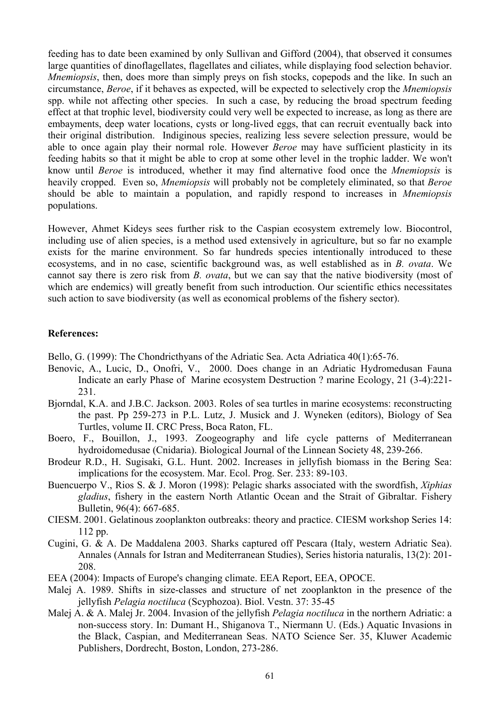feeding has to date been examined by only Sullivan and Gifford (2004), that observed it consumes large quantities of dinoflagellates, flagellates and ciliates, while displaying food selection behavior. *Mnemiopsis*, then, does more than simply preys on fish stocks, copepods and the like. In such an circumstance, *Beroe*, if it behaves as expected, will be expected to selectively crop the *Mnemiopsis* spp. while not affecting other species. In such a case, by reducing the broad spectrum feeding effect at that trophic level, biodiversity could very well be expected to increase, as long as there are embayments, deep water locations, cysts or long-lived eggs, that can recruit eventually back into their original distribution. Indiginous species, realizing less severe selection pressure, would be able to once again play their normal role. However *Beroe* may have sufficient plasticity in its feeding habits so that it might be able to crop at some other level in the trophic ladder. We won't know until *Beroe* is introduced, whether it may find alternative food once the *Mnemiopsis* is heavily cropped. Even so, *Mnemiopsis* will probably not be completely eliminated, so that *Beroe* should be able to maintain a population, and rapidly respond to increases in *Mnemiopsis* populations.

However, Ahmet Kideys sees further risk to the Caspian ecosystem extremely low. Biocontrol, including use of alien species, is a method used extensively in agriculture, but so far no example exists for the marine environment. So far hundreds species intentionally introduced to these ecosystems, and in no case, scientific background was, as well established as in *B. ovata*. We cannot say there is zero risk from *B. ovata*, but we can say that the native biodiversity (most of which are endemics) will greatly benefit from such introduction. Our scientific ethics necessitates such action to save biodiversity (as well as economical problems of the fishery sector).

#### **References:**

- Bello, G. (1999): The Chondricthyans of the Adriatic Sea. Acta Adriatica 40(1):65-76.
- Benovic, A., Lucic, D., Onofri, V., 2000. Does change in an Adriatic Hydromedusan Fauna Indicate an early Phase of Marine ecosystem Destruction ? marine Ecology, 21 (3-4):221- 231.
- Bjorndal, K.A. and J.B.C. Jackson. 2003. Roles of sea turtles in marine ecosystems: reconstructing the past. Pp 259-273 in P.L. Lutz, J. Musick and J. Wyneken (editors), Biology of Sea Turtles, volume II. CRC Press, Boca Raton, FL.
- Boero, F., Bouillon, J., 1993. Zoogeography and life cycle patterns of Mediterranean hydroidomedusae (Cnidaria). Biological Journal of the Linnean Society 48, 239-266.
- Brodeur R.D., H. Sugisaki, G.L. Hunt. 2002. Increases in jellyfish biomass in the Bering Sea: implications for the ecosystem. Mar. Ecol. Prog. Ser. 233: 89-103.
- Buencuerpo V., Rios S. & J. Moron (1998): Pelagic sharks associated with the swordfish, *Xiphias gladius*, fishery in the eastern North Atlantic Ocean and the Strait of Gibraltar. Fishery Bulletin, 96(4): 667-685.
- CIESM. 2001. Gelatinous zooplankton outbreaks: theory and practice. CIESM workshop Series 14: 112 pp.
- Cugini, G. & A. De Maddalena 2003. Sharks captured off Pescara (Italy, western Adriatic Sea). Annales (Annals for Istran and Mediterranean Studies), Series historia naturalis, 13(2): 201- 208.
- EEA (2004): Impacts of Europe's changing climate. EEA Report, EEA, OPOCE.
- Malej A. 1989. Shifts in size-classes and structure of net zooplankton in the presence of the jellyfish *Pelagia noctiluca* (Scyphozoa). Biol. Vestn. 37: 35-45
- Malej A. & A. Malej Jr. 2004. Invasion of the jellyfish *Pelagia noctiluca* in the northern Adriatic: a non-success story. In: Dumant H., Shiganova T., Niermann U. (Eds.) Aquatic Invasions in the Black, Caspian, and Mediterranean Seas. NATO Science Ser. 35, Kluwer Academic Publishers, Dordrecht, Boston, London, 273-286.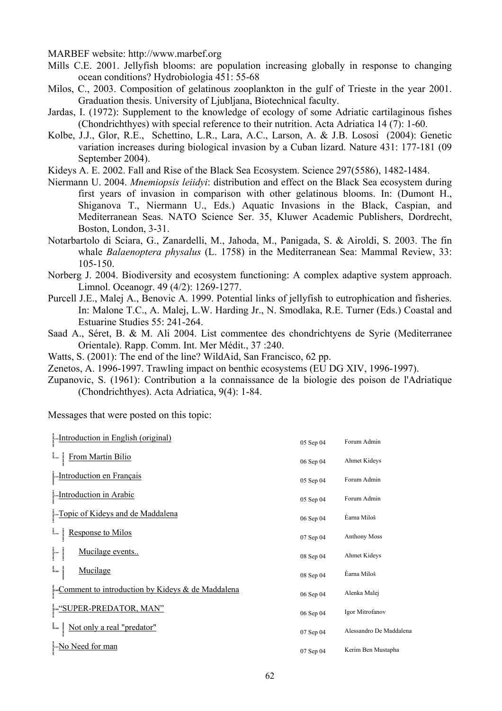MARBEF website: http://www.marbef.org

- Mills C.E. 2001. Jellyfish blooms: are population increasing globally in response to changing ocean conditions? Hydrobiologia 451: 55-68
- Milos, C., 2003. Composition of gelatinous zooplankton in the gulf of Trieste in the year 2001. Graduation thesis. University of Ljubljana, Biotechnical faculty.
- Jardas, I. (1972): Supplement to the knowledge of ecology of some Adriatic cartilaginous fishes (Chondrichthyes) with special reference to their nutrition. Acta Adriatica 14 (7): 1-60.
- Kolbe, J.J., Glor, R.E., Schettino, L.R., Lara, A.C., Larson, A. & J.B. Lososi (2004): Genetic variation increases during biological invasion by a Cuban lizard. Nature 431: 177-181 (09 September 2004).

Kideys A. E. 2002. Fall and Rise of the Black Sea Ecosystem. Science 297(5586), 1482-1484.

- Niermann U. 2004. *Mnemiopsis leiidyi*: distribution and effect on the Black Sea ecosystem during first years of invasion in comparison with other gelatinous blooms. In: (Dumont H., Shiganova T., Niermann U., Eds.) Aquatic Invasions in the Black, Caspian, and Mediterranean Seas. NATO Science Ser. 35, Kluwer Academic Publishers, Dordrecht, Boston, London, 3-31.
- Notarbartolo di Sciara, G., Zanardelli, M., Jahoda, M., Panigada, S. & Airoldi, S. 2003. The fin whale *Balaenoptera physalus* (L. 1758) in the Mediterranean Sea: Mammal Review, 33: 105-150.
- Norberg J. 2004. Biodiversity and ecosystem functioning: A complex adaptive system approach. Limnol. Oceanogr. 49 (4/2): 1269-1277.
- Purcell J.E., Malej A., Benovic A. 1999. Potential links of jellyfish to eutrophication and fisheries. In: Malone T.C., A. Malej, L.W. Harding Jr., N. Smodlaka, R.E. Turner (Eds.) Coastal and Estuarine Studies 55: 241-264.
- Saad A., Séret, B. & M. Ali 2004. List commentee des chondrichtyens de Syrie (Mediterranee Orientale). Rapp. Comm. Int. Mer Médit., 37 :240.
- Watts, S. (2001): The end of the line? WildAid, San Francisco, 62 pp.

Zenetos, A. 1996-1997. Trawling impact on benthic ecosystems (EU DG XIV, 1996-1997).

Zupanovic, S. (1961): Contribution a la connaissance de la biologie des poison de l'Adriatique (Chondrichthyes). Acta Adriatica, 9(4): 1-84.

Messages that were posted on this topic:

| Introduction in English (original)               | 05 Sep 04 | Forum Admin             |
|--------------------------------------------------|-----------|-------------------------|
| Ł.<br>From Martin Bilio                          | 06 Sep 04 | Ahmet Kideys            |
| -Introduction en Français                        | 05 Sep 04 | Forum Admin             |
| Introduction in Arabic                           | 05 Sep 04 | Forum Admin             |
| <u>--Topic of Kideys and de Maddalena</u>        | 06 Sep 04 | Èarna Miloš             |
| ĩ<br><b>Response to Milos</b>                    | 07 Sep 04 | <b>Anthony Moss</b>     |
| þ.<br>Mucilage events                            | 08 Sep 04 | Ahmet Kideys            |
| Ł.<br>Mucilage                                   | 08 Sep 04 | Èarna Miloš             |
| Comment to introduction by Kideys & de Maddalena | 06 Sep 04 | Alenka Malej            |
| "SUPER-PREDATOR, MAN"                            | 06 Sep 04 | Igor Mitrofanov         |
| Not only a real "predator"                       | 07 Sep 04 | Alessandro De Maddalena |
| -No Need for man                                 | 07 Sep 04 | Kerim Ben Mustapha      |
|                                                  |           |                         |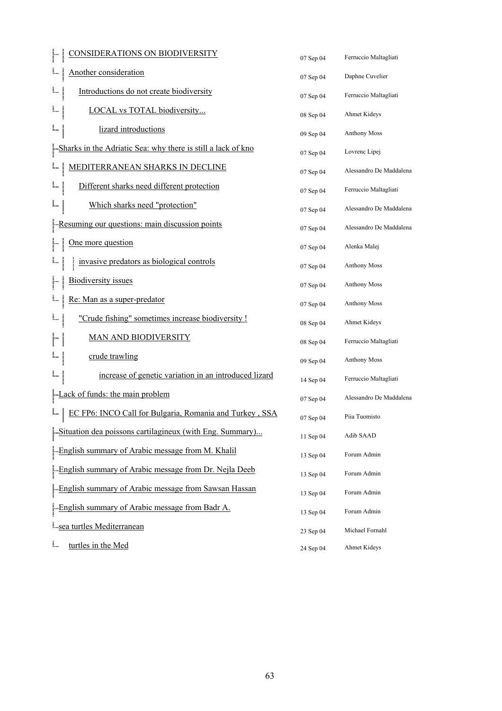|     | <b>CONSIDERATIONS ON BIODIVERSITY</b>                        | 07 Sep 04 | Ferruccio Maltagliati   |
|-----|--------------------------------------------------------------|-----------|-------------------------|
|     | Another consideration                                        | 07 Sep 04 | Daphne Cuvelier         |
| ł   | Introductions do not create biodiversity                     | 07 Sep 04 | Ferruccio Maltagliati   |
|     | LOCAL vs TOTAL biodiversity                                  | 08 Sep 04 | Ahmet Kideys            |
| ł., | lizard introductions                                         | 09 Sep 04 | <b>Anthony Moss</b>     |
|     | Sharks in the Adriatic Sea: why there is still a lack of kno | 07 Sep 04 | Lovrenc Lipej           |
| ъ., | <b>MEDITERRANEAN SHARKS IN DECLINE</b>                       | 07 Sep 04 | Alessandro De Maddalena |
|     | Different sharks need different protection                   | 07 Sep 04 | Ferruccio Maltagliati   |
|     | Which sharks need "protection"                               | 07 Sep 04 | Alessandro De Maddalena |
|     | esuming our questions: main discussion points                | 07 Sep 04 | Alessandro De Maddalena |
| þ   | One more question                                            | 07 Sep 04 | Alenka Malej            |
|     | invasive predators as biological controls                    | 07 Sep 04 | <b>Anthony Moss</b>     |
| h   | <b>Biodiversity</b> issues                                   | 07 Sep 04 | <b>Anthony Moss</b>     |
|     | Re: Man as a super-predator                                  | 07 Sep 04 | <b>Anthony Moss</b>     |
|     | "Crude fishing" sometimes increase biodiversity !            | 08 Sep 04 | Ahmet Kideys            |
|     | <b>MAN AND BIODIVERSITY</b>                                  | 08 Sep 04 | Ferruccio Maltagliati   |
|     | crude trawling                                               | 09 Sep 04 | <b>Anthony Moss</b>     |
|     | increase of genetic variation in an introduced lizard        | 14 Sep 04 | Ferruccio Maltagliati   |
|     | -Lack of funds: the main problem                             | 07 Sep 04 | Alessandro De Maddalena |
|     | FP6: INCO Call for Bulgaria, Romania and Turkey, SSA         | 07 Sep 04 | Piia Tuomisto           |
|     | Situation dea poissons cartilagineux (with Eng. Summary)     | 11 Sep 04 | Adib SAAD               |
|     | -English summary of Arabic message from M. Khalil            | 13 Sep 04 | Forum Admin             |
|     | English summary of Arabic message from Dr. Nejla Deeb        | 13 Sep 04 | Forum Admin             |
|     | English summary of Arabic message from Sawsan Hassan         | 13 Sep 04 | Forum Admin             |
|     | English summary of Arabic message from Badr A.               | 13 Sep 04 | Forum Admin             |
|     | sea turtles Mediterranean                                    | 23 Sep 04 | Michael Fornahl         |
| L., | turtles in the Med                                           | 24 Sep 04 | Ahmet Kideys            |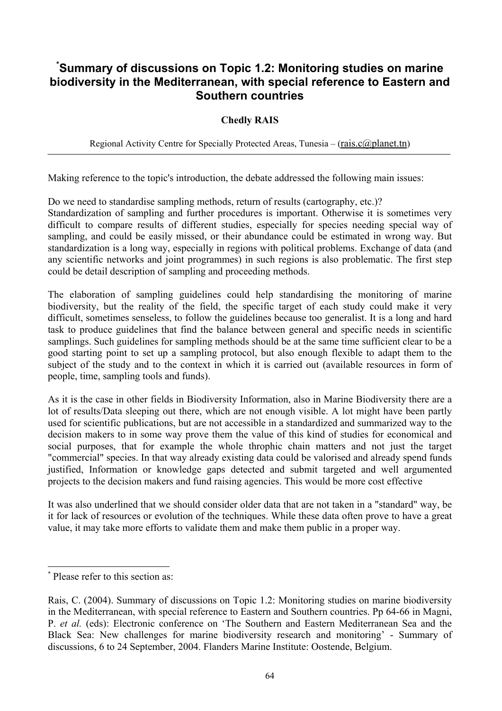## **[\\*](#page-67-0) Summary of discussions on Topic 1.2: Monitoring studies on marine biodiversity in the Mediterranean, with special reference to Eastern and Southern countries**

### **Chedly RAIS**

Regional Activity Centre for Specially Protected Areas, Tunesia – (rais. $c(\partial p$ lanet.tn)

Making reference to the topic's introduction, the debate addressed the following main issues:

Do we need to standardise sampling methods, return of results (cartography, etc.)?

Standardization of sampling and further procedures is important. Otherwise it is sometimes very difficult to compare results of different studies, especially for species needing special way of sampling, and could be easily missed, or their abundance could be estimated in wrong way. But standardization is a long way, especially in regions with political problems. Exchange of data (and any scientific networks and joint programmes) in such regions is also problematic. The first step could be detail description of sampling and proceeding methods.

The elaboration of sampling guidelines could help standardising the monitoring of marine biodiversity, but the reality of the field, the specific target of each study could make it very difficult, sometimes senseless, to follow the guidelines because too generalist. It is a long and hard task to produce guidelines that find the balance between general and specific needs in scientific samplings. Such guidelines for sampling methods should be at the same time sufficient clear to be a good starting point to set up a sampling protocol, but also enough flexible to adapt them to the subject of the study and to the context in which it is carried out (available resources in form of people, time, sampling tools and funds).

As it is the case in other fields in Biodiversity Information, also in Marine Biodiversity there are a lot of results/Data sleeping out there, which are not enough visible. A lot might have been partly used for scientific publications, but are not accessible in a standardized and summarized way to the decision makers to in some way prove them the value of this kind of studies for economical and social purposes, that for example the whole throphic chain matters and not just the target "commercial" species. In that way already existing data could be valorised and already spend funds justified, Information or knowledge gaps detected and submit targeted and well argumented projects to the decision makers and fund raising agencies. This would be more cost effective

It was also underlined that we should consider older data that are not taken in a "standard" way, be it for lack of resources or evolution of the techniques. While these data often prove to have a great value, it may take more efforts to validate them and make them public in a proper way.

 $\overline{\phantom{a}}$ 

<span id="page-67-0"></span><sup>\*</sup> Please refer to this section as:

Rais, C. (2004). Summary of discussions on Topic 1.2: Monitoring studies on marine biodiversity in the Mediterranean, with special reference to Eastern and Southern countries. Pp 64-66 in Magni, P. *et al.* (eds): Electronic conference on 'The Southern and Eastern Mediterranean Sea and the Black Sea: New challenges for marine biodiversity research and monitoring' - Summary of discussions, 6 to 24 September, 2004. Flanders Marine Institute: Oostende, Belgium.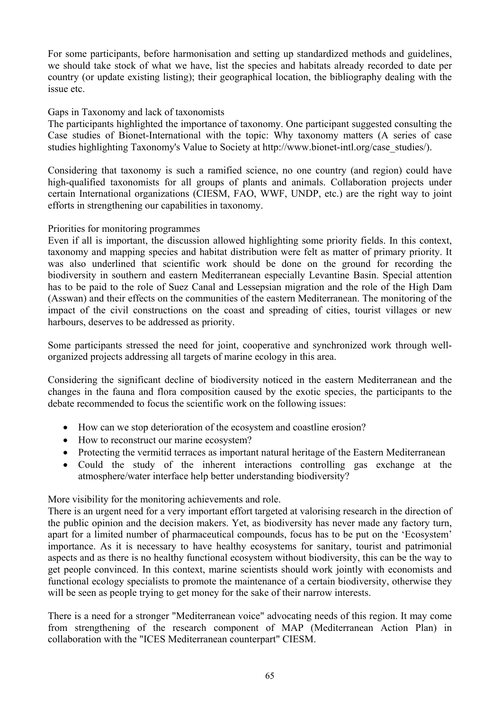For some participants, before harmonisation and setting up standardized methods and guidelines, we should take stock of what we have, list the species and habitats already recorded to date per country (or update existing listing); their geographical location, the bibliography dealing with the issue etc.

### Gaps in Taxonomy and lack of taxonomists

The participants highlighted the importance of taxonomy. One participant suggested consulting the Case studies of Bionet-International with the topic: Why taxonomy matters (A series of case studies highlighting Taxonomy's Value to Society at http://www.bionet-intl.org/case\_studies/).

Considering that taxonomy is such a ramified science, no one country (and region) could have high-qualified taxonomists for all groups of plants and animals. Collaboration projects under certain International organizations (CIESM, FAO, WWF, UNDP, etc.) are the right way to joint efforts in strengthening our capabilities in taxonomy.

#### Priorities for monitoring programmes

Even if all is important, the discussion allowed highlighting some priority fields. In this context, taxonomy and mapping species and habitat distribution were felt as matter of primary priority. It was also underlined that scientific work should be done on the ground for recording the biodiversity in southern and eastern Mediterranean especially Levantine Basin. Special attention has to be paid to the role of Suez Canal and Lessepsian migration and the role of the High Dam (Asswan) and their effects on the communities of the eastern Mediterranean. The monitoring of the impact of the civil constructions on the coast and spreading of cities, tourist villages or new harbours, deserves to be addressed as priority.

Some participants stressed the need for joint, cooperative and synchronized work through wellorganized projects addressing all targets of marine ecology in this area.

Considering the significant decline of biodiversity noticed in the eastern Mediterranean and the changes in the fauna and flora composition caused by the exotic species, the participants to the debate recommended to focus the scientific work on the following issues:

- How can we stop deterioration of the ecosystem and coastline erosion?
- How to reconstruct our marine ecosystem?
- Protecting the vermitid terraces as important natural heritage of the Eastern Mediterranean
- Could the study of the inherent interactions controlling gas exchange at the atmosphere/water interface help better understanding biodiversity?

More visibility for the monitoring achievements and role.

There is an urgent need for a very important effort targeted at valorising research in the direction of the public opinion and the decision makers. Yet, as biodiversity has never made any factory turn, apart for a limited number of pharmaceutical compounds, focus has to be put on the 'Ecosystem' importance. As it is necessary to have healthy ecosystems for sanitary, tourist and patrimonial aspects and as there is no healthy functional ecosystem without biodiversity, this can be the way to get people convinced. In this context, marine scientists should work jointly with economists and functional ecology specialists to promote the maintenance of a certain biodiversity, otherwise they will be seen as people trying to get money for the sake of their narrow interests.

There is a need for a stronger "Mediterranean voice" advocating needs of this region. It may come from strengthening of the research component of MAP (Mediterranean Action Plan) in collaboration with the "ICES Mediterranean counterpart" CIESM.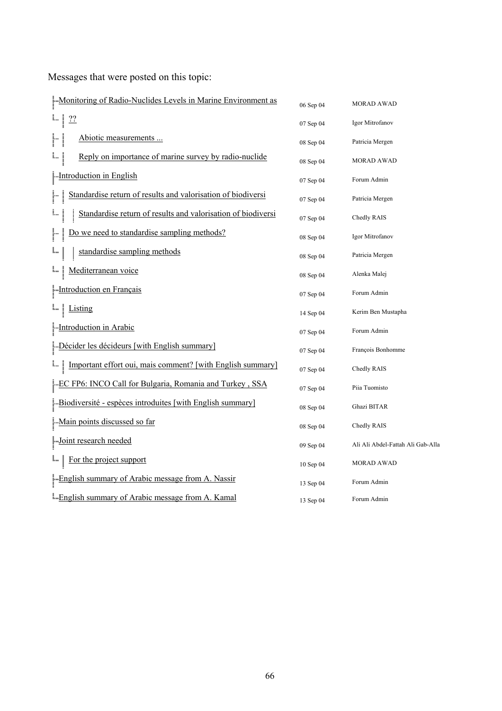Messages that were posted on this topic:

| -Monitoring of Radio-Nuclides Levels in Marine Environment as | 06 Sep 04 | <b>MORAD AWAD</b>                 |
|---------------------------------------------------------------|-----------|-----------------------------------|
| $\frac{22}{1}$                                                | 07 Sep 04 | Igor Mitrofanov                   |
| Abiotic measurements                                          | 08 Sep 04 | Patricia Mergen                   |
| Reply on importance of marine survey by radio-nuclide<br>Łщ.  | 08 Sep 04 | <b>MORAD AWAD</b>                 |
| -Introduction in English                                      | 07 Sep 04 | Forum Admin                       |
| Standardise return of results and valorisation of biodiversi  | 07 Sep 04 | Patricia Mergen                   |
| Standardise return of results and valorisation of biodiversi  | 07 Sep 04 | Chedly RAIS                       |
| Do we need to standardise sampling methods?                   | 08 Sep 04 | Igor Mitrofanov                   |
| <u>in standardise sampling methods</u>                        | 08 Sep 04 | Patricia Mergen                   |
| <u>Implemental Mediterranean voice</u>                        | 08 Sep 04 | Alenka Malej                      |
| -Introduction en Français                                     | 07 Sep 04 | Forum Admin                       |
| $\frac{1}{2}$ Listing                                         | 14 Sep 04 | Kerim Ben Mustapha                |
| -Introduction in Arabic                                       | 07 Sep 04 | Forum Admin                       |
| Décider les décideurs [with English summary]                  | 07 Sep 04 | François Bonhomme                 |
| Important effort oui, mais comment? [with English summary]    | 07 Sep 04 | Chedly RAIS                       |
| --EC FP6: INCO Call for Bulgaria, Romania and Turkey, SSA     | 07 Sep 04 | Piia Tuomisto                     |
| Biodiversité - espèces introduites [with English summary]     | 08 Sep 04 | Ghazi BITAR                       |
| -Main points discussed so far                                 | 08 Sep 04 | Chedly RAIS                       |
| -Joint research needed                                        | 09 Sep 04 | Ali Ali Abdel-Fattah Ali Gab-Alla |
| For the project support                                       | 10 Sep 04 | <b>MORAD AWAD</b>                 |
| <b>English summary of Arabic message from A. Nassir</b>       | 13 Sep 04 | Forum Admin                       |
| English summary of Arabic message from A. Kamal               | 13 Sep 04 | Forum Admin                       |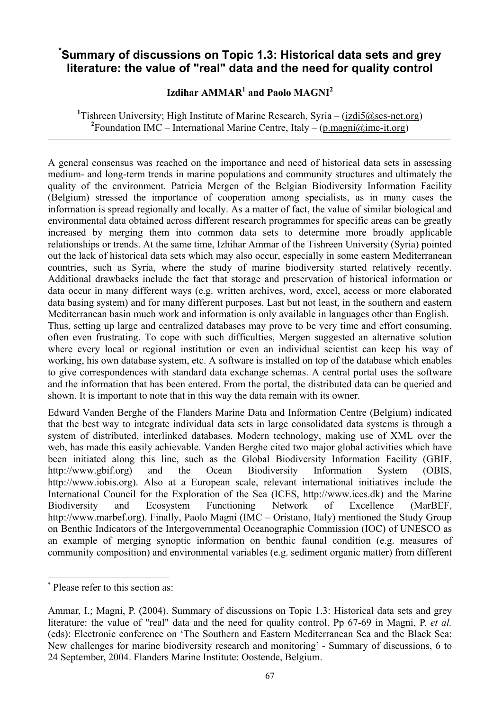# **[\\*](#page-70-0) Summary of discussions on Topic 1.3: Historical data sets and grey literature: the value of "real" data and the need for quality control**

**Izdihar AMMAR1 and Paolo MAGNI<sup>2</sup>**

<sup>1</sup>Tishreen University; High Institute of Marine Research, Syria – (izdi5@scs-net.org) <sup>2</sup> Foundation IMC – International Marine Centre, Italy –  $(p_{.}$  magni $@$  imc-it.org)

A general consensus was reached on the importance and need of historical data sets in assessing medium- and long-term trends in marine populations and community structures and ultimately the quality of the environment. Patricia Mergen of the Belgian Biodiversity Information Facility (Belgium) stressed the importance of cooperation among specialists, as in many cases the information is spread regionally and locally. As a matter of fact, the value of similar biological and environmental data obtained across different research programmes for specific areas can be greatly increased by merging them into common data sets to determine more broadly applicable relationships or trends. At the same time, Izhihar Ammar of the Tishreen University (Syria) pointed out the lack of historical data sets which may also occur, especially in some eastern Mediterranean countries, such as Syria, where the study of marine biodiversity started relatively recently. Additional drawbacks include the fact that storage and preservation of historical information or data occur in many different ways (e.g. written archives, word, excel, access or more elaborated data basing system) and for many different purposes. Last but not least, in the southern and eastern Mediterranean basin much work and information is only available in languages other than English. Thus, setting up large and centralized databases may prove to be very time and effort consuming, often even frustrating. To cope with such difficulties, Mergen suggested an alternative solution where every local or regional institution or even an individual scientist can keep his way of working, his own database system, etc. A software is installed on top of the database which enables to give correspondences with standard data exchange schemas. A central portal uses the software and the information that has been entered. From the portal, the distributed data can be queried and shown. It is important to note that in this way the data remain with its owner.

Edward Vanden Berghe of the Flanders Marine Data and Information Centre (Belgium) indicated that the best way to integrate individual data sets in large consolidated data systems is through a system of distributed, interlinked databases. Modern technology, making use of XML over the web, has made this easily achievable. Vanden Berghe cited two major global activities which have been initiated along this line, such as the Global Biodiversity Information Facility (GBIF, http://www.gbif.org) and the Ocean Biodiversity Information System (OBIS, http://www.iobis.org). Also at a European scale, relevant international initiatives include the International Council for the Exploration of the Sea (ICES, http://www.ices.dk) and the Marine Biodiversity and Ecosystem Functioning Network of Excellence (MarBEF, http://www.marbef.org). Finally, Paolo Magni (IMC – Oristano, Italy) mentioned the Study Group on Benthic Indicators of the Intergovernmental Oceanographic Commission (IOC) of UNESCO as an example of merging synoptic information on benthic faunal condition (e.g. measures of community composition) and environmental variables (e.g. sediment organic matter) from different

l

<span id="page-70-0"></span><sup>\*</sup> Please refer to this section as:

Ammar, I.; Magni, P. (2004). Summary of discussions on Topic 1.3: Historical data sets and grey literature: the value of "real" data and the need for quality control. Pp 67-69 in Magni, P. *et al.* (eds): Electronic conference on 'The Southern and Eastern Mediterranean Sea and the Black Sea: New challenges for marine biodiversity research and monitoring' - Summary of discussions, 6 to 24 September, 2004. Flanders Marine Institute: Oostende, Belgium.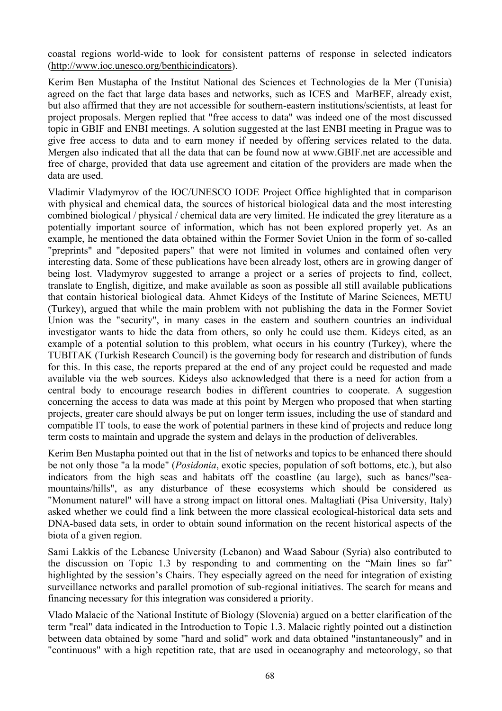coastal regions world-wide to look for consistent patterns of response in selected indicators (http://www.ioc.unesco.org/benthicindicators).

Kerim Ben Mustapha of the Institut National des Sciences et Technologies de la Mer (Tunisia) agreed on the fact that large data bases and networks, such as ICES and MarBEF, already exist, but also affirmed that they are not accessible for southern-eastern institutions/scientists, at least for project proposals. Mergen replied that "free access to data" was indeed one of the most discussed topic in GBIF and ENBI meetings. A solution suggested at the last ENBI meeting in Prague was to give free access to data and to earn money if needed by offering services related to the data. Mergen also indicated that all the data that can be found now at www.GBIF.net are accessible and free of charge, provided that data use agreement and citation of the providers are made when the data are used.

Vladimir Vladymyrov of the IOC/UNESCO IODE Project Office highlighted that in comparison with physical and chemical data, the sources of historical biological data and the most interesting combined biological / physical / chemical data are very limited. He indicated the grey literature as a potentially important source of information, which has not been explored properly yet. As an example, he mentioned the data obtained within the Former Soviet Union in the form of so-called "preprints" and "deposited papers" that were not limited in volumes and contained often very interesting data. Some of these publications have been already lost, others are in growing danger of being lost. Vladymyrov suggested to arrange a project or a series of projects to find, collect, translate to English, digitize, and make available as soon as possible all still available publications that contain historical biological data. Ahmet Kideys of the Institute of Marine Sciences, METU (Turkey), argued that while the main problem with not publishing the data in the Former Soviet Union was the "security", in many cases in the eastern and southern countries an individual investigator wants to hide the data from others, so only he could use them. Kideys cited, as an example of a potential solution to this problem, what occurs in his country (Turkey), where the TUBITAK (Turkish Research Council) is the governing body for research and distribution of funds for this. In this case, the reports prepared at the end of any project could be requested and made available via the web sources. Kideys also acknowledged that there is a need for action from a central body to encourage research bodies in different countries to cooperate. A suggestion concerning the access to data was made at this point by Mergen who proposed that when starting projects, greater care should always be put on longer term issues, including the use of standard and compatible IT tools, to ease the work of potential partners in these kind of projects and reduce long term costs to maintain and upgrade the system and delays in the production of deliverables.

Kerim Ben Mustapha pointed out that in the list of networks and topics to be enhanced there should be not only those "a la mode" (*Posidonia*, exotic species, population of soft bottoms, etc.), but also indicators from the high seas and habitats off the coastline (au large), such as bancs/"seamountains/hills", as any disturbance of these ecosystems which should be considered as "Monument naturel" will have a strong impact on littoral ones. Maltagliati (Pisa University, Italy) asked whether we could find a link between the more classical ecological-historical data sets and DNA-based data sets, in order to obtain sound information on the recent historical aspects of the biota of a given region.

Sami Lakkis of the Lebanese University (Lebanon) and Waad Sabour (Syria) also contributed to the discussion on Topic 1.3 by responding to and commenting on the "Main lines so far" highlighted by the session's Chairs. They especially agreed on the need for integration of existing surveillance networks and parallel promotion of sub-regional initiatives. The search for means and financing necessary for this integration was considered a priority.

Vlado Malacic of the National Institute of Biology (Slovenia) argued on a better clarification of the term "real" data indicated in the Introduction to Topic 1.3. Malacic rightly pointed out a distinction between data obtained by some "hard and solid" work and data obtained "instantaneously" and in "continuous" with a high repetition rate, that are used in oceanography and meteorology, so that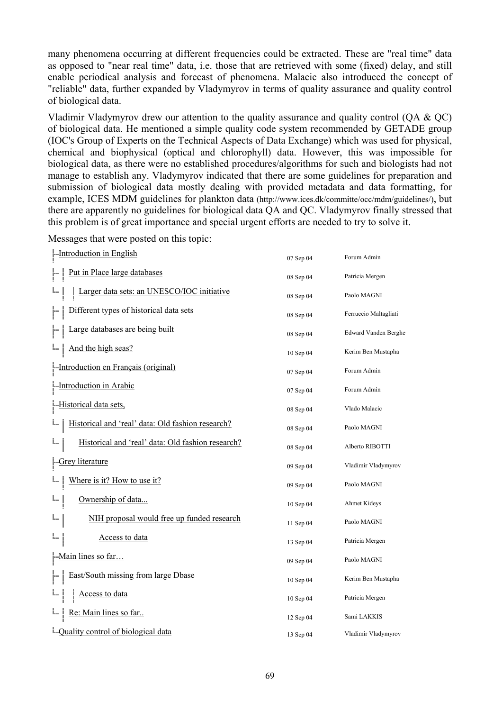many phenomena occurring at different frequencies could be extracted. These are "real time" data as opposed to "near real time" data, i.e. those that are retrieved with some (fixed) delay, and still enable periodical analysis and forecast of phenomena. Malacic also introduced the concept of "reliable" data, further expanded by Vladymyrov in terms of quality assurance and quality control of biological data.

Vladimir Vladymyrov drew our attention to the quality assurance and quality control (QA & QC) of biological data. He mentioned a simple quality code system recommended by GETADE group (IOC's Group of Experts on the Technical Aspects of Data Exchange) which was used for physical, chemical and biophysical (optical and chlorophyll) data. However, this was impossible for biological data, as there were no established procedures/algorithms for such and biologists had not manage to establish any. Vladymyrov indicated that there are some guidelines for preparation and submission of biological data mostly dealing with provided metadata and data formatting, for example, ICES MDM guidelines for plankton data (http://www.ices.dk/committe/occ/mdm/guidelines/), but there are apparently no guidelines for biological data QA and QC. Vladymyrov finally stressed that this problem is of great importance and special urgent efforts are needed to try to solve it.

| Introduction in English                           | 07 Sep 04 | Forum Admin                 |
|---------------------------------------------------|-----------|-----------------------------|
| Put in Place large databases                      | 08 Sep 04 | Patricia Mergen             |
| Larger data sets: an UNESCO/IOC initiative<br>÷   | 08 Sep 04 | Paolo MAGNI                 |
| Different types of historical data sets           | 08 Sep 04 | Ferruccio Maltagliati       |
| Large databases are being built                   | 08 Sep 04 | <b>Edward Vanden Berghe</b> |
| And the high seas?                                | 10 Sep 04 | Kerim Ben Mustapha          |
| -Introduction en Français (original)              | 07 Sep 04 | Forum Admin                 |
| -Introduction in Arabic                           | 07 Sep 04 | Forum Admin                 |
| <b>Historical data sets</b> ,                     | 08 Sep 04 | Vlado Malacic               |
| Historical and 'real' data: Old fashion research? | 08 Sep 04 | Paolo MAGNI                 |
| Historical and 'real' data: Old fashion research? | 08 Sep 04 | Alberto RIBOTTI             |
| -Grey literature                                  | 09 Sep 04 | Vladimir Vladymyrov         |
| Where is it? How to use it?                       | 09 Sep 04 | Paolo MAGNI                 |
| Ownership of data                                 | 10 Sep 04 | Ahmet Kideys                |
| Ļ.,<br>NIH proposal would free up funded research | 11 Sep 04 | Paolo MAGNI                 |
| L.  <br><b>Access to data</b>                     | 13 Sep 04 | Patricia Mergen             |
| -Main lines so far                                | 09 Sep 04 | Paolo MAGNI                 |
| East/South missing from large Dbase               | 10 Sep 04 | Kerim Ben Mustapha          |
| Access to data                                    | 10 Sep 04 | Patricia Mergen             |
| Re: Main lines so far<br>i j                      | 12 Sep 04 | Sami LAKKIS                 |
| <u>Quality</u> control of biological data         | 13 Sep 04 | Vladimir Vladymyrov         |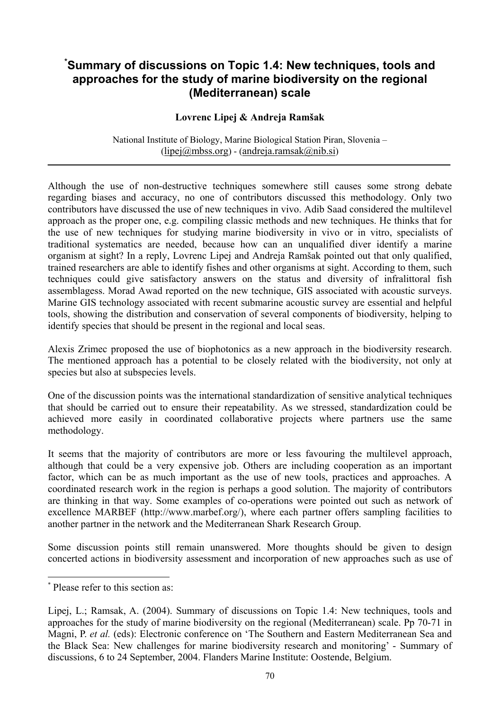# **[\\*](#page-73-0) Summary of discussions on Topic 1.4: New techniques, tools and approaches for the study of marine biodiversity on the regional (Mediterranean) scale**

## **Lovrenc Lipej & Andreja Ramšak**

National Institute of Biology, Marine Biological Station Piran, Slovenia –  $(lipei@mbss.org) - (andreja.ramsak@nib.si)$ 

Although the use of non-destructive techniques somewhere still causes some strong debate regarding biases and accuracy, no one of contributors discussed this methodology. Only two contributors have discussed the use of new techniques in vivo. Adib Saad considered the multilevel approach as the proper one, e.g. compiling classic methods and new techniques. He thinks that for the use of new techniques for studying marine biodiversity in vivo or in vitro, specialists of traditional systematics are needed, because how can an unqualified diver identify a marine organism at sight? In a reply, Lovrenc Lipej and Andreja Ramšak pointed out that only qualified, trained researchers are able to identify fishes and other organisms at sight. According to them, such techniques could give satisfactory answers on the status and diversity of infralittoral fish assemblagess. Morad Awad reported on the new technique, GIS associated with acoustic surveys. Marine GIS technology associated with recent submarine acoustic survey are essential and helpful tools, showing the distribution and conservation of several components of biodiversity, helping to identify species that should be present in the regional and local seas.

Alexis Zrimec proposed the use of biophotonics as a new approach in the biodiversity research. The mentioned approach has a potential to be closely related with the biodiversity, not only at species but also at subspecies levels.

One of the discussion points was the international standardization of sensitive analytical techniques that should be carried out to ensure their repeatability. As we stressed, standardization could be achieved more easily in coordinated collaborative projects where partners use the same methodology.

It seems that the majority of contributors are more or less favouring the multilevel approach, although that could be a very expensive job. Others are including cooperation as an important factor, which can be as much important as the use of new tools, practices and approaches. A coordinated research work in the region is perhaps a good solution. The majority of contributors are thinking in that way. Some examples of co-operations were pointed out such as network of excellence MARBEF (http://www.marbef.org/), where each partner offers sampling facilities to another partner in the network and the Mediterranean Shark Research Group.

Some discussion points still remain unanswered. More thoughts should be given to design concerted actions in biodiversity assessment and incorporation of new approaches such as use of

<span id="page-73-0"></span><sup>\*</sup> Please refer to this section as:

Lipej, L.; Ramsak, A. (2004). Summary of discussions on Topic 1.4: New techniques, tools and approaches for the study of marine biodiversity on the regional (Mediterranean) scale. Pp 70-71 in Magni, P. *et al.* (eds): Electronic conference on 'The Southern and Eastern Mediterranean Sea and the Black Sea: New challenges for marine biodiversity research and monitoring' - Summary of discussions, 6 to 24 September, 2004. Flanders Marine Institute: Oostende, Belgium.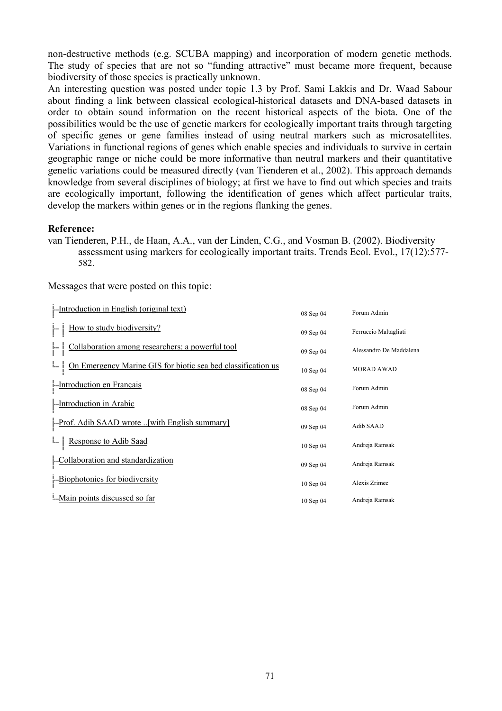non-destructive methods (e.g. SCUBA mapping) and incorporation of modern genetic methods. The study of species that are not so "funding attractive" must became more frequent, because biodiversity of those species is practically unknown.

An interesting question was posted under topic 1.3 by Prof. Sami Lakkis and Dr. Waad Sabour about finding a link between classical ecological-historical datasets and DNA-based datasets in order to obtain sound information on the recent historical aspects of the biota. One of the possibilities would be the use of genetic markers for ecologically important traits through targeting of specific genes or gene families instead of using neutral markers such as microsatellites. Variations in functional regions of genes which enable species and individuals to survive in certain geographic range or niche could be more informative than neutral markers and their quantitative genetic variations could be measured directly (van Tienderen et al., 2002). This approach demands knowledge from several disciplines of biology; at first we have to find out which species and traits are ecologically important, following the identification of genes which affect particular traits, develop the markers within genes or in the regions flanking the genes.

#### **Reference:**

van Tienderen, P.H., de Haan, A.A., van der Linden, C.G., and Vosman B. (2002). Biodiversity assessment using markers for ecologically important traits. Trends Ecol. Evol., 17(12):577- 582.

| Introduction in English (original text)                      | 08 Sep 04 | Forum Admin             |
|--------------------------------------------------------------|-----------|-------------------------|
| How to study biodiversity?                                   | 09 Sep 04 | Ferruccio Maltagliati   |
| Collaboration among researchers: a powerful tool             | 09 Sep 04 | Alessandro De Maddalena |
| On Emergency Marine GIS for biotic sea bed classification us | 10 Sep 04 | <b>MORAD AWAD</b>       |
| Introduction en Français                                     | 08 Sep 04 | Forum Admin             |
| --Introduction in Arabic                                     | 08 Sep 04 | Forum Admin             |
| Prof. Adib SAAD wrote  [with English summary]                | 09 Sep 04 | Adib SAAD               |
| <b>Response to Adib Saad</b>                                 | 10 Sep 04 | Andreja Ramsak          |
| Collaboration and standardization                            | 09 Sep 04 | Andreja Ramsak          |
| -Biophotonics for biodiversity                               | 10 Sep 04 | Alexis Zrimec           |
| <b>Main points discussed so far</b>                          | 10 Sep 04 | Andreja Ramsak          |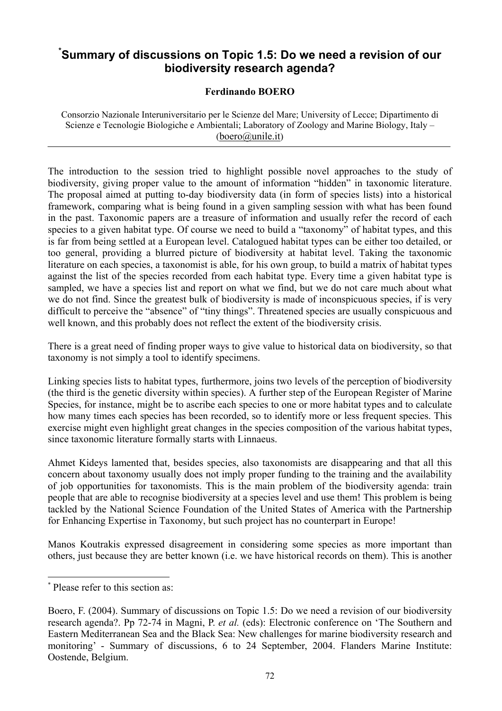# **[\\*](#page-75-0) Summary of discussions on Topic 1.5: Do we need a revision of our biodiversity research agenda?**

## **Ferdinando BOERO**

Consorzio Nazionale Interuniversitario per le Scienze del Mare; University of Lecce; Dipartimento di Scienze e Tecnologie Biologiche e Ambientali; Laboratory of Zoology and Marine Biology, Italy – (boero@unile.it)

The introduction to the session tried to highlight possible novel approaches to the study of biodiversity, giving proper value to the amount of information "hidden" in taxonomic literature. The proposal aimed at putting to-day biodiversity data (in form of species lists) into a historical framework, comparing what is being found in a given sampling session with what has been found in the past. Taxonomic papers are a treasure of information and usually refer the record of each species to a given habitat type. Of course we need to build a "taxonomy" of habitat types, and this is far from being settled at a European level. Catalogued habitat types can be either too detailed, or too general, providing a blurred picture of biodiversity at habitat level. Taking the taxonomic literature on each species, a taxonomist is able, for his own group, to build a matrix of habitat types against the list of the species recorded from each habitat type. Every time a given habitat type is sampled, we have a species list and report on what we find, but we do not care much about what we do not find. Since the greatest bulk of biodiversity is made of inconspicuous species, if is very difficult to perceive the "absence" of "tiny things". Threatened species are usually conspicuous and well known, and this probably does not reflect the extent of the biodiversity crisis.

There is a great need of finding proper ways to give value to historical data on biodiversity, so that taxonomy is not simply a tool to identify specimens.

Linking species lists to habitat types, furthermore, joins two levels of the perception of biodiversity (the third is the genetic diversity within species). A further step of the European Register of Marine Species, for instance, might be to ascribe each species to one or more habitat types and to calculate how many times each species has been recorded, so to identify more or less frequent species. This exercise might even highlight great changes in the species composition of the various habitat types, since taxonomic literature formally starts with Linnaeus.

Ahmet Kideys lamented that, besides species, also taxonomists are disappearing and that all this concern about taxonomy usually does not imply proper funding to the training and the availability of job opportunities for taxonomists. This is the main problem of the biodiversity agenda: train people that are able to recognise biodiversity at a species level and use them! This problem is being tackled by the National Science Foundation of the United States of America with the Partnership for Enhancing Expertise in Taxonomy, but such project has no counterpart in Europe!

Manos Koutrakis expressed disagreement in considering some species as more important than others, just because they are better known (i.e. we have historical records on them). This is another

<span id="page-75-0"></span><sup>\*</sup> Please refer to this section as:

Boero, F. (2004). Summary of discussions on Topic 1.5: Do we need a revision of our biodiversity research agenda?. Pp 72-74 in Magni, P. *et al.* (eds): Electronic conference on 'The Southern and Eastern Mediterranean Sea and the Black Sea: New challenges for marine biodiversity research and monitoring' - Summary of discussions, 6 to 24 September, 2004. Flanders Marine Institute: Oostende, Belgium.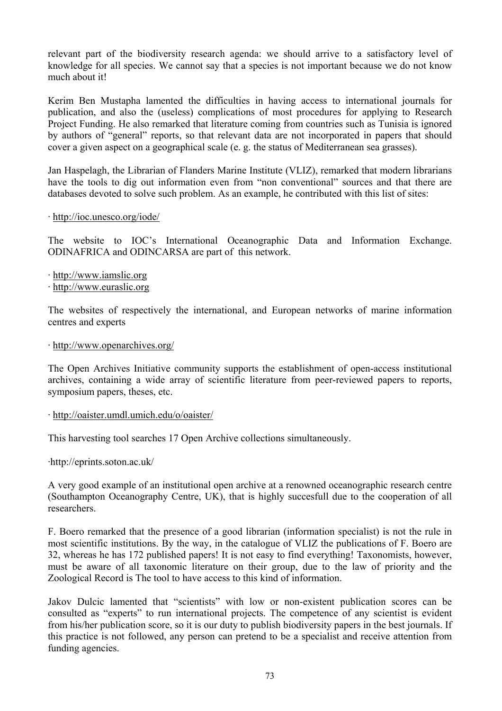relevant part of the biodiversity research agenda: we should arrive to a satisfactory level of knowledge for all species. We cannot say that a species is not important because we do not know much about it!

Kerim Ben Mustapha lamented the difficulties in having access to international journals for publication, and also the (useless) complications of most procedures for applying to Research Project Funding. He also remarked that literature coming from countries such as Tunisia is ignored by authors of "general" reports, so that relevant data are not incorporated in papers that should cover a given aspect on a geographical scale (e. g. the status of Mediterranean sea grasses).

Jan Haspelagh, the Librarian of Flanders Marine Institute (VLIZ), remarked that modern librarians have the tools to dig out information even from "non conventional" sources and that there are databases devoted to solve such problem. As an example, he contributed with this list of sites:

#### · http://ioc.unesco.org/iode/

The website to IOC's International Oceanographic Data and Information Exchange. ODINAFRICA and ODINCARSA are part of this network.

- · http://www.iamslic.org
- · http://www.euraslic.org

The websites of respectively the international, and European networks of marine information centres and experts

#### · http://www.openarchives.org/

The Open Archives Initiative community supports the establishment of open-access institutional archives, containing a wide array of scientific literature from peer-reviewed papers to reports, symposium papers, theses, etc.

#### · http://oaister.umdl.umich.edu/o/oaister/

This harvesting tool searches 17 Open Archive collections simultaneously.

·http://eprints.soton.ac.uk/

A very good example of an institutional open archive at a renowned oceanographic research centre (Southampton Oceanography Centre, UK), that is highly succesfull due to the cooperation of all researchers.

F. Boero remarked that the presence of a good librarian (information specialist) is not the rule in most scientific institutions. By the way, in the catalogue of VLIZ the publications of F. Boero are 32, whereas he has 172 published papers! It is not easy to find everything! Taxonomists, however, must be aware of all taxonomic literature on their group, due to the law of priority and the Zoological Record is The tool to have access to this kind of information.

Jakov Dulcic lamented that "scientists" with low or non-existent publication scores can be consulted as "experts" to run international projects. The competence of any scientist is evident from his/her publication score, so it is our duty to publish biodiversity papers in the best journals. If this practice is not followed, any person can pretend to be a specialist and receive attention from funding agencies.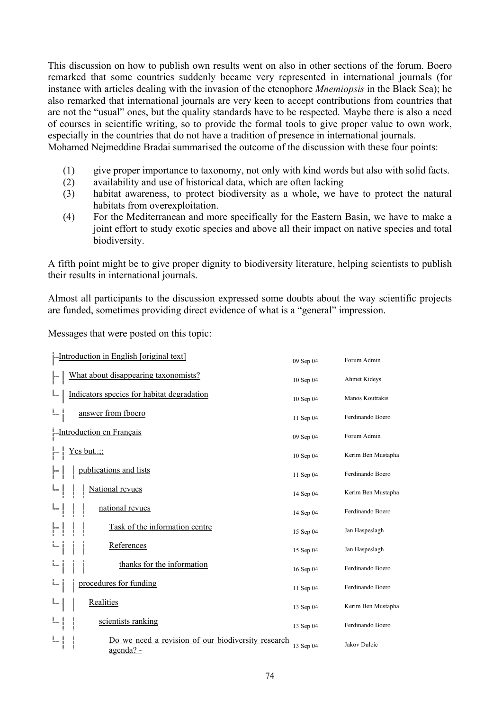This discussion on how to publish own results went on also in other sections of the forum. Boero remarked that some countries suddenly became very represented in international journals (for instance with articles dealing with the invasion of the ctenophore *Mnemiopsis* in the Black Sea); he also remarked that international journals are very keen to accept contributions from countries that are not the "usual" ones, but the quality standards have to be respected. Maybe there is also a need of courses in scientific writing, so to provide the formal tools to give proper value to own work, especially in the countries that do not have a tradition of presence in international journals.

Mohamed Nejmeddine Bradai summarised the outcome of the discussion with these four points:

- (1) give proper importance to taxonomy, not only with kind words but also with solid facts.
- (2) availability and use of historical data, which are often lacking
- (3) habitat awareness, to protect biodiversity as a whole, we have to protect the natural habitats from overexploitation.
- (4) For the Mediterranean and more specifically for the Eastern Basin, we have to make a joint effort to study exotic species and above all their impact on native species and total biodiversity.

A fifth point might be to give proper dignity to biodiversity literature, helping scientists to publish their results in international journals.

Almost all participants to the discussion expressed some doubts about the way scientific projects are funded, sometimes providing direct evidence of what is a "general" impression.

| -Introduction in English [original text]                        | 09 Sep 04 | Forum Admin        |
|-----------------------------------------------------------------|-----------|--------------------|
| What about disappearing taxonomists?                            | 10 Sep 04 | Ahmet Kideys       |
| Indicators species for habitat degradation                      | 10 Sep 04 | Manos Koutrakis    |
| answer from fboero                                              | 11 Sep 04 | Ferdinando Boero   |
| -Introduction en Français                                       | 09 Sep 04 | Forum Admin        |
| <u>Yes but;;</u>                                                | 10 Sep 04 | Kerim Ben Mustapha |
| publications and lists                                          | 11 Sep 04 | Ferdinando Boero   |
| <b>National revues</b>                                          | 14 Sep 04 | Kerim Ben Mustapha |
| I<br>la j<br>national revues                                    | 14 Sep 04 | Ferdinando Boero   |
| Task of the information centre<br>H                             | 15 Sep 04 | Jan Haspeslagh     |
| References<br>$\frac{1}{2}$<br>L                                | 15 Sep 04 | Jan Haspeslagh     |
| I<br>W)<br>thanks for the information                           | 16 Sep 04 | Ferdinando Boero   |
| procedures for funding<br>÷                                     | 11 Sep 04 | Ferdinando Boero   |
| I<br>Realities<br>H.                                            | 13 Sep 04 | Kerim Ben Mustapha |
| scientists ranking                                              | 13 Sep 04 | Ferdinando Boero   |
| Do we need a revision of our biodiversity research<br>agenda? - | 13 Sep 04 | Jakov Dulcic       |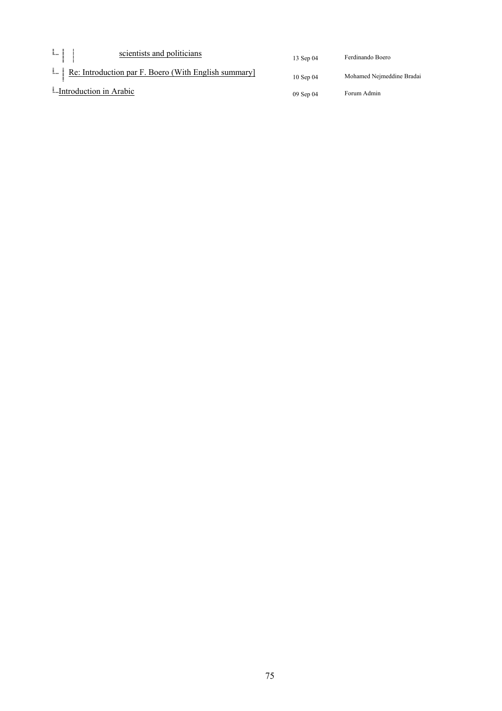| l i<br>scientists and politicians                                               | 13 Sep 04 | Ferdinando Boero          |
|---------------------------------------------------------------------------------|-----------|---------------------------|
| $\lvert \mathbf{m} \rvert$ Re: Introduction par F. Boero (With English summary) | 10 Sep 04 | Mohamed Nejmeddine Bradai |
| Introduction in Arabic                                                          | 09 Sep 04 | Forum Admin               |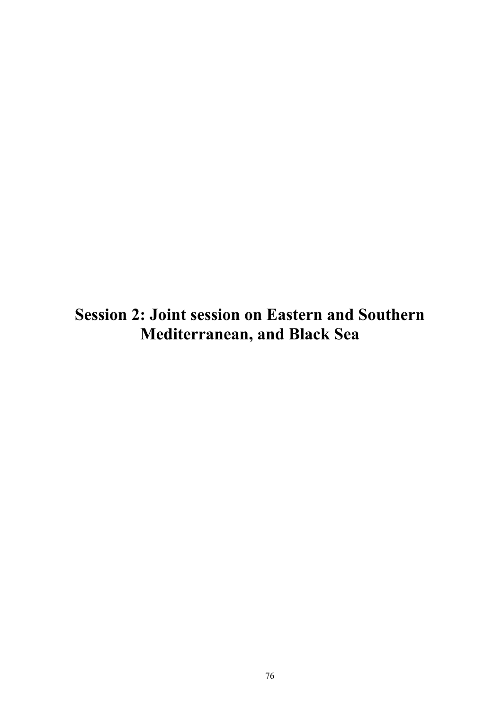**Session 2: Joint session on Eastern and Southern Mediterranean, and Black Sea**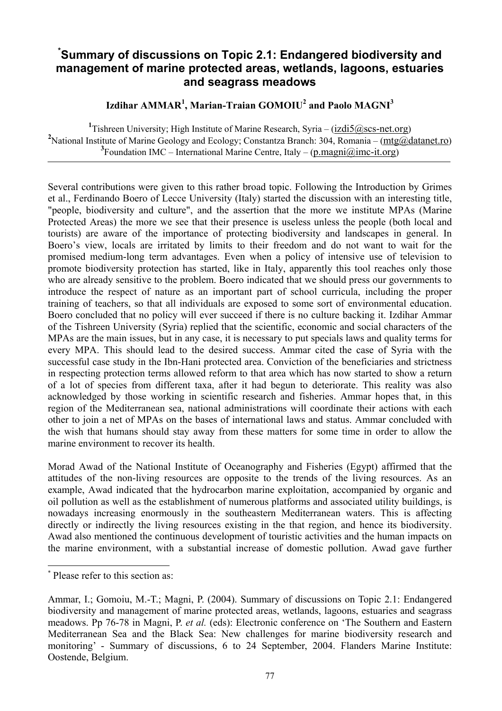# **[\\*](#page-80-0) Summary of discussions on Topic 2.1: Endangered biodiversity and management of marine protected areas, wetlands, lagoons, estuaries and seagrass meadows**

**Izdihar AMMAR1 , Marian-Traian GOMOIU2 and Paolo MAGNI<sup>3</sup>**

<sup>1</sup>Tishreen University; High Institute of Marine Research, Syria – (izdi5@scs-net.org) <sup>2</sup> National Institute of Marine Geology and Ecology; Constantza Branch: 304, Romania –  $(\text{mtg@datanet}.\text{ro})$ <sup>3</sup> Foundation IMC – International Marine Centre, Italy –  $(p_{.}$ magni $\omega_{.}$ imc-it.org)

Several contributions were given to this rather broad topic. Following the Introduction by Grimes et al., Ferdinando Boero of Lecce University (Italy) started the discussion with an interesting title, "people, biodiversity and culture", and the assertion that the more we institute MPAs (Marine Protected Areas) the more we see that their presence is useless unless the people (both local and tourists) are aware of the importance of protecting biodiversity and landscapes in general. In Boero's view, locals are irritated by limits to their freedom and do not want to wait for the promised medium-long term advantages. Even when a policy of intensive use of television to promote biodiversity protection has started, like in Italy, apparently this tool reaches only those who are already sensitive to the problem. Boero indicated that we should press our governments to introduce the respect of nature as an important part of school curricula, including the proper training of teachers, so that all individuals are exposed to some sort of environmental education. Boero concluded that no policy will ever succeed if there is no culture backing it. Izdihar Ammar of the Tishreen University (Syria) replied that the scientific, economic and social characters of the MPAs are the main issues, but in any case, it is necessary to put specials laws and quality terms for every MPA. This should lead to the desired success. Ammar cited the case of Syria with the successful case study in the Ibn-Hani protected area. Conviction of the beneficiaries and strictness in respecting protection terms allowed reform to that area which has now started to show a return of a lot of species from different taxa, after it had begun to deteriorate. This reality was also acknowledged by those working in scientific research and fisheries. Ammar hopes that, in this region of the Mediterranean sea, national administrations will coordinate their actions with each other to join a net of MPAs on the bases of international laws and status. Ammar concluded with the wish that humans should stay away from these matters for some time in order to allow the marine environment to recover its health.

Morad Awad of the National Institute of Oceanography and Fisheries (Egypt) affirmed that the attitudes of the non-living resources are opposite to the trends of the living resources. As an example, Awad indicated that the hydrocarbon marine exploitation, accompanied by organic and oil pollution as well as the establishment of numerous platforms and associated utility buildings, is nowadays increasing enormously in the southeastern Mediterranean waters. This is affecting directly or indirectly the living resources existing in the that region, and hence its biodiversity. Awad also mentioned the continuous development of touristic activities and the human impacts on the marine environment, with a substantial increase of domestic pollution. Awad gave further

 $\overline{\phantom{a}}$ 

<span id="page-80-0"></span><sup>\*</sup> Please refer to this section as:

Ammar, I.; Gomoiu, M.-T.; Magni, P. (2004). Summary of discussions on Topic 2.1: Endangered biodiversity and management of marine protected areas, wetlands, lagoons, estuaries and seagrass meadows. Pp 76-78 in Magni, P. *et al.* (eds): Electronic conference on 'The Southern and Eastern Mediterranean Sea and the Black Sea: New challenges for marine biodiversity research and monitoring' - Summary of discussions, 6 to 24 September, 2004. Flanders Marine Institute: Oostende, Belgium.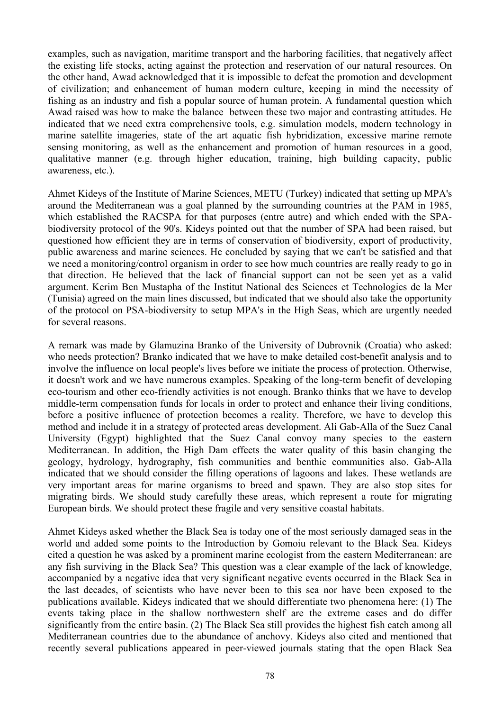examples, such as navigation, maritime transport and the harboring facilities, that negatively affect the existing life stocks, acting against the protection and reservation of our natural resources. On the other hand, Awad acknowledged that it is impossible to defeat the promotion and development of civilization; and enhancement of human modern culture, keeping in mind the necessity of fishing as an industry and fish a popular source of human protein. A fundamental question which Awad raised was how to make the balance between these two major and contrasting attitudes. He indicated that we need extra comprehensive tools, e.g. simulation models, modern technology in marine satellite imageries, state of the art aquatic fish hybridization, excessive marine remote sensing monitoring, as well as the enhancement and promotion of human resources in a good, qualitative manner (e.g. through higher education, training, high building capacity, public awareness, etc.).

Ahmet Kideys of the Institute of Marine Sciences, METU (Turkey) indicated that setting up MPA's around the Mediterranean was a goal planned by the surrounding countries at the PAM in 1985, which established the RACSPA for that purposes (entre autre) and which ended with the SPAbiodiversity protocol of the 90's. Kideys pointed out that the number of SPA had been raised, but questioned how efficient they are in terms of conservation of biodiversity, export of productivity, public awareness and marine sciences. He concluded by saying that we can't be satisfied and that we need a monitoring/control organism in order to see how much countries are really ready to go in that direction. He believed that the lack of financial support can not be seen yet as a valid argument. Kerim Ben Mustapha of the Institut National des Sciences et Technologies de la Mer (Tunisia) agreed on the main lines discussed, but indicated that we should also take the opportunity of the protocol on PSA-biodiversity to setup MPA's in the High Seas, which are urgently needed for several reasons.

A remark was made by Glamuzina Branko of the University of Dubrovnik (Croatia) who asked: who needs protection? Branko indicated that we have to make detailed cost-benefit analysis and to involve the influence on local people's lives before we initiate the process of protection. Otherwise, it doesn't work and we have numerous examples. Speaking of the long-term benefit of developing eco-tourism and other eco-friendly activities is not enough. Branko thinks that we have to develop middle-term compensation funds for locals in order to protect and enhance their living conditions, before a positive influence of protection becomes a reality. Therefore, we have to develop this method and include it in a strategy of protected areas development. Ali Gab-Alla of the Suez Canal University (Egypt) highlighted that the Suez Canal convoy many species to the eastern Mediterranean. In addition, the High Dam effects the water quality of this basin changing the geology, hydrology, hydrography, fish communities and benthic communities also. Gab-Alla indicated that we should consider the filling operations of lagoons and lakes. These wetlands are very important areas for marine organisms to breed and spawn. They are also stop sites for migrating birds. We should study carefully these areas, which represent a route for migrating European birds. We should protect these fragile and very sensitive coastal habitats.

Ahmet Kideys asked whether the Black Sea is today one of the most seriously damaged seas in the world and added some points to the Introduction by Gomoiu relevant to the Black Sea. Kideys cited a question he was asked by a prominent marine ecologist from the eastern Mediterranean: are any fish surviving in the Black Sea? This question was a clear example of the lack of knowledge, accompanied by a negative idea that very significant negative events occurred in the Black Sea in the last decades, of scientists who have never been to this sea nor have been exposed to the publications available. Kideys indicated that we should differentiate two phenomena here: (1) The events taking place in the shallow northwestern shelf are the extreme cases and do differ significantly from the entire basin. (2) The Black Sea still provides the highest fish catch among all Mediterranean countries due to the abundance of anchovy. Kideys also cited and mentioned that recently several publications appeared in peer-viewed journals stating that the open Black Sea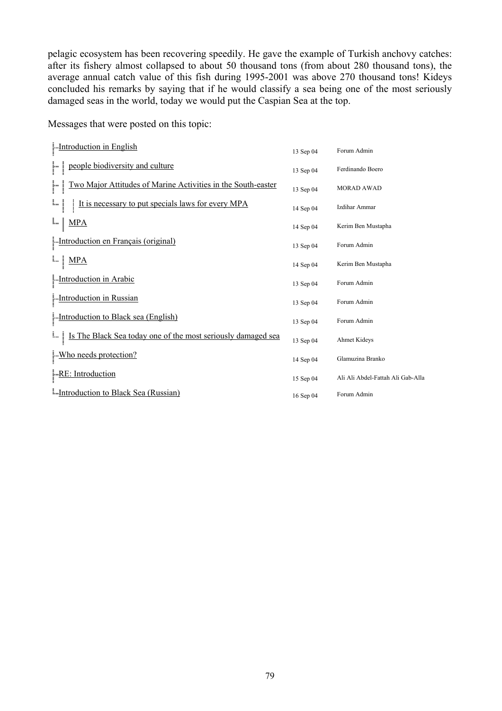pelagic ecosystem has been recovering speedily. He gave the example of Turkish anchovy catches: after its fishery almost collapsed to about 50 thousand tons (from about 280 thousand tons), the average annual catch value of this fish during 1995-2001 was above 270 thousand tons! Kideys concluded his remarks by saying that if he would classify a sea being one of the most seriously damaged seas in the world, today we would put the Caspian Sea at the top.

| -Introduction in English                                     | 13 Sep 04 | Forum Admin                       |
|--------------------------------------------------------------|-----------|-----------------------------------|
| people biodiversity and culture                              | 13 Sep 04 | Ferdinando Boero                  |
| Two Major Attitudes of Marine Activities in the South-easter | 13 Sep 04 | <b>MORAD AWAD</b>                 |
| It is necessary to put specials laws for every MPA           | 14 Sep 04 | Izdihar Ammar                     |
| i., į<br>MPA                                                 | 14 Sep 04 | Kerim Ben Mustapha                |
| -Introduction en Français (original)                         | 13 Sep 04 | Forum Admin                       |
| $\frac{1}{2}$ MPA                                            | 14 Sep 04 | Kerim Ben Mustapha                |
| -Introduction in Arabic                                      | 13 Sep 04 | Forum Admin                       |
| -Introduction in Russian                                     | 13 Sep 04 | Forum Admin                       |
| -Introduction to Black sea (English)                         | 13 Sep 04 | Forum Admin                       |
| Is The Black Sea today one of the most seriously damaged sea | 13 Sep 04 | Ahmet Kideys                      |
| Who needs protection?                                        | 14 Sep 04 | Glamuzina Branko                  |
| -RE: Introduction                                            | 15 Sep 04 | Ali Ali Abdel-Fattah Ali Gab-Alla |
| Introduction to Black Sea (Russian)                          | 16 Sep 04 | Forum Admin                       |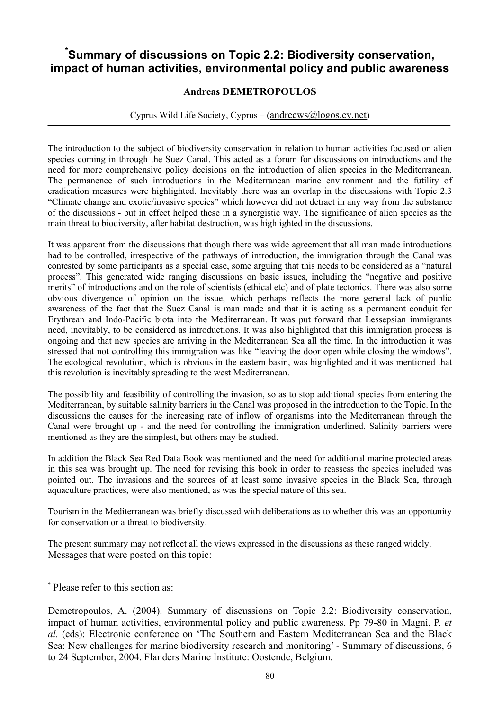# **[\\*](#page-83-0) Summary of discussions on Topic 2.2: Biodiversity conservation, impact of human activities, environmental policy and public awareness**

## **Andreas DEMETROPOULOS**

#### Cyprus Wild Life Society, Cyprus – (andrecws@logos.cy.net)

The introduction to the subject of biodiversity conservation in relation to human activities focused on alien species coming in through the Suez Canal. This acted as a forum for discussions on introductions and the need for more comprehensive policy decisions on the introduction of alien species in the Mediterranean. The permanence of such introductions in the Mediterranean marine environment and the futility of eradication measures were highlighted. Inevitably there was an overlap in the discussions with Topic 2.3 "Climate change and exotic/invasive species" which however did not detract in any way from the substance of the discussions - but in effect helped these in a synergistic way. The significance of alien species as the main threat to biodiversity, after habitat destruction, was highlighted in the discussions.

It was apparent from the discussions that though there was wide agreement that all man made introductions had to be controlled, irrespective of the pathways of introduction, the immigration through the Canal was contested by some participants as a special case, some arguing that this needs to be considered as a "natural process". This generated wide ranging discussions on basic issues, including the "negative and positive merits" of introductions and on the role of scientists (ethical etc) and of plate tectonics. There was also some obvious divergence of opinion on the issue, which perhaps reflects the more general lack of public awareness of the fact that the Suez Canal is man made and that it is acting as a permanent conduit for Erythrean and Indo-Pacific biota into the Mediterranean. It was put forward that Lessepsian immigrants need, inevitably, to be considered as introductions. It was also highlighted that this immigration process is ongoing and that new species are arriving in the Mediterranean Sea all the time. In the introduction it was stressed that not controlling this immigration was like "leaving the door open while closing the windows". The ecological revolution, which is obvious in the eastern basin, was highlighted and it was mentioned that this revolution is inevitably spreading to the west Mediterranean.

The possibility and feasibility of controlling the invasion, so as to stop additional species from entering the Mediterranean, by suitable salinity barriers in the Canal was proposed in the introduction to the Topic. In the discussions the causes for the increasing rate of inflow of organisms into the Mediterranean through the Canal were brought up - and the need for controlling the immigration underlined. Salinity barriers were mentioned as they are the simplest, but others may be studied.

In addition the Black Sea Red Data Book was mentioned and the need for additional marine protected areas in this sea was brought up. The need for revising this book in order to reassess the species included was pointed out. The invasions and the sources of at least some invasive species in the Black Sea, through aquaculture practices, were also mentioned, as was the special nature of this sea.

Tourism in the Mediterranean was briefly discussed with deliberations as to whether this was an opportunity for conservation or a threat to biodiversity.

The present summary may not reflect all the views expressed in the discussions as these ranged widely. Messages that were posted on this topic:

<span id="page-83-0"></span><sup>\*</sup> Please refer to this section as:

Demetropoulos, A. (2004). Summary of discussions on Topic 2.2: Biodiversity conservation, impact of human activities, environmental policy and public awareness. Pp 79-80 in Magni, P. *et al.* (eds): Electronic conference on 'The Southern and Eastern Mediterranean Sea and the Black Sea: New challenges for marine biodiversity research and monitoring' - Summary of discussions, 6 to 24 September, 2004. Flanders Marine Institute: Oostende, Belgium.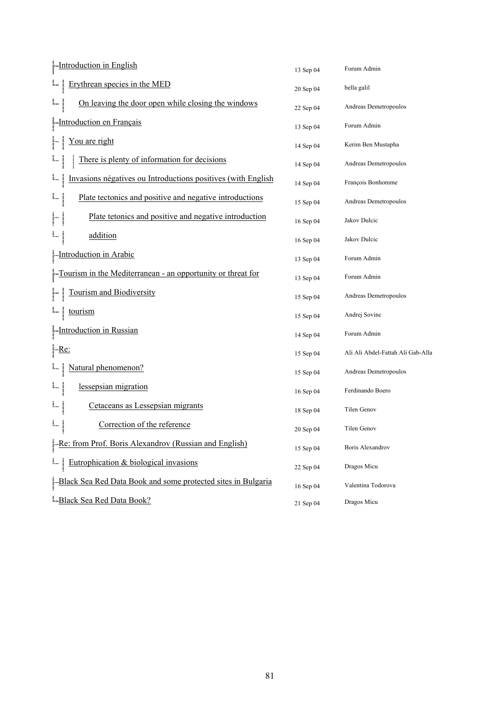| Introduction in English                                      | 13 Sep 04 | Forum Admin                       |
|--------------------------------------------------------------|-----------|-----------------------------------|
| Erythrean species in the MED                                 | 20 Sep 04 | bella galil                       |
| On leaving the door open while closing the windows           | 22 Sep 04 | Andreas Demetropoulos             |
| -Introduction en Français                                    | 13 Sep 04 | Forum Admin                       |
| You are right                                                | 14 Sep 04 | Kerim Ben Mustapha                |
| There is plenty of information for decisions                 | 14 Sep 04 | Andreas Demetropoulos             |
| Invasions négatives ou Introductions positives (with English | 14 Sep 04 | François Bonhomme                 |
| Plate tectonics and positive and negative introductions      | 15 Sep 04 | Andreas Demetropoulos             |
| Plate tetonics and positive and negative introduction        | 16 Sep 04 | Jakov Dulcic                      |
| addition                                                     | 16 Sep 04 | Jakov Dulcic                      |
| -Introduction in Arabic                                      | 13 Sep 04 | Forum Admin                       |
| Tourism in the Mediterranean - an opportunity or threat for  | 13 Sep 04 | Forum Admin                       |
| <b>Tourism and Biodiversity</b>                              | 15 Sep 04 | Andreas Demetropoulos             |
| <u>tourism</u>                                               | 15 Sep 04 | Andrej Sovinc                     |
| -Introduction in Russian                                     | 14 Sep 04 | Forum Admin                       |
| <u>  Re:</u>                                                 | 15 Sep 04 | Ali Ali Abdel-Fattah Ali Gab-Alla |
| Natural phenomenon?                                          | 15 Sep 04 | Andreas Demetropoulos             |
| lessepsian migration                                         | 16 Sep 04 | Ferdinando Boero                  |
| Cetaceans as Lessepsian migrants                             | 18 Sep 04 | Tilen Genov                       |
| Correction of the reference                                  | 20 Sep 04 | <b>Tilen Genov</b>                |
| Re: from Prof. Boris Alexandrov (Russian and English)        | 15 Sep 04 | Boris Alexandrov                  |
| Eutrophication & biological invasions<br><b>box</b>          | 22 Sep 04 | Dragos Micu                       |
| Black Sea Red Data Book and some protected sites in Bulgaria | 16 Sep 04 | Valentina Todorova                |
| Black Sea Red Data Book?                                     | 21 Sep 04 | Dragos Micu                       |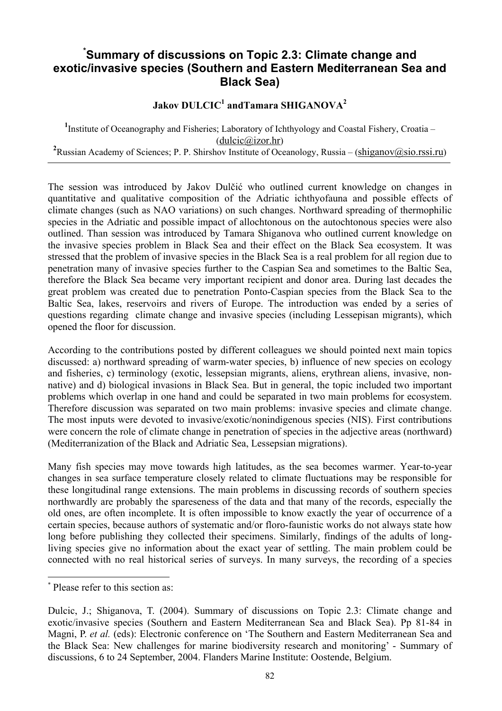# **[\\*](#page-85-0) Summary of discussions on Topic 2.3: Climate change and exotic/invasive species (Southern and Eastern Mediterranean Sea and Black Sea)**

## $\mathbf{J}$ akov DULCIC $^1$  andTamara SHIGANOVA $^2$

<sup>1</sup>Institute of Oceanography and Fisheries; Laboratory of Ichthyology and Coastal Fishery, Croatia –  $(dulcic@izor.htm)$ <sup>2</sup>Russian Academy of Sciences; P. P. Shirshov Institute of Oceanology, Russia – (shiganov@sio.rssi.ru)

The session was introduced by Jakov Dulčić who outlined current knowledge on changes in quantitative and qualitative composition of the Adriatic ichthyofauna and possible effects of climate changes (such as NAO variations) on such changes. Northward spreading of thermophilic species in the Adriatic and possible impact of allochtonous on the autochtonous species were also outlined. Than session was introduced by Tamara Shiganova who outlined current knowledge on the invasive species problem in Black Sea and their effect on the Black Sea ecosystem. It was stressed that the problem of invasive species in the Black Sea is a real problem for all region due to penetration many of invasive species further to the Caspian Sea and sometimes to the Baltic Sea, therefore the Black Sea became very important recipient and donor area. During last decades the great problem was created due to penetration Ponto-Caspian species from the Black Sea to the Baltic Sea, lakes, reservoirs and rivers of Europe. The introduction was ended by a series of questions regarding climate change and invasive species (including Lessepisan migrants), which opened the floor for discussion.

According to the contributions posted by different colleagues we should pointed next main topics discussed: a) northward spreading of warm-water species, b) influence of new species on ecology and fisheries, c) terminology (exotic, lessepsian migrants, aliens, erythrean aliens, invasive, nonnative) and d) biological invasions in Black Sea. But in general, the topic included two important problems which overlap in one hand and could be separated in two main problems for ecosystem. Therefore discussion was separated on two main problems: invasive species and climate change. The most inputs were devoted to invasive/exotic/nonindigenous species (NIS). First contributions were concern the role of climate change in penetration of species in the adjective areas (northward) (Mediterranization of the Black and Adriatic Sea, Lessepsian migrations).

Many fish species may move towards high latitudes, as the sea becomes warmer. Year-to-year changes in sea surface temperature closely related to climate fluctuations may be responsible for these longitudinal range extensions. The main problems in discussing records of southern species northwardly are probably the spareseness of the data and that many of the records, especially the old ones, are often incomplete. It is often impossible to know exactly the year of occurrence of a certain species, because authors of systematic and/or floro-faunistic works do not always state how long before publishing they collected their specimens. Similarly, findings of the adults of longliving species give no information about the exact year of settling. The main problem could be connected with no real historical series of surveys. In many surveys, the recording of a species

<span id="page-85-0"></span><sup>\*</sup> Please refer to this section as:

Dulcic, J.; Shiganova, T. (2004). Summary of discussions on Topic 2.3: Climate change and exotic/invasive species (Southern and Eastern Mediterranean Sea and Black Sea). Pp 81-84 in Magni, P. *et al.* (eds): Electronic conference on 'The Southern and Eastern Mediterranean Sea and the Black Sea: New challenges for marine biodiversity research and monitoring' - Summary of discussions, 6 to 24 September, 2004. Flanders Marine Institute: Oostende, Belgium.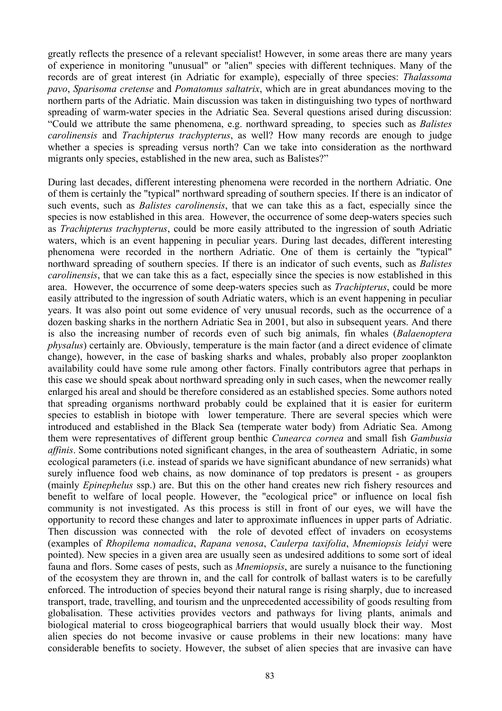greatly reflects the presence of a relevant specialist! However, in some areas there are many years of experience in monitoring "unusual" or "alien" species with different techniques. Many of the records are of great interest (in Adriatic for example), especially of three species: *Thalassoma pavo*, *Sparisoma cretense* and *Pomatomus saltatrix*, which are in great abundances moving to the northern parts of the Adriatic. Main discussion was taken in distinguishing two types of northward spreading of warm-water species in the Adriatic Sea. Several questions arised during discussion: "Could we attribute the same phenomena, e.g. northward spreading, to species such as *Balistes carolinensis* and *Trachipterus trachypterus*, as well? How many records are enough to judge whether a species is spreading versus north? Can we take into consideration as the northward migrants only species, established in the new area, such as Balistes?"

During last decades, different interesting phenomena were recorded in the northern Adriatic. One of them is certainly the "typical" northward spreading of southern species. If there is an indicator of such events, such as *Balistes carolinensis*, that we can take this as a fact, especially since the species is now established in this area. However, the occurrence of some deep-waters species such as *Trachipterus trachypterus*, could be more easily attributed to the ingression of south Adriatic waters, which is an event happening in peculiar years. During last decades, different interesting phenomena were recorded in the northern Adriatic. One of them is certainly the "typical" northward spreading of southern species. If there is an indicator of such events, such as *Balistes carolinensis*, that we can take this as a fact, especially since the species is now established in this area. However, the occurrence of some deep-waters species such as *Trachipterus*, could be more easily attributed to the ingression of south Adriatic waters, which is an event happening in peculiar years. It was also point out some evidence of very unusual records, such as the occurrence of a dozen basking sharks in the northern Adriatic Sea in 2001, but also in subsequent years. And there is also the increasing number of records even of such big animals, fin whales (*Balaenoptera physalus*) certainly are. Obviously, temperature is the main factor (and a direct evidence of climate change), however, in the case of basking sharks and whales, probably also proper zooplankton availability could have some rule among other factors. Finally contributors agree that perhaps in this case we should speak about northward spreading only in such cases, when the newcomer really enlarged his areal and should be therefore considered as an established species. Some authors noted that spreading organisms northward probably could be explained that it is easier for euriterm species to establish in biotope with lower temperature. There are several species which were introduced and established in the Black Sea (temperate water body) from Adriatic Sea. Among them were representatives of different group benthic *Cunearca cornea* and small fish *Gambusia affinis*. Some contributions noted significant changes, in the area of southeastern Adriatic, in some ecological parameters (i.e. instead of sparids we have significant abundance of new serranids) what surely influence food web chains, as now dominance of top predators is present - as groupers (mainly *Epinephelus* ssp.) are. But this on the other hand creates new rich fishery resources and benefit to welfare of local people. However, the "ecological price" or influence on local fish community is not investigated. As this process is still in front of our eyes, we will have the opportunity to record these changes and later to approximate influences in upper parts of Adriatic. Then discussion was connected with the role of devoted effect of invaders on ecosystems (examples of *Rhopilema nomadica*, *Rapana venosa*, *Caulerpa taxifolia*, *Mnemiopsis leidyi* were pointed). New species in a given area are usually seen as undesired additions to some sort of ideal fauna and flors. Some cases of pests, such as *Mnemiopsis*, are surely a nuisance to the functioning of the ecosystem they are thrown in, and the call for controlk of ballast waters is to be carefully enforced. The introduction of species beyond their natural range is rising sharply, due to increased transport, trade, travelling, and tourism and the unprecedented accessibility of goods resulting from globalisation. These activities provides vectors and pathways for living plants, animals and biological material to cross biogeographical barriers that would usually block their way. Most alien species do not become invasive or cause problems in their new locations: many have considerable benefits to society. However, the subset of alien species that are invasive can have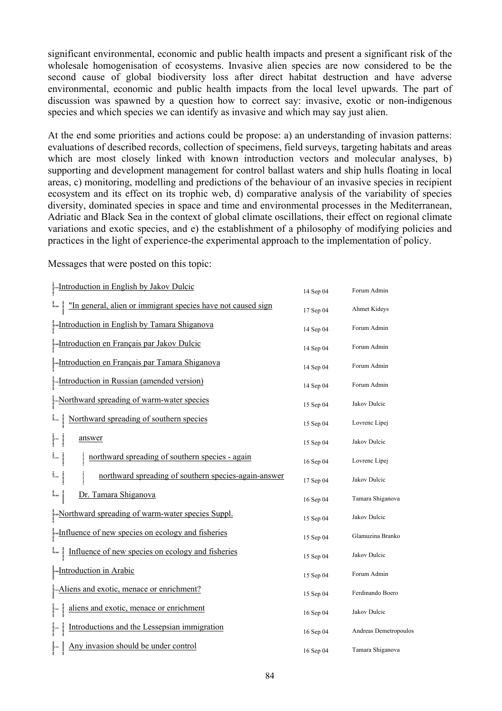significant environmental, economic and public health impacts and present a significant risk of the wholesale homogenisation of ecosystems. Invasive alien species are now considered to be the second cause of global biodiversity loss after direct habitat destruction and have adverse environmental, economic and public health impacts from the local level upwards. The part of discussion was spawned by a question how to correct say: invasive, exotic or non-indigenous species and which species we can identify as invasive and which may say just alien.

At the end some priorities and actions could be propose: a) an understanding of invasion patterns: evaluations of described records, collection of specimens, field surveys, targeting habitats and areas which are most closely linked with known introduction vectors and molecular analyses, b) supporting and development management for control ballast waters and ship hulls floating in local areas, c) monitoring, modelling and predictions of the behaviour of an invasive species in recipient ecosystem and its effect on its trophic web, d) comparative analysis of the variability of species diversity, dominated species in space and time and environmental processes in the Mediterranean, Adriatic and Black Sea in the context of global climate oscillations, their effect on regional climate variations and exotic species, and e) the establishment of a philosophy of modifying policies and practices in the light of experience-the experimental approach to the implementation of policy.

| Introduction in English by Jakov Dulcic                      | 14 Sep 04 | Forum Admin           |
|--------------------------------------------------------------|-----------|-----------------------|
| "In general, alien or immigrant species have not caused sign | 17 Sep 04 | Ahmet Kideys          |
| Introduction in English by Tamara Shiganova                  | 14 Sep 04 | Forum Admin           |
| Introduction en Français par Jakov Dulcic                    | 14 Sep 04 | Forum Admin           |
| Introduction en Français par Tamara Shiganova                | 14 Sep 04 | Forum Admin           |
| Introduction in Russian (amended version)                    | 14 Sep 04 | Forum Admin           |
| ---Northward spreading of warm-water species                 | 15 Sep 04 | Jakov Dulcic          |
| Northward spreading of southern species                      | 15 Sep 04 | Lovrenc Lipej         |
| answer                                                       | 15 Sep 04 | Jakov Dulcic          |
| northward spreading of southern species - again              | 16 Sep 04 | Lovrenc Lipej         |
| northward spreading of southern species-again-answer<br>J.,  | 17 Sep 04 | Jakov Dulcic          |
| Dr. Tamara Shiganova                                         | 16 Sep 04 | Tamara Shiganova      |
| Northward spreading of warm-water species Suppl.             | 15 Sep 04 | Jakov Dulcic          |
| Influence of new species on ecology and fisheries            | 15 Sep 04 | Glamuzina Branko      |
| Influence of new species on ecology and fisheries            | 15 Sep 04 | Jakov Dulcic          |
| -Introduction in Arabic                                      | 15 Sep 04 | Forum Admin           |
| -Aliens and exotic, menace or enrichment?                    | 15 Sep 04 | Ferdinando Boero      |
| aliens and exotic, menace or enrichment                      | 16 Sep 04 | Jakov Dulcic          |
| Introductions and the Lessepsian immigration                 | 16 Sep 04 | Andreas Demetropoulos |
| Any invasion should be under control                         | 16 Sep 04 | Tamara Shiganova      |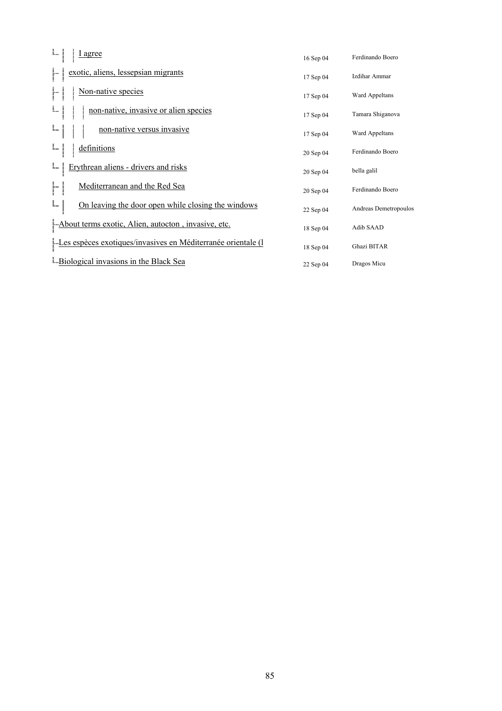| l agree                                                                                                                                                                                                                                                                                                                                                                                                                                         | 16 Sep 04 | Ferdinando Boero      |
|-------------------------------------------------------------------------------------------------------------------------------------------------------------------------------------------------------------------------------------------------------------------------------------------------------------------------------------------------------------------------------------------------------------------------------------------------|-----------|-----------------------|
| exotic, aliens, lessepsian migrants<br><b>Second</b>                                                                                                                                                                                                                                                                                                                                                                                            | 17 Sep 04 | Izdihar Ammar         |
| Non-native species<br>F.                                                                                                                                                                                                                                                                                                                                                                                                                        | 17 Sep 04 | Ward Appeltans        |
| in p<br>non-native, invasive or alien species                                                                                                                                                                                                                                                                                                                                                                                                   | 17 Sep 04 | Tamara Shiganova      |
| $\begin{tabular}{c} \hline \rule{0pt}{3ex} \rule{0pt}{3ex} \rule{0pt}{3ex} \rule{0pt}{3ex} \rule{0pt}{3ex} \rule{0pt}{3ex} \rule{0pt}{3ex} \rule{0pt}{3ex} \rule{0pt}{3ex} \rule{0pt}{3ex} \rule{0pt}{3ex} \rule{0pt}{3ex} \rule{0pt}{3ex} \rule{0pt}{3ex} \rule{0pt}{3ex} \rule{0pt}{3ex} \rule{0pt}{3ex} \rule{0pt}{3ex} \rule{0pt}{3ex} \rule{0pt}{3ex} \rule{0pt}{3ex} \rule{0pt}{3ex} \rule{0pt}{3ex} \rule$<br>non-native versus invasive | 17 Sep 04 | Ward Appeltans        |
| l.<br>definitions                                                                                                                                                                                                                                                                                                                                                                                                                               | 20 Sep 04 | Ferdinando Boero      |
| L,<br>Erythrean aliens - drivers and risks                                                                                                                                                                                                                                                                                                                                                                                                      | 20 Sep 04 | bella galil           |
| þ.<br>Mediterranean and the Red Sea                                                                                                                                                                                                                                                                                                                                                                                                             | 20 Sep 04 | Ferdinando Boero      |
| i j<br>On leaving the door open while closing the windows                                                                                                                                                                                                                                                                                                                                                                                       | 22 Sep 04 | Andreas Demetropoulos |
| About terms exotic, Alien, autocton, invasive, etc.                                                                                                                                                                                                                                                                                                                                                                                             | 18 Sep 04 | Adib SAAD             |
| -Les espèces exotiques/invasives en Méditerranée orientale (1                                                                                                                                                                                                                                                                                                                                                                                   | 18 Sep 04 | Ghazi BITAR           |
| <b>Example 1</b> Biological invasions in the Black Sea                                                                                                                                                                                                                                                                                                                                                                                          | 22 Sep 04 | Dragos Micu           |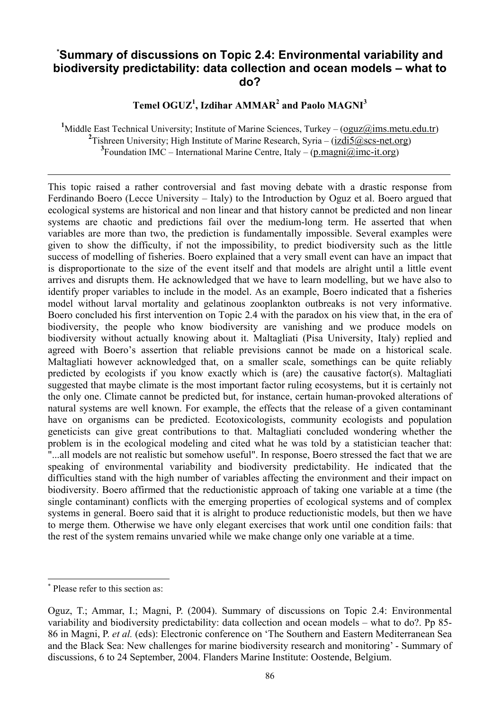# **[\\*](#page-89-0) Summary of discussions on Topic 2.4: Environmental variability and biodiversity predictability: data collection and ocean models – what to do?**

## $\mathrm{Temel} \text{ } \mathrm{OGUZ}^1, \text{ }$  Izdihar AMMAR $^2$  and Paolo MAGNI $^3$

<sup>1</sup>Middle East Technical University; Institute of Marine Sciences, Turkey – (oguz@ims.metu.edu.tr) <sup>2</sup>Tishreen University; High Institute of Marine Research, Syria –  $(izdi5@scs-net.org)$ <sup>3</sup> Foundation IMC – International Marine Centre, Italy –  $(p_{.}$ magni $\omega$ imc-it.org)

This topic raised a rather controversial and fast moving debate with a drastic response from Ferdinando Boero (Lecce University – Italy) to the Introduction by Oguz et al. Boero argued that ecological systems are historical and non linear and that history cannot be predicted and non linear systems are chaotic and predictions fail over the medium-long term. He asserted that when variables are more than two, the prediction is fundamentally impossible. Several examples were given to show the difficulty, if not the impossibility, to predict biodiversity such as the little success of modelling of fisheries. Boero explained that a very small event can have an impact that is disproportionate to the size of the event itself and that models are alright until a little event arrives and disrupts them. He acknowledged that we have to learn modelling, but we have also to identify proper variables to include in the model. As an example, Boero indicated that a fisheries model without larval mortality and gelatinous zooplankton outbreaks is not very informative. Boero concluded his first intervention on Topic 2.4 with the paradox on his view that, in the era of biodiversity, the people who know biodiversity are vanishing and we produce models on biodiversity without actually knowing about it. Maltagliati (Pisa University, Italy) replied and agreed with Boero's assertion that reliable previsions cannot be made on a historical scale. Maltagliati however acknowledged that, on a smaller scale, somethings can be quite reliably predicted by ecologists if you know exactly which is (are) the causative factor(s). Maltagliati suggested that maybe climate is the most important factor ruling ecosystems, but it is certainly not the only one. Climate cannot be predicted but, for instance, certain human-provoked alterations of natural systems are well known. For example, the effects that the release of a given contaminant have on organisms can be predicted. Ecotoxicologists, community ecologists and population geneticists can give great contributions to that. Maltagliati concluded wondering whether the problem is in the ecological modeling and cited what he was told by a statistician teacher that: "...all models are not realistic but somehow useful". In response, Boero stressed the fact that we are speaking of environmental variability and biodiversity predictability. He indicated that the difficulties stand with the high number of variables affecting the environment and their impact on biodiversity. Boero affirmed that the reductionistic approach of taking one variable at a time (the single contaminant) conflicts with the emerging properties of ecological systems and of complex systems in general. Boero said that it is alright to produce reductionistic models, but then we have to merge them. Otherwise we have only elegant exercises that work until one condition fails: that the rest of the system remains unvaried while we make change only one variable at a time.

<span id="page-89-0"></span><sup>\*</sup> Please refer to this section as:

Oguz, T.; Ammar, I.; Magni, P. (2004). Summary of discussions on Topic 2.4: Environmental variability and biodiversity predictability: data collection and ocean models – what to do?. Pp 85- 86 in Magni, P. *et al.* (eds): Electronic conference on 'The Southern and Eastern Mediterranean Sea and the Black Sea: New challenges for marine biodiversity research and monitoring' - Summary of discussions, 6 to 24 September, 2004. Flanders Marine Institute: Oostende, Belgium.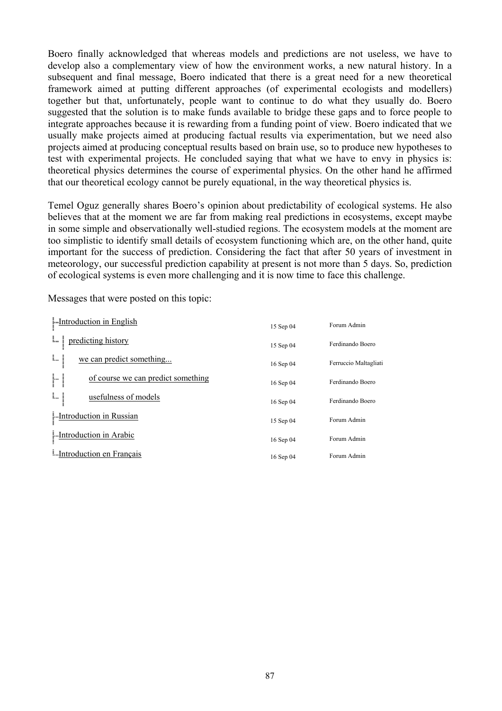Boero finally acknowledged that whereas models and predictions are not useless, we have to develop also a complementary view of how the environment works, a new natural history. In a subsequent and final message, Boero indicated that there is a great need for a new theoretical framework aimed at putting different approaches (of experimental ecologists and modellers) together but that, unfortunately, people want to continue to do what they usually do. Boero suggested that the solution is to make funds available to bridge these gaps and to force people to integrate approaches because it is rewarding from a funding point of view. Boero indicated that we usually make projects aimed at producing factual results via experimentation, but we need also projects aimed at producing conceptual results based on brain use, so to produce new hypotheses to test with experimental projects. He concluded saying that what we have to envy in physics is: theoretical physics determines the course of experimental physics. On the other hand he affirmed that our theoretical ecology cannot be purely equational, in the way theoretical physics is.

Temel Oguz generally shares Boero's opinion about predictability of ecological systems. He also believes that at the moment we are far from making real predictions in ecosystems, except maybe in some simple and observationally well-studied regions. The ecosystem models at the moment are too simplistic to identify small details of ecosystem functioning which are, on the other hand, quite important for the success of prediction. Considering the fact that after 50 years of investment in meteorology, our successful prediction capability at present is not more than 5 days. So, prediction of ecological systems is even more challenging and it is now time to face this challenge.

| -Introduction in English                 | 15 Sep 04 | Forum Admin           |
|------------------------------------------|-----------|-----------------------|
| <u>і.,</u><br>predicting history         | 15 Sep 04 | Ferdinando Boero      |
| ١<br>we can predict something            | 16 Sep 04 | Ferruccio Maltagliati |
| ļ.<br>of course we can predict something | 16 Sep 04 | Ferdinando Boero      |
| Ł.<br>usefulness of models               | 16 Sep 04 | Ferdinando Boero      |
| --Introduction in Russian                | 15 Sep 04 | Forum Admin           |
| Introduction in Arabic                   | 16 Sep 04 | Forum Admin           |
| Introduction en Français                 | 16 Sep 04 | Forum Admin           |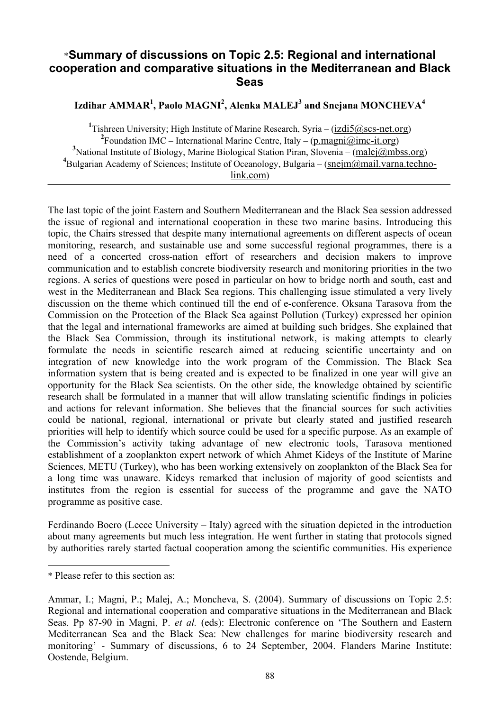## [\\*](#page-91-0)**Summary of discussions on Topic 2.5: Regional and international cooperation and comparative situations in the Mediterranean and Black Seas**

## **Izdihar AMMAR1 , Paolo MAGNI<sup>2</sup> , Alenka MALEJ<sup>3</sup> and Snejana MONCHEVA4**

<sup>1</sup>Tishreen University; High Institute of Marine Research, Syria – (izdi5@scs-net.org) <sup>2</sup> Foundation IMC – International Marine Centre, Italy –  $(p_{.}$ magni $\omega$ imc-it.org) <sup>3</sup> National Institute of Biology, Marine Biological Station Piran, Slovenia – (malej@mbss.org) <sup>4</sup>Bulgarian Academy of Sciences; Institute of Oceanology, Bulgaria – (snejm@mail.varna.technolink.com)

The last topic of the joint Eastern and Southern Mediterranean and the Black Sea session addressed the issue of regional and international cooperation in these two marine basins. Introducing this topic, the Chairs stressed that despite many international agreements on different aspects of ocean monitoring, research, and sustainable use and some successful regional programmes, there is a need of a concerted cross-nation effort of researchers and decision makers to improve communication and to establish concrete biodiversity research and monitoring priorities in the two regions. A series of questions were posed in particular on how to bridge north and south, east and west in the Mediterranean and Black Sea regions. This challenging issue stimulated a very lively discussion on the theme which continued till the end of e-conference. Oksana Tarasova from the Commission on the Protection of the Black Sea against Pollution (Turkey) expressed her opinion that the legal and international frameworks are aimed at building such bridges. She explained that the Black Sea Commission, through its institutional network, is making attempts to clearly formulate the needs in scientific research aimed at reducing scientific uncertainty and on integration of new knowledge into the work program of the Commission. The Black Sea information system that is being created and is expected to be finalized in one year will give an opportunity for the Black Sea scientists. On the other side, the knowledge obtained by scientific research shall be formulated in a manner that will allow translating scientific findings in policies and actions for relevant information. She believes that the financial sources for such activities could be national, regional, international or private but clearly stated and justified research priorities will help to identify which source could be used for a specific purpose. As an example of the Commission's activity taking advantage of new electronic tools, Tarasova mentioned establishment of a zooplankton expert network of which Ahmet Kideys of the Institute of Marine Sciences, METU (Turkey), who has been working extensively on zooplankton of the Black Sea for a long time was unaware. Kideys remarked that inclusion of majority of good scientists and institutes from the region is essential for success of the programme and gave the NATO programme as positive case.

Ferdinando Boero (Lecce University – Italy) agreed with the situation depicted in the introduction about many agreements but much less integration. He went further in stating that protocols signed by authorities rarely started factual cooperation among the scientific communities. His experience

 $\overline{\phantom{a}}$ 

<span id="page-91-0"></span><sup>\*</sup> Please refer to this section as:

Ammar, I.; Magni, P.; Malej, A.; Moncheva, S. (2004). Summary of discussions on Topic 2.5: Regional and international cooperation and comparative situations in the Mediterranean and Black Seas. Pp 87-90 in Magni, P. *et al.* (eds): Electronic conference on 'The Southern and Eastern Mediterranean Sea and the Black Sea: New challenges for marine biodiversity research and monitoring' - Summary of discussions, 6 to 24 September, 2004. Flanders Marine Institute: Oostende, Belgium.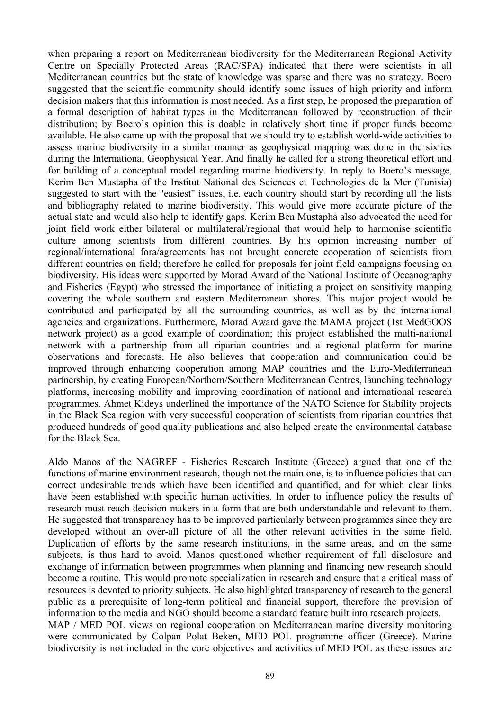when preparing a report on Mediterranean biodiversity for the Mediterranean Regional Activity Centre on Specially Protected Areas (RAC/SPA) indicated that there were scientists in all Mediterranean countries but the state of knowledge was sparse and there was no strategy. Boero suggested that the scientific community should identify some issues of high priority and inform decision makers that this information is most needed. As a first step, he proposed the preparation of a formal description of habitat types in the Mediterranean followed by reconstruction of their distribution; by Boero's opinion this is doable in relatively short time if proper funds become available. He also came up with the proposal that we should try to establish world-wide activities to assess marine biodiversity in a similar manner as geophysical mapping was done in the sixties during the International Geophysical Year. And finally he called for a strong theoretical effort and for building of a conceptual model regarding marine biodiversity. In reply to Boero's message, Kerim Ben Mustapha of the Institut National des Sciences et Technologies de la Mer (Tunisia) suggested to start with the "easiest" issues, i.e. each country should start by recording all the lists and bibliography related to marine biodiversity. This would give more accurate picture of the actual state and would also help to identify gaps. Kerim Ben Mustapha also advocated the need for joint field work either bilateral or multilateral/regional that would help to harmonise scientific culture among scientists from different countries. By his opinion increasing number of regional/international fora/agreements has not brought concrete cooperation of scientists from different countries on field; therefore he called for proposals for joint field campaigns focusing on biodiversity. His ideas were supported by Morad Award of the National Institute of Oceanography and Fisheries (Egypt) who stressed the importance of initiating a project on sensitivity mapping covering the whole southern and eastern Mediterranean shores. This major project would be contributed and participated by all the surrounding countries, as well as by the international agencies and organizations. Furthermore, Morad Award gave the MAMA project (1st MedGOOS network project) as a good example of coordination; this project established the multi-national network with a partnership from all riparian countries and a regional platform for marine observations and forecasts. He also believes that cooperation and communication could be improved through enhancing cooperation among MAP countries and the Euro-Mediterranean partnership, by creating European/Northern/Southern Mediterranean Centres, launching technology platforms, increasing mobility and improving coordination of national and international research programmes. Ahmet Kideys underlined the importance of the NATO Science for Stability projects in the Black Sea region with very successful cooperation of scientists from riparian countries that produced hundreds of good quality publications and also helped create the environmental database for the Black Sea.

Aldo Manos of the NAGREF - Fisheries Research Institute (Greece) argued that one of the functions of marine environment research, though not the main one, is to influence policies that can correct undesirable trends which have been identified and quantified, and for which clear links have been established with specific human activities. In order to influence policy the results of research must reach decision makers in a form that are both understandable and relevant to them. He suggested that transparency has to be improved particularly between programmes since they are developed without an over-all picture of all the other relevant activities in the same field. Duplication of efforts by the same research institutions, in the same areas, and on the same subjects, is thus hard to avoid. Manos questioned whether requirement of full disclosure and exchange of information between programmes when planning and financing new research should become a routine. This would promote specialization in research and ensure that a critical mass of resources is devoted to priority subjects. He also highlighted transparency of research to the general public as a prerequisite of long-term political and financial support, therefore the provision of information to the media and NGO should become a standard feature built into research projects. MAP / MED POL views on regional cooperation on Mediterranean marine diversity monitoring

were communicated by Colpan Polat Beken, MED POL programme officer (Greece). Marine biodiversity is not included in the core objectives and activities of MED POL as these issues are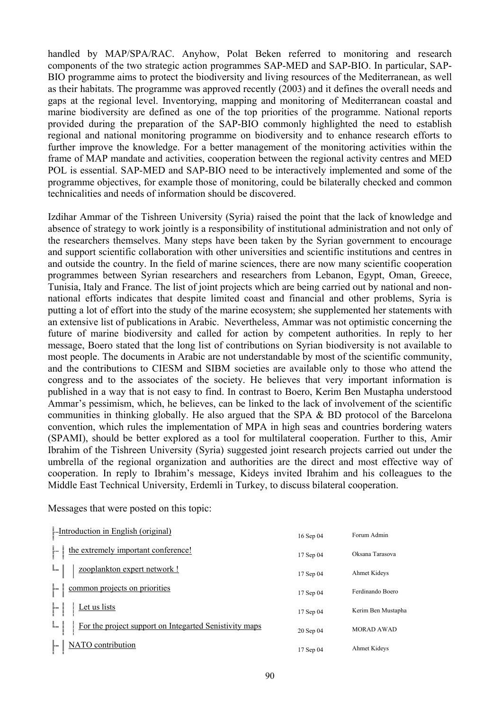handled by MAP/SPA/RAC. Anyhow, Polat Beken referred to monitoring and research components of the two strategic action programmes SAP-MED and SAP-BIO. In particular, SAP-BIO programme aims to protect the biodiversity and living resources of the Mediterranean, as well as their habitats. The programme was approved recently (2003) and it defines the overall needs and gaps at the regional level. Inventorying, mapping and monitoring of Mediterranean coastal and marine biodiversity are defined as one of the top priorities of the programme. National reports provided during the preparation of the SAP-BIO commonly highlighted the need to establish regional and national monitoring programme on biodiversity and to enhance research efforts to further improve the knowledge. For a better management of the monitoring activities within the frame of MAP mandate and activities, cooperation between the regional activity centres and MED POL is essential. SAP-MED and SAP-BIO need to be interactively implemented and some of the programme objectives, for example those of monitoring, could be bilaterally checked and common technicalities and needs of information should be discovered.

Izdihar Ammar of the Tishreen University (Syria) raised the point that the lack of knowledge and absence of strategy to work jointly is a responsibility of institutional administration and not only of the researchers themselves. Many steps have been taken by the Syrian government to encourage and support scientific collaboration with other universities and scientific institutions and centres in and outside the country. In the field of marine sciences, there are now many scientific cooperation programmes between Syrian researchers and researchers from Lebanon, Egypt, Oman, Greece, Tunisia, Italy and France. The list of joint projects which are being carried out by national and nonnational efforts indicates that despite limited coast and financial and other problems, Syria is putting a lot of effort into the study of the marine ecosystem; she supplemented her statements with an extensive list of publications in Arabic. Nevertheless, Ammar was not optimistic concerning the future of marine biodiversity and called for action by competent authorities. In reply to her message, Boero stated that the long list of contributions on Syrian biodiversity is not available to most people. The documents in Arabic are not understandable by most of the scientific community, and the contributions to CIESM and SIBM societies are available only to those who attend the congress and to the associates of the society. He believes that very important information is published in a way that is not easy to find. In contrast to Boero, Kerim Ben Mustapha understood Ammar's pessimism, which, he believes, can be linked to the lack of involvement of the scientific communities in thinking globally. He also argued that the SPA & BD protocol of the Barcelona convention, which rules the implementation of MPA in high seas and countries bordering waters (SPAMI), should be better explored as a tool for multilateral cooperation. Further to this, Amir Ibrahim of the Tishreen University (Syria) suggested joint research projects carried out under the umbrella of the regional organization and authorities are the direct and most effective way of cooperation. In reply to Ibrahim's message, Kideys invited Ibrahim and his colleagues to the Middle East Technical University, Erdemli in Turkey, to discuss bilateral cooperation.

| Introduction in English (original)                              | 16 Sep 04 | Forum Admin        |
|-----------------------------------------------------------------|-----------|--------------------|
| the extremely important conference!<br>þ.                       | 17 Sep 04 | Oksana Tarasova    |
| $\frac{1}{2}$ zooplankton expert network !                      | 17 Sep 04 | Ahmet Kidevs       |
| common projects on priorities<br>ie i                           | 17 Sep 04 | Ferdinando Boero   |
| $\left  \cdot \right $ Let us lists                             | 17 Sep 04 | Kerim Ben Mustapha |
| For the project support on Integarted Senistivity maps<br>han i | 20 Sep 04 | <b>MORAD AWAD</b>  |
| <b>NATO</b> contribution<br>÷.                                  | 17 Sep 04 | Ahmet Kidevs       |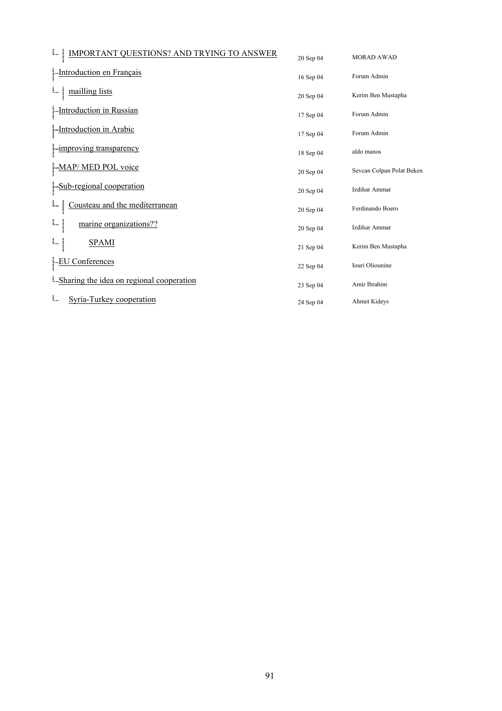| <b>IMPORTANT QUESTIONS? AND TRYING TO ANSWER</b> | 20 Sep 04 | <b>MORAD AWAD</b>         |
|--------------------------------------------------|-----------|---------------------------|
| -Introduction en Français                        | 16 Sep 04 | Forum Admin               |
| mailling lists                                   | 20 Sep 04 | Kerim Ben Mustapha        |
| Introduction in Russian                          | 17 Sep 04 | Forum Admin               |
| Introduction in Arabic                           | 17 Sep 04 | Forum Admin               |
| improving transparency                           | 18 Sep 04 | aldo manos                |
| -MAP/MED POL voice                               | 20 Sep 04 | Sevcan Colpan Polat Beken |
| Sub-regional cooperation                         | 20 Sep 04 | Izdihar Ammar             |
| Cousteau and the mediterranean                   | 20 Sep 04 | Ferdinando Boero          |
| Ł.<br>marine organizations??                     | 20 Sep 04 | Izdihar Ammar             |
| Ļ,<br>SPAMI                                      | 21 Sep 04 | Kerim Ben Mustapha        |
| Conferences<br>⊧EU                               | 22 Sep 04 | Iouri Oliounine           |
| Sharing the idea on regional cooperation         | 23 Sep 04 | Amir Ibrahim              |
| Ł.,<br><b>Syria-Turkey cooperation</b>           | 24 Sep 04 | Ahmet Kideys              |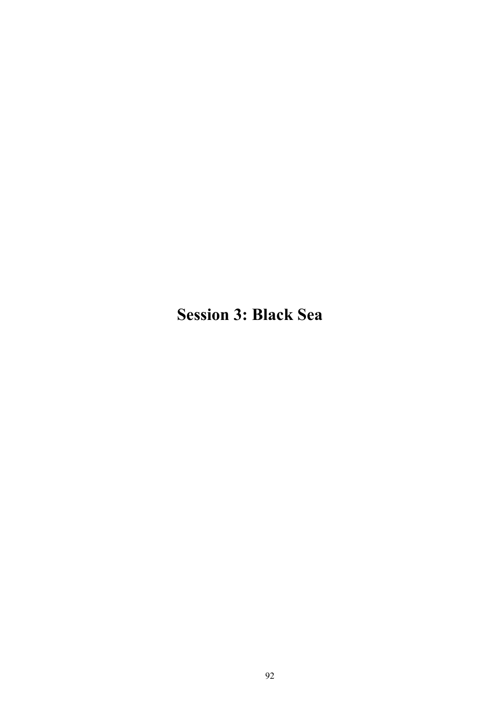**Session 3: Black Sea**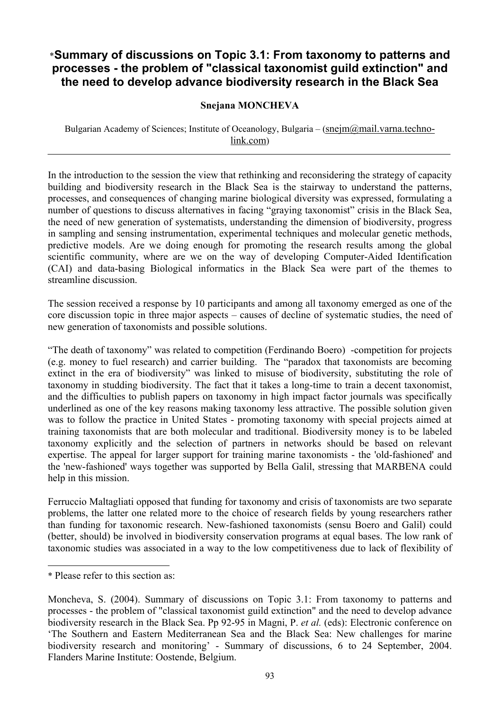# [\\*](#page-96-0)**Summary of discussions on Topic 3.1: From taxonomy to patterns and processes - the problem of "classical taxonomist guild extinction" and the need to develop advance biodiversity research in the Black Sea**

## **Snejana MONCHEVA**

Bulgarian Academy of Sciences; Institute of Oceanology, Bulgaria – (snejm $\omega$ mail.varna.technolink.com)

In the introduction to the session the view that rethinking and reconsidering the strategy of capacity building and biodiversity research in the Black Sea is the stairway to understand the patterns, processes, and consequences of changing marine biological diversity was expressed, formulating a number of questions to discuss alternatives in facing "graying taxonomist" crisis in the Black Sea, the need of new generation of systematists, understanding the dimension of biodiversity, progress in sampling and sensing instrumentation, experimental techniques and molecular genetic methods, predictive models. Are we doing enough for promoting the research results among the global scientific community, where are we on the way of developing Computer-Aided Identification (CAI) and data-basing Biological informatics in the Black Sea were part of the themes to streamline discussion.

The session received a response by 10 participants and among all taxonomy emerged as one of the core discussion topic in three major aspects – causes of decline of systematic studies, the need of new generation of taxonomists and possible solutions.

"The death of taxonomy" was related to competition (Ferdinando Boero) -competition for projects (e.g. money to fuel research) and carrier building. The "paradox that taxonomists are becoming extinct in the era of biodiversity" was linked to misuse of biodiversity, substituting the role of taxonomy in studding biodiversity. The fact that it takes a long-time to train a decent taxonomist, and the difficulties to publish papers on taxonomy in high impact factor journals was specifically underlined as one of the key reasons making taxonomy less attractive. The possible solution given was to follow the practice in United States - promoting taxonomy with special projects aimed at training taxonomists that are both molecular and traditional. Biodiversity money is to be labeled taxonomy explicitly and the selection of partners in networks should be based on relevant expertise. The appeal for larger support for training marine taxonomists - the 'old-fashioned' and the 'new-fashioned' ways together was supported by Bella Galil, stressing that MARBENA could help in this mission.

Ferruccio Maltagliati opposed that funding for taxonomy and crisis of taxonomists are two separate problems, the latter one related more to the choice of research fields by young researchers rather than funding for taxonomic research. New-fashioned taxonomists (sensu Boero and Galil) could (better, should) be involved in biodiversity conservation programs at equal bases. The low rank of taxonomic studies was associated in a way to the low competitiveness due to lack of flexibility of

 $\overline{\phantom{a}}$ 

<span id="page-96-0"></span><sup>\*</sup> Please refer to this section as:

Moncheva, S. (2004). Summary of discussions on Topic 3.1: From taxonomy to patterns and processes - the problem of "classical taxonomist guild extinction" and the need to develop advance biodiversity research in the Black Sea. Pp 92-95 in Magni, P. *et al.* (eds): Electronic conference on 'The Southern and Eastern Mediterranean Sea and the Black Sea: New challenges for marine biodiversity research and monitoring' - Summary of discussions, 6 to 24 September, 2004. Flanders Marine Institute: Oostende, Belgium.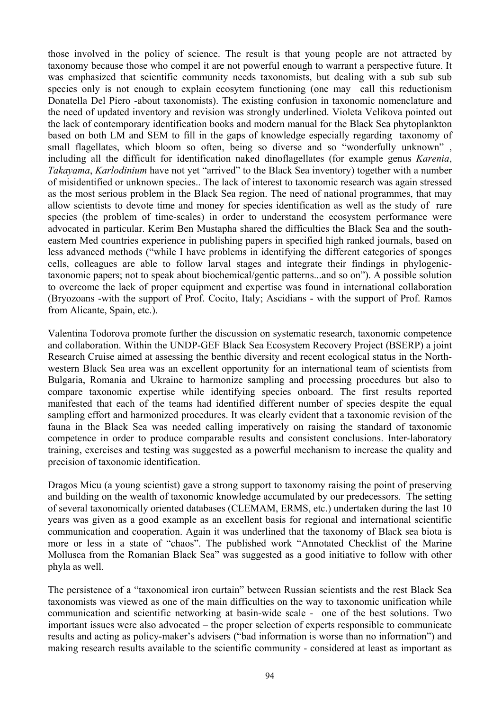those involved in the policy of science. The result is that young people are not attracted by taxonomy because those who compel it are not powerful enough to warrant a perspective future. It was emphasized that scientific community needs taxonomists, but dealing with a sub sub sub species only is not enough to explain ecosytem functioning (one may call this reductionism Donatella Del Piero -about taxonomists). The existing confusion in taxonomic nomenclature and the need of updated inventory and revision was strongly underlined. Violeta Velikova pointed out the lack of contemporary identification books and modern manual for the Black Sea phytoplankton based on both LM and SEM to fill in the gaps of knowledge especially regarding taxonomy of small flagellates, which bloom so often, being so diverse and so "wonderfully unknown" , including all the difficult for identification naked dinoflagellates (for example genus *Karenia*, *Takayama*, *Karlodinium* have not yet "arrived" to the Black Sea inventory) together with a number of misidentified or unknown species.. The lack of interest to taxonomic research was again stressed as the most serious problem in the Black Sea region. The need of national programmes, that may allow scientists to devote time and money for species identification as well as the study of rare species (the problem of time-scales) in order to understand the ecosystem performance were advocated in particular. Kerim Ben Mustapha shared the difficulties the Black Sea and the southeastern Med countries experience in publishing papers in specified high ranked journals, based on less advanced methods ("while I have problems in identifying the different categories of sponges cells, colleagues are able to follow larval stages and integrate their findings in phylogenictaxonomic papers; not to speak about biochemical/gentic patterns...and so on"). A possible solution to overcome the lack of proper equipment and expertise was found in international collaboration (Bryozoans -with the support of Prof. Cocito, Italy; Ascidians - with the support of Prof. Ramos from Alicante, Spain, etc.).

Valentina Todorova promote further the discussion on systematic research, taxonomic competence and collaboration. Within the UNDP-GEF Black Sea Ecosystem Recovery Project (BSERP) a joint Research Cruise aimed at assessing the benthic diversity and recent ecological status in the Northwestern Black Sea area was an excellent opportunity for an international team of scientists from Bulgaria, Romania and Ukraine to harmonize sampling and processing procedures but also to compare taxonomic expertise while identifying species onboard. The first results reported manifested that each of the teams had identified different number of species despite the equal sampling effort and harmonized procedures. It was clearly evident that a taxonomic revision of the fauna in the Black Sea was needed calling imperatively on raising the standard of taxonomic competence in order to produce comparable results and consistent conclusions. Inter-laboratory training, exercises and testing was suggested as a powerful mechanism to increase the quality and precision of taxonomic identification.

Dragos Micu (a young scientist) gave a strong support to taxonomy raising the point of preserving and building on the wealth of taxonomic knowledge accumulated by our predecessors. The setting of several taxonomically oriented databases (CLEMAM, ERMS, etc.) undertaken during the last 10 years was given as a good example as an excellent basis for regional and international scientific communication and cooperation. Again it was underlined that the taxonomy of Black sea biota is more or less in a state of "chaos". The published work "Annotated Checklist of the Marine Mollusca from the Romanian Black Sea" was suggested as a good initiative to follow with other phyla as well.

The persistence of a "taxonomical iron curtain" between Russian scientists and the rest Black Sea taxonomists was viewed as one of the main difficulties on the way to taxonomic unification while communication and scientific networking at basin-wide scale - one of the best solutions. Two important issues were also advocated – the proper selection of experts responsible to communicate results and acting as policy-maker's advisers ("bad information is worse than no information") and making research results available to the scientific community - considered at least as important as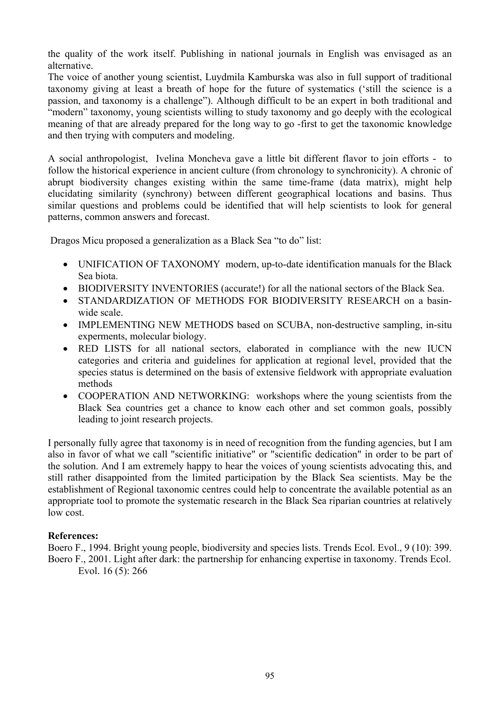the quality of the work itself. Publishing in national journals in English was envisaged as an alternative.

The voice of another young scientist, Luydmila Kamburska was also in full support of traditional taxonomy giving at least a breath of hope for the future of systematics ('still the science is a passion, and taxonomy is a challenge"). Although difficult to be an expert in both traditional and "modern" taxonomy, young scientists willing to study taxonomy and go deeply with the ecological meaning of that are already prepared for the long way to go -first to get the taxonomic knowledge and then trying with computers and modeling.

A social anthropologist, Ivelina Moncheva gave a little bit different flavor to join efforts - to follow the historical experience in ancient culture (from chronology to synchronicity). A chronic of abrupt biodiversity changes existing within the same time-frame (data matrix), might help elucidating similarity (synchrony) between different geographical locations and basins. Thus similar questions and problems could be identified that will help scientists to look for general patterns, common answers and forecast.

Dragos Micu proposed a generalization as a Black Sea "to do" list:

- UNIFICATION OF TAXONOMY modern, up-to-date identification manuals for the Black Sea biota.
- BIODIVERSITY INVENTORIES (accurate!) for all the national sectors of the Black Sea.
- STANDARDIZATION OF METHODS FOR BIODIVERSITY RESEARCH on a basinwide scale.
- IMPLEMENTING NEW METHODS based on SCUBA, non-destructive sampling, in-situ experments, molecular biology.
- RED LISTS for all national sectors, elaborated in compliance with the new IUCN categories and criteria and guidelines for application at regional level, provided that the species status is determined on the basis of extensive fieldwork with appropriate evaluation methods
- COOPERATION AND NETWORKING: workshops where the young scientists from the Black Sea countries get a chance to know each other and set common goals, possibly leading to joint research projects.

I personally fully agree that taxonomy is in need of recognition from the funding agencies, but I am also in favor of what we call "scientific initiative" or "scientific dedication" in order to be part of the solution. And I am extremely happy to hear the voices of young scientists advocating this, and still rather disappointed from the limited participation by the Black Sea scientists. May be the establishment of Regional taxonomic centres could help to concentrate the available potential as an appropriate tool to promote the systematic research in the Black Sea riparian countries at relatively low cost.

#### **References:**

Boero F., 1994. Bright young people, biodiversity and species lists. Trends Ecol. Evol., 9 (10): 399. Boero F., 2001. Light after dark: the partnership for enhancing expertise in taxonomy. Trends Ecol. Evol. 16 (5): 266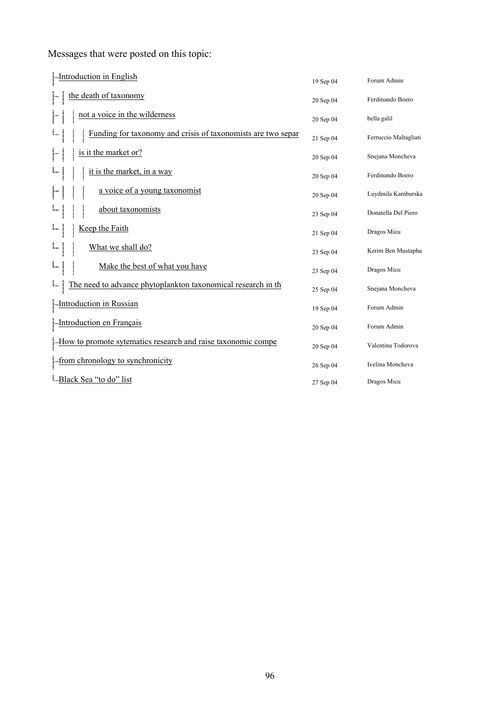| Introduction in English                                                                                                                                                                                                                                                                                                                                   | 19 Sep 04 | Forum Admin           |
|-----------------------------------------------------------------------------------------------------------------------------------------------------------------------------------------------------------------------------------------------------------------------------------------------------------------------------------------------------------|-----------|-----------------------|
| the death of taxonomy                                                                                                                                                                                                                                                                                                                                     | 20 Sep 04 | Ferdinando Boero      |
| not a voice in the wilderness                                                                                                                                                                                                                                                                                                                             | 20 Sep 04 | bella galil           |
| Funding for taxonomy and crisis of taxonomists are two separ                                                                                                                                                                                                                                                                                              | 21 Sep 04 | Ferruccio Maltagliati |
| is it the market or?                                                                                                                                                                                                                                                                                                                                      | 20 Sep 04 | Snejana Moncheva      |
| $\frac{1}{x}$     it is the market, in a way                                                                                                                                                                                                                                                                                                              | 20 Sep 04 | Ferdinando Boero      |
| <b>Filli</b><br>a voice of a young taxonomist                                                                                                                                                                                                                                                                                                             | 20 Sep 04 | Luydmila Kamburska    |
| $\begin{tabular}{c} \bf 1.1 & \bf 1.1 & \bf 1.1 & \bf 1.1 & \bf 1.1 & \bf 1.1 & \bf 1.1 & \bf 1.1 & \bf 1.1 & \bf 1.1 & \bf 1.1 & \bf 1.1 & \bf 1.1 & \bf 1.1 & \bf 1.1 & \bf 1.1 & \bf 1.1 & \bf 1.1 & \bf 1.1 & \bf 1.1 & \bf 1.1 & \bf 1.1 & \bf 1.1 & \bf 1.1 & \bf 1.1 & \bf 1.1 & \bf 1.1 & \bf 1.1 & \bf 1.1 & \bf 1.1 & \bf$<br>about taxonomists | 23 Sep 04 | Donatella Del Piero   |
| <b>Keep the Faith</b>                                                                                                                                                                                                                                                                                                                                     | 21 Sep 04 | Dragos Micu           |
| LI L<br>What we shall do?                                                                                                                                                                                                                                                                                                                                 | 23 Sep 04 | Kerim Ben Mustapha    |
| $\frac{1}{2}$<br>Make the best of what you have                                                                                                                                                                                                                                                                                                           | 23 Sep 04 | Dragos Micu           |
| The need to advance phytoplankton taxonomical research in the                                                                                                                                                                                                                                                                                             | 25 Sep 04 | Snejana Moncheva      |
| -Introduction in Russian                                                                                                                                                                                                                                                                                                                                  | 19 Sep 04 | Forum Admin           |
| -Introduction en Français                                                                                                                                                                                                                                                                                                                                 | 20 Sep 04 | Forum Admin           |
| -How to promote sytematics research and raise taxonomic compe-                                                                                                                                                                                                                                                                                            | 20 Sep 04 | Valentina Todorova    |
|                                                                                                                                                                                                                                                                                                                                                           | 26 Sep 04 | Ivelina Moncheva      |
| I <u>Black Sea "to do" list</u>                                                                                                                                                                                                                                                                                                                           | 27 Sep 04 | Dragos Micu           |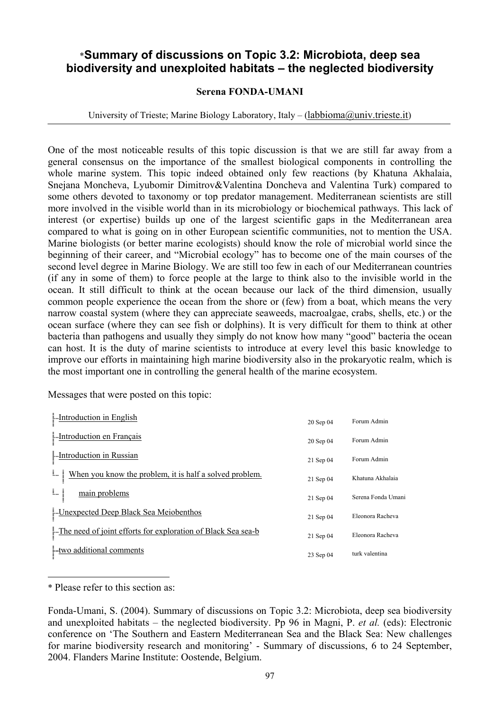# [\\*](#page-100-0)**Summary of discussions on Topic 3.2: Microbiota, deep sea biodiversity and unexploited habitats – the neglected biodiversity**

## **Serena FONDA-UMANI**

University of Trieste; Marine Biology Laboratory, Italy – (labbioma@univ.trieste.it) 

One of the most noticeable results of this topic discussion is that we are still far away from a general consensus on the importance of the smallest biological components in controlling the whole marine system. This topic indeed obtained only few reactions (by Khatuna Akhalaia, Snejana Moncheva, Lyubomir Dimitrov&Valentina Doncheva and Valentina Turk) compared to some others devoted to taxonomy or top predator management. Mediterranean scientists are still more involved in the visible world than in its microbiology or biochemical pathways. This lack of interest (or expertise) builds up one of the largest scientific gaps in the Mediterranean area compared to what is going on in other European scientific communities, not to mention the USA. Marine biologists (or better marine ecologists) should know the role of microbial world since the beginning of their career, and "Microbial ecology" has to become one of the main courses of the second level degree in Marine Biology. We are still too few in each of our Mediterranean countries (if any in some of them) to force people at the large to think also to the invisible world in the ocean. It still difficult to think at the ocean because our lack of the third dimension, usually common people experience the ocean from the shore or (few) from a boat, which means the very narrow coastal system (where they can appreciate seaweeds, macroalgae, crabs, shells, etc.) or the ocean surface (where they can see fish or dolphins). It is very difficult for them to think at other bacteria than pathogens and usually they simply do not know how many "good" bacteria the ocean can host. It is the duty of marine scientists to introduce at every level this basic knowledge to improve our efforts in maintaining high marine biodiversity also in the prokaryotic realm, which is the most important one in controlling the general health of the marine ecosystem.

Messages that were posted on this topic:

| --Introduction in English                                    | 20 Sep 04 | Forum Admin        |
|--------------------------------------------------------------|-----------|--------------------|
| -Introduction en Français                                    | 20 Sep 04 | Forum Admin        |
| -Introduction in Russian                                     | 21 Sep 04 | Forum Admin        |
| ÷<br>When you know the problem, it is half a solved problem. | 21 Sep 04 | Khatuna Akhalaia   |
| il. (<br>main problems                                       | 21 Sep 04 | Serena Fonda Umani |
| -Unexpected Deep Black Sea Meiobenthos                       | 21 Sep 04 | Eleonora Racheva   |
| The need of joint efforts for exploration of Black Sea sea-b | 21 Sep 04 | Eleonora Racheva   |
| ---two additional comments                                   | 23 Sep 04 | turk valentina     |

<span id="page-100-0"></span>\* Please refer to this section as:

Fonda-Umani, S. (2004). Summary of discussions on Topic 3.2: Microbiota, deep sea biodiversity and unexploited habitats – the neglected biodiversity. Pp 96 in Magni, P. *et al.* (eds): Electronic conference on 'The Southern and Eastern Mediterranean Sea and the Black Sea: New challenges for marine biodiversity research and monitoring' - Summary of discussions, 6 to 24 September, 2004. Flanders Marine Institute: Oostende, Belgium.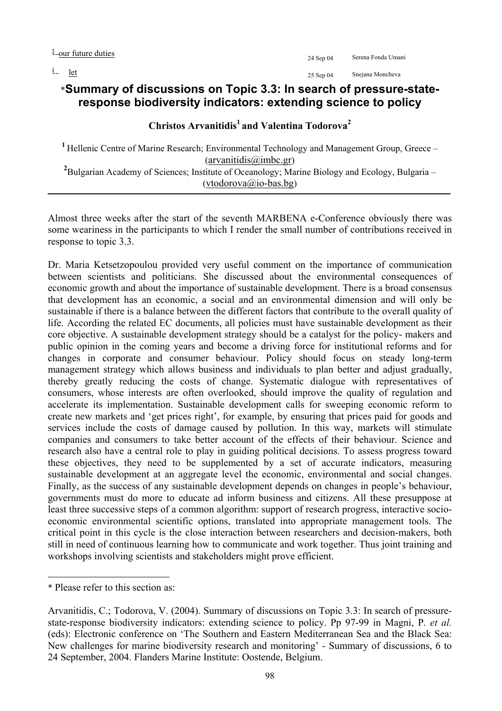our future duties 24 Sep 04 Serena Fonda Umani

let 25 Sep 04 Snejana Moncheva

# [\\*](#page-101-0)**Summary of discussions on Topic 3.3: In search of pressure-stateresponse biodiversity indicators: extending science to policy**

## **Christos Arvanitidis1 and Valentina Todorova2**

<sup>1</sup> Hellenic Centre of Marine Research; Environmental Technology and Management Group, Greece –  $(\text{arvantidis}(\hat{\omega})$ imbc.gr) <sup>2</sup>Bulgarian Academy of Sciences; Institute of Oceanology; Marine Biology and Ecology, Bulgaria –  $(v$ todorova@io-bas.bg)

Almost three weeks after the start of the seventh MARBENA e-Conference obviously there was some weariness in the participants to which I render the small number of contributions received in response to topic 3.3.

Dr. Maria Ketsetzopoulou provided very useful comment on the importance of communication between scientists and politicians. She discussed about the environmental consequences of economic growth and about the importance of sustainable development. There is a broad consensus that development has an economic, a social and an environmental dimension and will only be sustainable if there is a balance between the different factors that contribute to the overall quality of life. According the related EC documents, all policies must have sustainable development as their core objective. A sustainable development strategy should be a catalyst for the policy- makers and public opinion in the coming years and become a driving force for institutional reforms and for changes in corporate and consumer behaviour. Policy should focus on steady long-term management strategy which allows business and individuals to plan better and adjust gradually, thereby greatly reducing the costs of change. Systematic dialogue with representatives of consumers, whose interests are often overlooked, should improve the quality of regulation and accelerate its implementation. Sustainable development calls for sweeping economic reform to create new markets and 'get prices right', for example, by ensuring that prices paid for goods and services include the costs of damage caused by pollution. In this way, markets will stimulate companies and consumers to take better account of the effects of their behaviour. Science and research also have a central role to play in guiding political decisions. To assess progress toward these objectives, they need to be supplemented by a set of accurate indicators, measuring sustainable development at an aggregate level the economic, environmental and social changes. Finally, as the success of any sustainable development depends on changes in people's behaviour, governments must do more to educate ad inform business and citizens. All these presuppose at least three successive steps of a common algorithm: support of research progress, interactive socioeconomic environmental scientific options, translated into appropriate management tools. The critical point in this cycle is the close interaction between researchers and decision-makers, both still in need of continuous learning how to communicate and work together. Thus joint training and workshops involving scientists and stakeholders might prove efficient.

<span id="page-101-0"></span><sup>\*</sup> Please refer to this section as:

Arvanitidis, C.; Todorova, V. (2004). Summary of discussions on Topic 3.3: In search of pressurestate-response biodiversity indicators: extending science to policy. Pp 97-99 in Magni, P. *et al.* (eds): Electronic conference on 'The Southern and Eastern Mediterranean Sea and the Black Sea: New challenges for marine biodiversity research and monitoring' - Summary of discussions, 6 to 24 September, 2004. Flanders Marine Institute: Oostende, Belgium.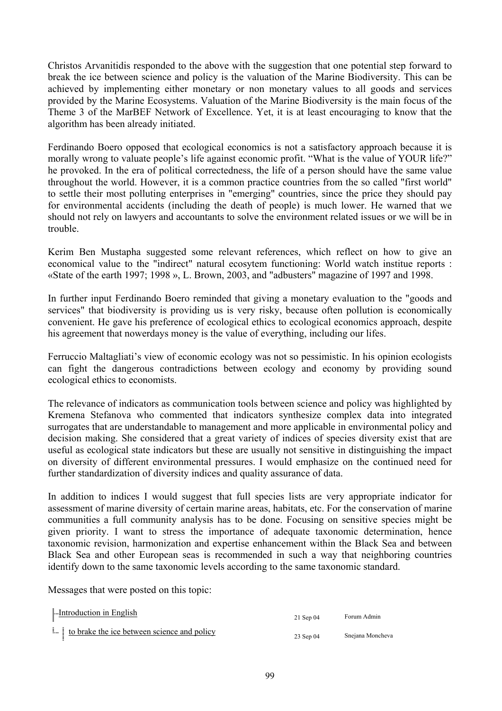Christos Arvanitidis responded to the above with the suggestion that one potential step forward to break the ice between science and policy is the valuation of the Marine Biodiversity. This can be achieved by implementing either monetary or non monetary values to all goods and services provided by the Marine Ecosystems. Valuation of the Marine Biodiversity is the main focus of the Theme 3 of the MarBEF Network of Excellence. Yet, it is at least encouraging to know that the algorithm has been already initiated.

Ferdinando Boero opposed that ecological economics is not a satisfactory approach because it is morally wrong to valuate people's life against economic profit. "What is the value of YOUR life?" he provoked. In the era of political correctedness, the life of a person should have the same value throughout the world. However, it is a common practice countries from the so called "first world" to settle their most polluting enterprises in "emerging" countries, since the price they should pay for environmental accidents (including the death of people) is much lower. He warned that we should not rely on lawyers and accountants to solve the environment related issues or we will be in trouble.

Kerim Ben Mustapha suggested some relevant references, which reflect on how to give an economical value to the "indirect" natural ecosytem functioning: World watch institue reports : «State of the earth 1997; 1998 », L. Brown, 2003, and "adbusters" magazine of 1997 and 1998.

In further input Ferdinando Boero reminded that giving a monetary evaluation to the "goods and services" that biodiversity is providing us is very risky, because often pollution is economically convenient. He gave his preference of ecological ethics to ecological economics approach, despite his agreement that nowerdays money is the value of everything, including our lifes.

Ferruccio Maltagliati's view of economic ecology was not so pessimistic. In his opinion ecologists can fight the dangerous contradictions between ecology and economy by providing sound ecological ethics to economists.

The relevance of indicators as communication tools between science and policy was highlighted by Kremena Stefanova who commented that indicators synthesize complex data into integrated surrogates that are understandable to management and more applicable in environmental policy and decision making. She considered that a great variety of indices of species diversity exist that are useful as ecological state indicators but these are usually not sensitive in distinguishing the impact on diversity of different environmental pressures. I would emphasize on the continued need for further standardization of diversity indices and quality assurance of data.

In addition to indices I would suggest that full species lists are very appropriate indicator for assessment of marine diversity of certain marine areas, habitats, etc. For the conservation of marine communities a full community analysis has to be done. Focusing on sensitive species might be given priority. I want to stress the importance of adequate taxonomic determination, hence taxonomic revision, harmonization and expertise enhancement within the Black Sea and between Black Sea and other European seas is recommended in such a way that neighboring countries identify down to the same taxonomic levels according to the same taxonomic standard.

| $\Box$ Introduction in English                                      | 21 Sep 04 | Forum Admin      |
|---------------------------------------------------------------------|-----------|------------------|
| $\lfloor \cdot \rfloor$ to brake the ice between science and policy | 23 Sep 04 | Snejana Moncheva |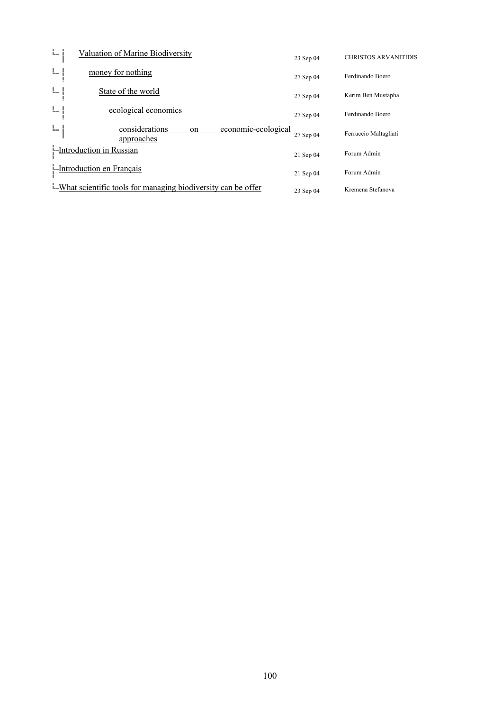| ί<br>Valuation of Marine Biodiversity                           | 23 Sep 04 | <b>CHRISTOS ARVANITIDIS</b> |
|-----------------------------------------------------------------|-----------|-----------------------------|
| J., .<br>money for nothing                                      | 27 Sep 04 | Ferdinando Boero            |
| <u>і.,</u><br>State of the world                                | 27 Sep 04 | Kerim Ben Mustapha          |
| $\mathbf{L}_{\mathrm{m}}$<br>ecological economics               | 27 Sep 04 | Ferdinando Boero            |
| L.<br>considerations<br>economic-ecological<br>on<br>approaches | 27 Sep 04 | Ferruccio Maltagliati       |
| --Introduction in Russian                                       | 21 Sep 04 | Forum Admin                 |
| Introduction en Français                                        | 21 Sep 04 | Forum Admin                 |
| What scientific tools for managing biodiversity can be offer    | 23 Sep 04 | Kremena Stefanova           |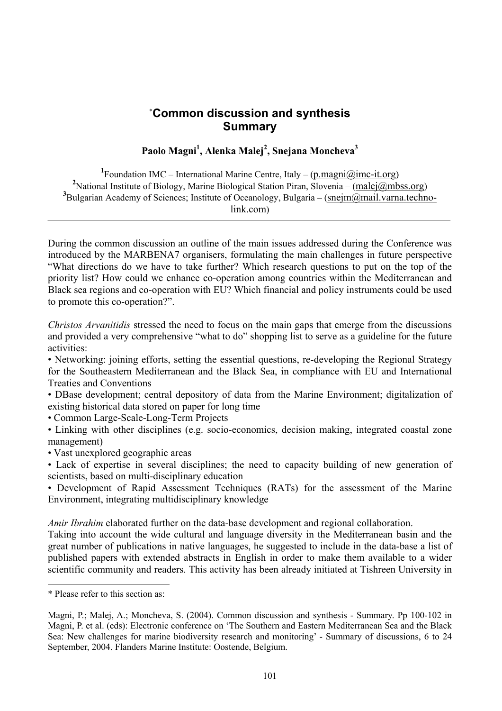# [∗](#page-104-0) **Common discussion and synthesis Summary**

## **Paolo Magni<sup>1</sup> , Alenka Malej<sup>2</sup> , Snejana Moncheva<sup>3</sup>**

<sup>1</sup> Foundation IMC – International Marine Centre, Italy – (p.magni@imc-it.org) <sup>2</sup> National Institute of Biology, Marine Biological Station Piran, Slovenia – (malej@mbss.org) <sup>3</sup>Bulgarian Academy of Sciences; Institute of Oceanology, Bulgaria – (snejm@mail.varna.technolink.com)

During the common discussion an outline of the main issues addressed during the Conference was introduced by the MARBENA7 organisers, formulating the main challenges in future perspective "What directions do we have to take further? Which research questions to put on the top of the priority list? How could we enhance co-operation among countries within the Mediterranean and Black sea regions and co-operation with EU? Which financial and policy instruments could be used to promote this co-operation?".

*Christos Arvanitidis* stressed the need to focus on the main gaps that emerge from the discussions and provided a very comprehensive "what to do" shopping list to serve as a guideline for the future activities:

• Networking: joining efforts, setting the essential questions, re-developing the Regional Strategy for the Southeastern Mediterranean and the Black Sea, in compliance with EU and International Treaties and Conventions

• DBase development; central depository of data from the Marine Environment; digitalization of existing historical data stored on paper for long time

• Common Large-Scale-Long-Term Projects

• Linking with other disciplines (e.g. socio-economics, decision making, integrated coastal zone management)

• Vast unexplored geographic areas

• Lack of expertise in several disciplines; the need to capacity building of new generation of scientists, based on multi-disciplinary education

• Development of Rapid Assessment Techniques (RATs) for the assessment of the Marine Environment, integrating multidisciplinary knowledge

*Amir Ibrahim* elaborated further on the data-base development and regional collaboration.

Taking into account the wide cultural and language diversity in the Mediterranean basin and the great number of publications in native languages, he suggested to include in the data-base a list of published papers with extended abstracts in English in order to make them available to a wider scientific community and readers. This activity has been already initiated at Tishreen University in

<span id="page-104-0"></span><sup>\*</sup> Please refer to this section as:

Magni, P.; Malej, A.; Moncheva, S. (2004). Common discussion and synthesis - Summary. Pp 100-102 in Magni, P. et al. (eds): Electronic conference on 'The Southern and Eastern Mediterranean Sea and the Black Sea: New challenges for marine biodiversity research and monitoring' - Summary of discussions, 6 to 24 September, 2004. Flanders Marine Institute: Oostende, Belgium.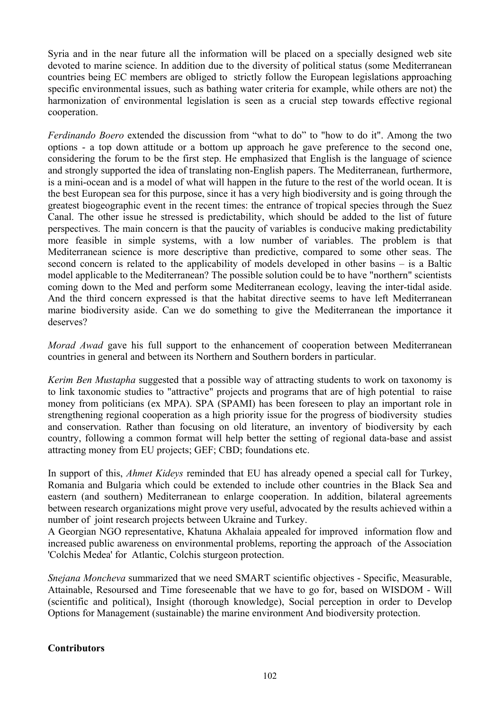Syria and in the near future all the information will be placed on a specially designed web site devoted to marine science. In addition due to the diversity of political status (some Mediterranean countries being EC members are obliged to strictly follow the European legislations approaching specific environmental issues, such as bathing water criteria for example, while others are not) the harmonization of environmental legislation is seen as a crucial step towards effective regional cooperation.

*Ferdinando Boero* extended the discussion from "what to do" to "how to do it". Among the two options - a top down attitude or a bottom up approach he gave preference to the second one, considering the forum to be the first step. He emphasized that English is the language of science and strongly supported the idea of translating non-English papers. The Mediterranean, furthermore, is a mini-ocean and is a model of what will happen in the future to the rest of the world ocean. It is the best European sea for this purpose, since it has a very high biodiversity and is going through the greatest biogeographic event in the recent times: the entrance of tropical species through the Suez Canal. The other issue he stressed is predictability, which should be added to the list of future perspectives. The main concern is that the paucity of variables is conducive making predictability more feasible in simple systems, with a low number of variables. The problem is that Mediterranean science is more descriptive than predictive, compared to some other seas. The second concern is related to the applicability of models developed in other basins – is a Baltic model applicable to the Mediterranean? The possible solution could be to have "northern" scientists coming down to the Med and perform some Mediterranean ecology, leaving the inter-tidal aside. And the third concern expressed is that the habitat directive seems to have left Mediterranean marine biodiversity aside. Can we do something to give the Mediterranean the importance it deserves?

*Morad Awad* gave his full support to the enhancement of cooperation between Mediterranean countries in general and between its Northern and Southern borders in particular.

*Kerim Ben Mustapha* suggested that a possible way of attracting students to work on taxonomy is to link taxonomic studies to "attractive" projects and programs that are of high potential to raise money from politicians (ex MPA). SPA (SPAMI) has been foreseen to play an important role in strengthening regional cooperation as a high priority issue for the progress of biodiversity studies and conservation. Rather than focusing on old literature, an inventory of biodiversity by each country, following a common format will help better the setting of regional data-base and assist attracting money from EU projects; GEF; CBD; foundations etc.

In support of this, *Ahmet Kideys* reminded that EU has already opened a special call for Turkey, Romania and Bulgaria which could be extended to include other countries in the Black Sea and eastern (and southern) Mediterranean to enlarge cooperation. In addition, bilateral agreements between research organizations might prove very useful, advocated by the results achieved within a number of joint research projects between Ukraine and Turkey.

A Georgian NGO representative, Khatuna Akhalaia appealed for improved information flow and increased public awareness on environmental problems, reporting the approach of the Association 'Colchis Medea' for Atlantic, Colchis sturgeon protection.

*Snejana Moncheva* summarized that we need SMART scientific objectives - Specific, Measurable, Attainable, Resoursed and Time foreseenable that we have to go for, based on WISDOM - Will (scientific and political), Insight (thorough knowledge), Social perception in order to Develop Options for Management (sustainable) the marine environment And biodiversity protection.

#### **Contributors**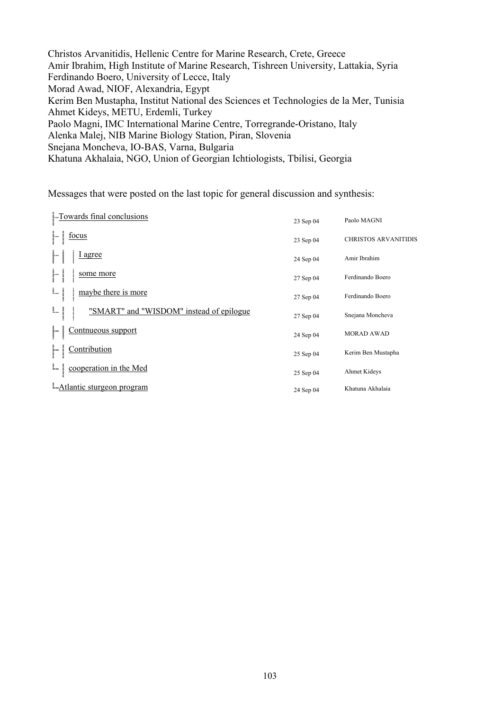Christos Arvanitidis, Hellenic Centre for Marine Research, Crete, Greece Amir Ibrahim, High Institute of Marine Research, Tishreen University, Lattakia, Syria Ferdinando Boero, University of Lecce, Italy Morad Awad, NIOF, Alexandria, Egypt Kerim Ben Mustapha, Institut National des Sciences et Technologies de la Mer, Tunisia Ahmet Kideys, METU, Erdemli, Turkey Paolo Magni, IMC International Marine Centre, Torregrande-Oristano, Italy Alenka Malej, NIB Marine Biology Station, Piran, Slovenia Snejana Moncheva, IO-BAS, Varna, Bulgaria Khatuna Akhalaia, NGO, Union of Georgian Ichtiologists, Tbilisi, Georgia

Messages that were posted on the last topic for general discussion and synthesis:

| -Towards final conclusions                     | 23 Sep 04 | Paolo MAGNI                 |
|------------------------------------------------|-----------|-----------------------------|
| focus<br>ţ                                     | 23 Sep 04 | <b>CHRISTOS ARVANITIDIS</b> |
| agree<br>ļ.                                    | 24 Sep 04 | Amir Ibrahim                |
| ļ.<br>some more                                | 27 Sep 04 | Ferdinando Boero            |
| Ł.<br>maybe there is more                      | 27 Sep 04 | Ferdinando Boero            |
| Ł.<br>"SMART" and "WISDOM" instead of epilogue | 27 Sep 04 | Snejana Moncheva            |
| ļ.<br>Contnueous support                       | 24 Sep 04 | <b>MORAD AWAD</b>           |
| Contribution<br>ł.                             | 25 Sep 04 | Kerim Ben Mustapha          |
| Ł.<br>cooperation in the Med                   | 25 Sep 04 | Ahmet Kideys                |
| Atlantic sturgeon program                      | 24 Sep 04 | Khatuna Akhalaia            |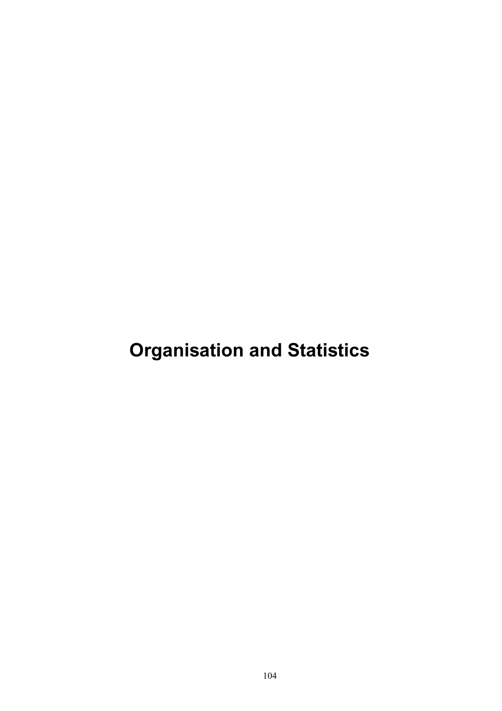# **Organisation and Statistics**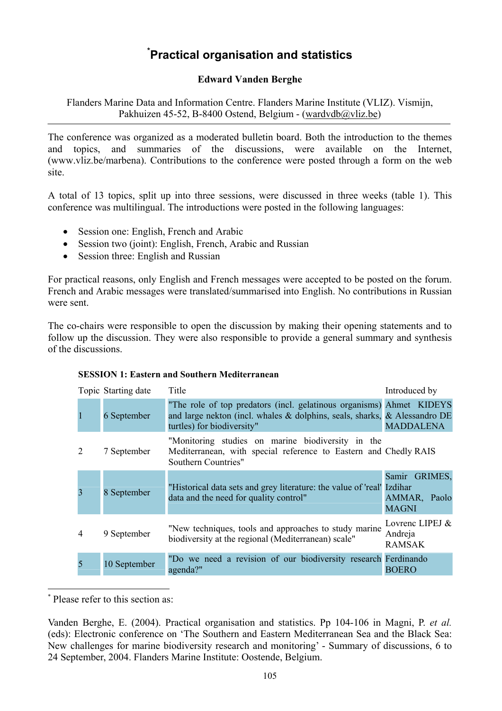# **\* [P](#page-108-0)ractical organisation and statistics**

## **Edward Vanden Berghe**

Flanders Marine Data and Information Centre. Flanders Marine Institute (VLIZ). Vismijn, Pakhuizen 45-52, B-8400 Ostend, Belgium - (wardvdb $\omega$ vliz.be)

The conference was organized as a moderated bulletin board. Both the introduction to the themes and topics, and summaries of the discussions, were available on the Internet, (www.vliz.be/marbena). Contributions to the conference were posted through a form on the web site.

A total of 13 topics, split up into three sessions, were discussed in three weeks (table 1). This conference was multilingual. The introductions were posted in the following languages:

- Session one: English, French and Arabic
- Session two (joint): English, French, Arabic and Russian
- Session three: English and Russian

For practical reasons, only English and French messages were accepted to be posted on the forum. French and Arabic messages were translated/summarised into English. No contributions in Russian were sent.

The co-chairs were responsible to open the discussion by making their opening statements and to follow up the discussion. They were also responsible to provide a general summary and synthesis of the discussions.

|   | Topic Starting date | Title                                                                                                                                                                           | Introduced by                                 |  |
|---|---------------------|---------------------------------------------------------------------------------------------------------------------------------------------------------------------------------|-----------------------------------------------|--|
|   | 6 September         | "The role of top predators (incl. gelatinous organisms) Ahmet KIDEYS<br>and large nekton (incl. whales & dolphins, seals, sharks, & Alessandro DE<br>turtles) for biodiversity" | <b>MADDALENA</b>                              |  |
|   | 7 September         | "Monitoring studies on marine biodiversity in the<br>Mediterranean, with special reference to Eastern and Chedly RAIS<br>Southern Countries"                                    |                                               |  |
|   | 8 September         | "Historical data sets and grey literature: the value of 'real' Izdihar<br>data and the need for quality control"                                                                | Samir GRIMES,<br>AMMAR, Paolo<br><b>MAGNI</b> |  |
| 4 | 9 September         | Lovrenc LIPEJ $&$<br>"New techniques, tools and approaches to study marine<br>Andreja<br>biodiversity at the regional (Mediterranean) scale"<br><b>RAMSAK</b>                   |                                               |  |
|   | 10 September        | "Do we need a revision of our biodiversity research Ferdinando<br>agenda?"                                                                                                      | <b>BOERO</b>                                  |  |

## **SESSION 1: Eastern and Southern Mediterranean**

<span id="page-108-0"></span>Please refer to this section as:

l

Vanden Berghe, E. (2004). Practical organisation and statistics. Pp 104-106 in Magni, P. *et al.* (eds): Electronic conference on 'The Southern and Eastern Mediterranean Sea and the Black Sea: New challenges for marine biodiversity research and monitoring' - Summary of discussions, 6 to 24 September, 2004. Flanders Marine Institute: Oostende, Belgium.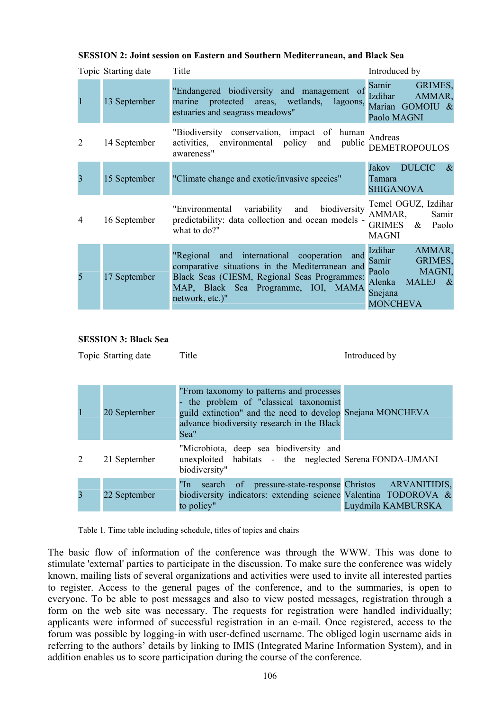|             | Topic Starting date | Title                                                                                                                                                                                                       | Introduced by                                                                                                                |
|-------------|---------------------|-------------------------------------------------------------------------------------------------------------------------------------------------------------------------------------------------------------|------------------------------------------------------------------------------------------------------------------------------|
| $\mathbf 1$ | 13 September        | "Endangered biodiversity and management of<br>protected areas, wetlands,<br>lagoons,<br>marine<br>estuaries and seagrass meadows"                                                                           | GRIMES,<br>Samir<br>AMMAR,<br>Izdihar<br>Marian GOMOIU &<br>Paolo MAGNI                                                      |
| 2           | 14 September        | "Biodiversity conservation, impact of<br>human<br>activities, environmental policy<br>public<br>and<br>awareness"                                                                                           | Andreas<br><b>DEMETROPOULOS</b>                                                                                              |
| 3           | 15 September        | "Climate change and exotic/invasive species"                                                                                                                                                                | Jakov<br><b>DULCIC</b><br>$\alpha$<br>Tamara<br><b>SHIGANOVA</b>                                                             |
| 4           | 16 September        | biodiversity<br>variability<br>"Environmental<br>and<br>predictability: data collection and ocean models -<br>what to do?"                                                                                  | Temel OGUZ, Izdihar<br>AMMAR,<br>Samir<br><b>GRIMES</b><br>Paolo<br>$\&$<br><b>MAGNI</b>                                     |
| 5           | 17 September        | "Regional and international cooperation<br>and<br>comparative situations in the Mediterranean and<br>Black Seas (CIESM, Regional Seas Programmes:<br>MAP, Black Sea Programme, IOI, MAMA<br>network, etc.)" | Izdihar<br>AMMAR,<br>GRIMES,<br>Samir<br>MAGNI,<br>Paolo<br><b>MALEJ</b><br>Alenka<br>$\alpha$<br>Snejana<br><b>MONCHEVA</b> |

#### **SESSION 2: Joint session on Eastern and Southern Mediterranean, and Black Sea**

### **SESSION 3: Black Sea**

|   | Topic Starting date | Title                                                                                                                                                                                                 | Introduced by      |
|---|---------------------|-------------------------------------------------------------------------------------------------------------------------------------------------------------------------------------------------------|--------------------|
|   | 20 September        | "From taxonomy to patterns and processes"<br>the problem of "classical taxonomist<br>guild extinction" and the need to develop Snejana MONCHEVA<br>advance biodiversity research in the Black<br>Sea" |                    |
|   | 21 September        | "Microbiota, deep sea biodiversity and<br>unexploited habitats - the neglected Serena FONDA-UMANI<br>biodiversity"                                                                                    |                    |
| 3 | 22 September        | "In search of pressure-state-response Christos ARVANITIDIS,<br>biodiversity indicators: extending science Valentina TODOROVA &<br>to policy"                                                          | Luydmila KAMBURSKA |

Table 1. Time table including schedule, titles of topics and chairs

The basic flow of information of the conference was through the WWW. This was done to stimulate 'external' parties to participate in the discussion. To make sure the conference was widely known, mailing lists of several organizations and activities were used to invite all interested parties to register. Access to the general pages of the conference, and to the summaries, is open to everyone. To be able to post messages and also to view posted messages, registration through a form on the web site was necessary. The requests for registration were handled individually; applicants were informed of successful registration in an e-mail. Once registered, access to the forum was possible by logging-in with user-defined username. The obliged login username aids in referring to the authors' details by linking to IMIS (Integrated Marine Information System), and in addition enables us to score participation during the course of the conference.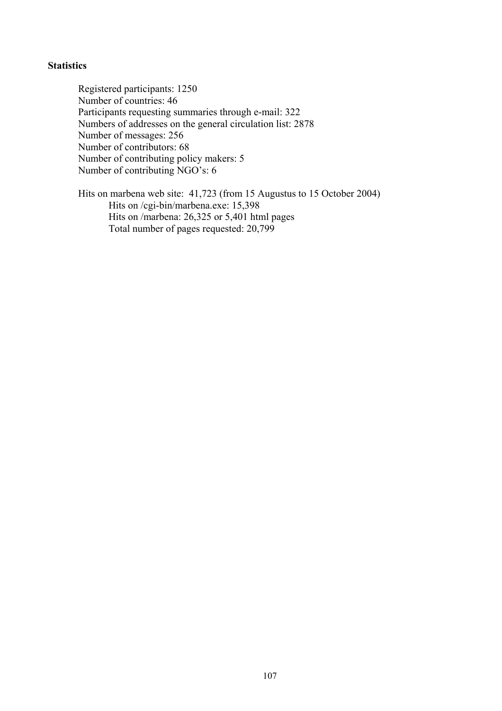### **Statistics**

Registered participants: 1250 Number of countries: 46 Participants requesting summaries through e-mail: 322 Numbers of addresses on the general circulation list: 2878 Number of messages: 256 Number of contributors: 68 Number of contributing policy makers: 5 Number of contributing NGO's: 6

Hits on marbena web site: 41,723 (from 15 Augustus to 15 October 2004) Hits on /cgi-bin/marbena.exe: 15,398 Hits on /marbena: 26,325 or 5,401 html pages Total number of pages requested: 20,799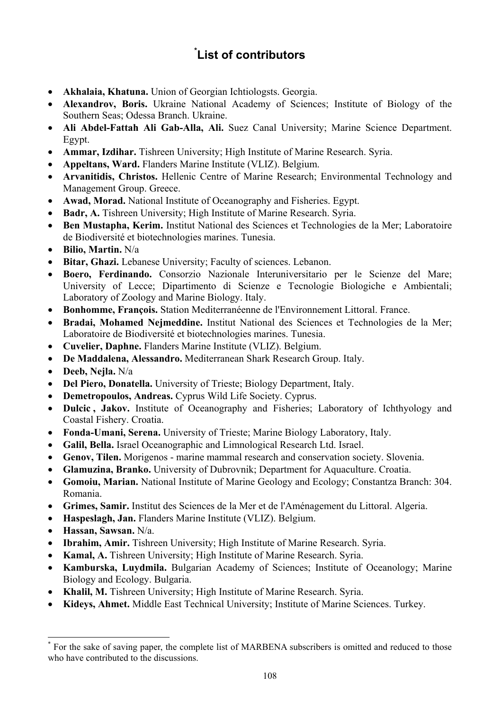# **[\\*](#page-111-0) List of contributors**

- **Akhalaia, Khatuna.** Union of Georgian Ichtiologsts. Georgia.
- **Alexandrov, Boris.** Ukraine National Academy of Sciences; Institute of Biology of the Southern Seas; Odessa Branch. Ukraine.
- **Ali Abdel-Fattah Ali Gab-Alla, Ali.** Suez Canal University; Marine Science Department. Egypt.
- **Ammar, Izdihar.** Tishreen University; High Institute of Marine Research. Syria.
- **Appeltans, Ward.** Flanders Marine Institute (VLIZ). Belgium.
- **Arvanitidis, Christos.** Hellenic Centre of Marine Research; Environmental Technology and Management Group. Greece.
- **Awad, Morad.** National Institute of Oceanography and Fisheries. Egypt.
- **Badr, A.** Tishreen University; High Institute of Marine Research. Syria.
- **Ben Mustapha, Kerim.** Institut National des Sciences et Technologies de la Mer; Laboratoire de Biodiversité et biotechnologies marines. Tunesia.
- **Bilio, Martin.** N/a
- **Bitar, Ghazi.** Lebanese University; Faculty of sciences. Lebanon.
- **Boero, Ferdinando.** Consorzio Nazionale Interuniversitario per le Scienze del Mare; University of Lecce; Dipartimento di Scienze e Tecnologie Biologiche e Ambientali; Laboratory of Zoology and Marine Biology. Italy.
- **Bonhomme, François.** Station Mediterranéenne de l'Environnement Littoral. France.
- **Bradai, Mohamed Nejmeddine.** Institut National des Sciences et Technologies de la Mer; Laboratoire de Biodiversité et biotechnologies marines. Tunesia.
- **Cuvelier, Daphne.** Flanders Marine Institute (VLIZ). Belgium.
- **De Maddalena, Alessandro.** Mediterranean Shark Research Group. Italy.
- **Deeb, Nejla.** N/a
- **Del Piero, Donatella.** University of Trieste; Biology Department, Italy.
- **Demetropoulos, Andreas.** Cyprus Wild Life Society. Cyprus.
- **Dulcic , Jakov.** Institute of Oceanography and Fisheries; Laboratory of Ichthyology and Coastal Fishery. Croatia.
- **Fonda-Umani, Serena.** University of Trieste; Marine Biology Laboratory, Italy.
- **Galil, Bella.** Israel Oceanographic and Limnological Research Ltd. Israel.
- **Genov, Tilen.** Morigenos marine mammal research and conservation society. Slovenia.
- **Glamuzina, Branko.** University of Dubrovnik; Department for Aquaculture. Croatia.
- **Gomoiu, Marian.** National Institute of Marine Geology and Ecology; Constantza Branch: 304. Romania.
- **Grimes, Samir.** Institut des Sciences de la Mer et de l'Aménagement du Littoral. Algeria.
- **Haspeslagh, Jan.** Flanders Marine Institute (VLIZ). Belgium.
- **Hassan, Sawsan.** N/a.

l

- **Ibrahim, Amir.** Tishreen University; High Institute of Marine Research. Syria.
- **Kamal, A.** Tishreen University; High Institute of Marine Research. Syria.
- **Kamburska, Luydmila.** Bulgarian Academy of Sciences; Institute of Oceanology; Marine Biology and Ecology. Bulgaria.
- **Khalil, M.** Tishreen University; High Institute of Marine Research. Syria.
- **Kideys, Ahmet.** Middle East Technical University; Institute of Marine Sciences. Turkey.

<span id="page-111-0"></span><sup>\*</sup> For the sake of saving paper, the complete list of MARBENA subscribers is omitted and reduced to those who have contributed to the discussions.